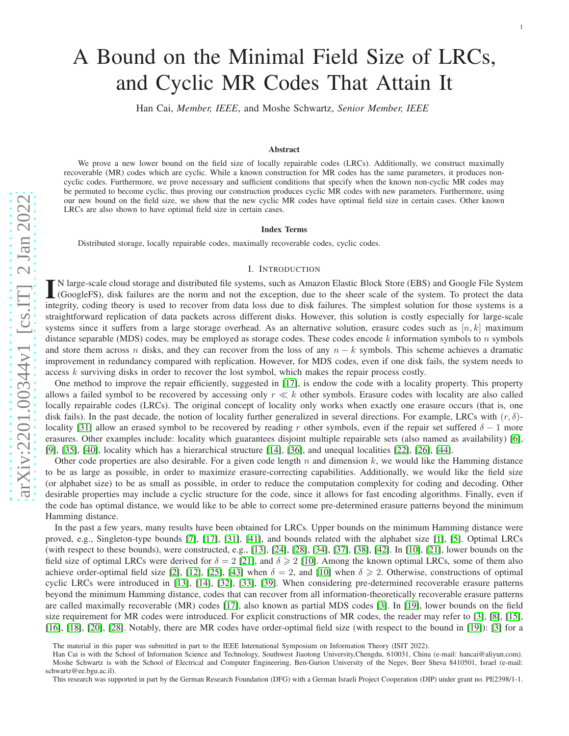# A Bound on the Minimal Field Size of LRCs, and Cyclic MR Codes That Attain It

Han Cai, *Member, IEEE*, and Moshe Schwartz, *Senior Member, IEEE*

#### Abstract

We prove a new lower bound on the field size of locally repairable codes (LRCs). Additionally, we construct maximally recoverable (MR) codes which are cyclic. While a known construction for MR codes has the same parameters, it produces non cyclic codes. Furthermore, we prove necessary and sufficient conditions that specify when the known non-cyclic MR codes may be permuted to become cyclic, thus proving our construction produces cyclic MR codes with new parameters. Furthermore, using our new bound on the field size, we show that the new cyclic MR codes have optimal field size in certain cases. Other known LRCs are also shown to have optimal field size in certain cases .

#### Index Terms

Distributed storage, locally repairable codes, maximally recoverable codes, cyclic codes.

## I. INTRODUCTION

IN large-scale cloud storage and distributed file systems, such as Amazon Elastic Block Store (EBS) and Google File System (GoogleFS), disk failures are the norm and not the exception, due to the sheer scale of the system. N large-scale cloud storage and distributed file systems, such as Amazon Elastic Block Store (EBS) and Google File System (GoogleFS), disk failures are the norm and not the exception, due to the sheer scale of the system. To protect the data straightforward replication of data packets across different disks. However, this solution is costly especially for large-scale systems since it suffers from a large storage overhead. As an alternative solution, erasure codes such as  $[n, k]$  maximum distance separable (MDS) codes, may be employed as storage codes. These codes encode  $k$  information symbols to  $n$  symbols and store them across n disks, and they can recover from the loss of any  $n - k$  symbols. This scheme achieves a dramatic improvement in redundancy compared with replication. However, for MDS codes, even if one disk fails, the system needs to access k surviving disks in order to recover the lost symbol, which makes the repair process costly.

One method to improve the repair efficiently, suggested in [\[17\]](#page-25-0), is endow the code with a locality property. This property allows a failed symbol to be recovered by accessing only  $r \ll k$  other symbols. Erasure codes with locality are also called locally repairable codes (LRCs). The original concept of locality only works when exactly one erasure occurs (that is, one disk fails). In the past decade, the notion of locality further generalized in several directions. For example, LRCs with  $(r, \delta)$ -locality [\[31\]](#page-26-0) allow an erased symbol to be recovered by reading r other symbols, even if the repair set suffered  $\delta - 1$  more erasures. Other examples include: locality which guarantees disjoint multiple repairable sets (also named as availability) [\[6\]](#page-25-1), [\[9\]](#page-25-2), [\[35\]](#page-26-1), [\[40\]](#page-26-2), locality which has a hierarchical structure [\[14\]](#page-25-3), [\[36\]](#page-26-3), and unequal localities [\[22\]](#page-26-4), [\[26\]](#page-26-5), [\[44\]](#page-26-6).

Other code properties are also desirable. For a given code length  $n$  and dimension  $k$ , we would like the Hamming distance to be as large as possible, in order to maximize erasure-correcting capabilities. Additionally, we would like the field size (or alphabet size) to be as small as possible, in order to reduce the computation complexity for coding and decoding. Othe r desirable properties may include a cyclic structure for the code, since it allows for fast encoding algorithms. Finally, even if the code has optimal distance, we would like to be able to correct some pre-determined erasure patterns beyond the minimu m Hamming distance.

In the past a few years, many results have been obtained for LRCs. Upper bounds on the minimum Hamming distance were proved, e.g., Singleton-type bounds [\[7\]](#page-25-4), [\[17\]](#page-25-0), [\[31\]](#page-26-0), [\[41\]](#page-26-7), and bounds related with the alphabet size [\[1\]](#page-25-5), [\[5\]](#page-25-6). Optimal LRCs (with respect to these bounds), were constructed, e.g., [\[13\]](#page-25-7), [\[24\]](#page-26-8), [\[28\]](#page-26-9), [\[34\]](#page-26-10), [\[37\]](#page-26-11), [\[38\]](#page-26-12), [\[42\]](#page-26-13). In [\[10\]](#page-25-8), [\[21\]](#page-26-14), lower bounds on the field size of optimal LRCs were derived for  $\delta = 2$  [\[21\]](#page-26-14), and  $\delta \ge 2$  [\[10\]](#page-25-8). Among the known optimal LRCs, some of them also achieve order-optimal field size [\[2\]](#page-25-9), [\[12\]](#page-25-10), [\[25\]](#page-26-15), [\[43\]](#page-26-16) when  $\delta = 2$ , and [\[10\]](#page-25-8) when  $\delta \geq 2$ . Otherwise, constructions of optimal cyclic LRCs were introduced in [\[13\]](#page-25-7), [\[14\]](#page-25-3), [\[32\]](#page-26-17), [\[33\]](#page-26-18), [\[39\]](#page-26-19). When considering pre-determined recoverable erasure patterns beyond the minimum Hamming distance, codes that can recover from all information-theoretically recoverable erasure patterns are called maximally recoverable (MR) codes [\[17\]](#page-25-0), also known as partial MDS codes [\[3\]](#page-25-11). In [\[19\]](#page-26-20), lower bounds on the field size requirement for MR codes were introduced. For explicit constructions of MR codes, the reader may refer to [\[3\]](#page-25-11), [\[8\]](#page-25-12), [\[15\]](#page-25-13), [\[16\]](#page-25-14), [\[18\]](#page-25-15), [\[20\]](#page-26-21), [\[28\]](#page-26-9). Notably, there are MR codes have order-optimal field size (with respect to the bound in [\[19\]](#page-26-20)): [\[3\]](#page-25-11) for a

The material in this paper was submitted in part to the IEEE International Symposium on Information Theory (ISIT 2022).

Han Cai is with the School of Information Science and Technology, Southwest Jiaotong University,Chengdu, 610031, China (e-mail: hancai@aliyun.com). Moshe Schwartz is with the School of Electrical and Computer Engineering, Ben-Gurion University of the Negev, Beer Sheva 8410501, Israel (e-mail: schwartz@ee.bgu.ac.il).

This research was supported in part by the German Research Foundation (DFG) with a German Israeli Project Cooperation (DIP) under grant no. PE2398/1-1.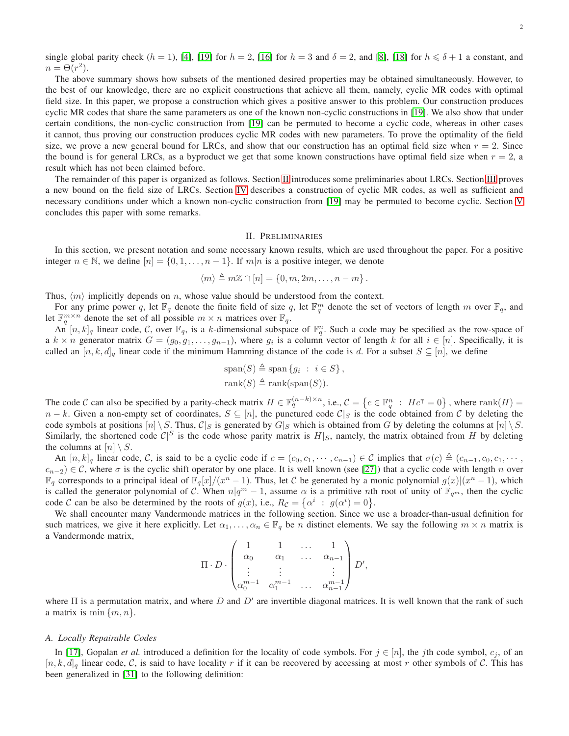single global parity check  $(h = 1)$ , [\[4\]](#page-25-16), [\[19\]](#page-26-20) for  $h = 2$ , [\[16\]](#page-25-14) for  $h = 3$  and  $\delta = 2$ , and [\[8\]](#page-25-12), [\[18\]](#page-25-15) for  $h \leq \delta + 1$  a constant, and  $n = \Theta(r^2)$ .

The above summary shows how subsets of the mentioned desired properties may be obtained simultaneously. However, to the best of our knowledge, there are no explicit constructions that achieve all them, namely, cyclic MR codes with optimal field size. In this paper, we propose a construction which gives a positive answer to this problem. Our construction produces cyclic MR codes that share the same parameters as one of the known non-cyclic constructions in [\[19\]](#page-26-20). We also show that under certain conditions, the non-cyclic construction from [\[19\]](#page-26-20) can be permuted to become a cyclic code, whereas in other cases it cannot, thus proving our construction produces cyclic MR codes with new parameters. To prove the optimality of the field size, we prove a new general bound for LRCs, and show that our construction has an optimal field size when  $r = 2$ . Since the bound is for general LRCs, as a byproduct we get that some known constructions have optimal field size when  $r = 2$ , a result which has not been claimed before.

The remainder of this paper is organized as follows. Section [II](#page-1-0) introduces some preliminaries about LRCs. Section [III](#page-3-0) proves a new bound on the field size of LRCs. Section [IV](#page-6-0) describes a construction of cyclic MR codes, as well as sufficient and necessary conditions under which a known non-cyclic construction from [\[19\]](#page-26-20) may be permuted to become cyclic. Section [V](#page-20-0) concludes this paper with some remarks.

# II. PRELIMINARIES

<span id="page-1-0"></span>In this section, we present notation and some necessary known results, which are used throughout the paper. For a positive integer  $n \in \mathbb{N}$ , we define  $[n] = \{0, 1, \ldots, n-1\}$ . If  $m|n$  is a positive integer, we denote

$$
\langle m \rangle \triangleq m\mathbb{Z} \cap [n] = \{0, m, 2m, \dots, n-m\}.
$$

Thus,  $\langle m \rangle$  implicitly depends on n, whose value should be understood from the context.

For any prime power q, let  $\mathbb{F}_q$  denote the finite field of size q, let  $\mathbb{F}_q^m$  denote the set of vectors of length m over  $\mathbb{F}_q$ , and let  $\mathbb{F}_q^{m \times n}$  denote the set of all possible  $m \times n$  matrices over  $\mathbb{F}_q$ .

An  $[n, k]_q$  linear code, C, over  $\mathbb{F}_q$ , is a k-dimensional subspace of  $\mathbb{F}_q^n$ . Such a code may be specified as the row-space of a  $k \times n$  generator matrix  $G = (g_0, g_1, \ldots, g_{n-1})$ , where  $g_i$  is a column vector of length k for all  $i \in [n]$ . Specifically, it is called an  $[n, k, d]_q$  linear code if the minimum Hamming distance of the code is d. For a subset  $S \subseteq [n]$ , we define

$$
\text{span}(S) \triangleq \text{span}\{g_i : i \in S\},
$$
  

$$
\text{rank}(S) \triangleq \text{rank}(\text{span}(S)).
$$

The code C can also be specified by a parity-check matrix  $H \in \mathbb{F}_q^{(n-k)\times n}$ , i.e.,  $\mathcal{C} = \{c \in \mathbb{F}_q^n : Hc^{\intercal} = 0\}$ , where  $\text{rank}(H) =$  $n - k$ . Given a non-empty set of coordinates,  $S \subseteq [n]$ , the punctured code  $\mathcal{C}|_S$  is the code obtained from C by deleting the code symbols at positions  $[n] \setminus S$ . Thus,  $C|_S$  is generated by  $G|_S$  which is obtained from G by deleting the columns at  $[n] \setminus S$ . Similarly, the shortened code  $\mathcal{C}|^S$  is the code whose parity matrix is  $H|_S$ , namely, the matrix obtained from H by deleting the columns at  $[n] \setminus S$ .

An  $[n, k]_q$  linear code, C, is said to be a cyclic code if  $c = (c_0, c_1, \dots, c_{n-1}) \in \mathcal{C}$  implies that  $\sigma(c) \triangleq (c_{n-1}, c_0, c_1, \dots, c_n)$  $c_{n-2}$ ) ∈ C, where  $\sigma$  is the cyclic shift operator by one place. It is well known (see [\[27\]](#page-26-22)) that a cyclic code with length n over  $\mathbb{F}_q$  corresponds to a principal ideal of  $\mathbb{F}_q[x]/(x^n-1)$ . Thus, let C be generated by a monic polynomial  $g(x)|(x^n-1)$ , which is called the generator polynomial of C. When  $n|q^m-1$ , assume  $\alpha$  is a primitive nth root of unity of  $\mathbb{F}_{q^m}$ , then the cyclic code C can be also be determined by the roots of  $g(x)$ , i.e.,  $R_{\mathcal{C}} = {\alpha^i : g(\alpha^i) = 0}.$ 

We shall encounter many Vandermonde matrices in the following section. Since we use a broader-than-usual definition for such matrices, we give it here explicitly. Let  $\alpha_1, \ldots, \alpha_n \in \mathbb{F}_q$  be *n* distinct elements. We say the following  $m \times n$  matrix is a Vandermonde matrix,

$$
\Pi \cdot D \cdot \begin{pmatrix} 1 & 1 & \dots & 1 \\ \alpha_0 & \alpha_1 & \dots & \alpha_{n-1} \\ \vdots & \vdots & & \vdots \\ \alpha_0^{m-1} & \alpha_1^{m-1} & \dots & \alpha_{n-1}^{m-1} \end{pmatrix} D',
$$

where  $\Pi$  is a permutation matrix, and where D and  $D'$  are invertible diagonal matrices. It is well known that the rank of such a matrix is min  $\{m, n\}.$ 

## *A. Locally Repairable Codes*

In [\[17\]](#page-25-0), Gopalan *et al.* introduced a definition for the locality of code symbols. For  $j \in [n]$ , the jth code symbol,  $c_j$ , of an  $[n, k, d]_q$  linear code, C, is said to have locality r if it can be recovered by accessing at most r other symbols of C. This has been generalized in [\[31\]](#page-26-0) to the following definition: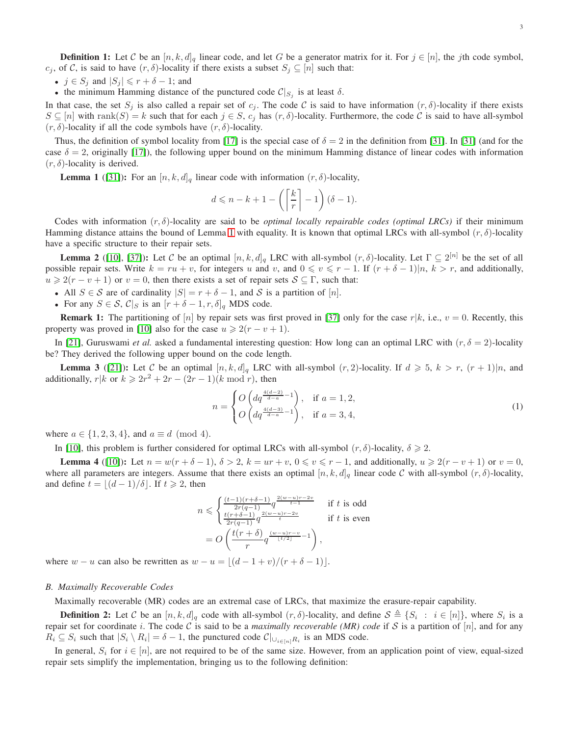**Definition 1:** Let C be an  $[n, k, d]_q$  linear code, and let G be a generator matrix for it. For  $j \in [n]$ , the jth code symbol,  $c_j$ , of C, is said to have  $(r, \delta)$ -locality if there exists a subset  $S_j \subseteq [n]$  such that:

- $j \in S_j$  and  $|S_j| \leq r + \delta 1$ ; and
- the minimum Hamming distance of the punctured code  $\mathcal{C}|_{S_j}$  is at least  $\delta$ .

In that case, the set  $S_j$  is also called a repair set of  $c_j$ . The code C is said to have information  $(r, \delta)$ -locality if there exists  $S \subseteq [n]$  with rank $(S) = k$  such that for each  $j \in S$ ,  $c_j$  has  $(r, \delta)$ -locality. Furthermore, the code C is said to have all-symbol  $(r, \delta)$ -locality if all the code symbols have  $(r, \delta)$ -locality.

Thus, the definition of symbol locality from [\[17\]](#page-25-0) is the special case of  $\delta = 2$  in the definition from [\[31\]](#page-26-0). In [\[31\]](#page-26-0) (and for the case  $\delta = 2$ , originally [\[17\]](#page-25-0)), the following upper bound on the minimum Hamming distance of linear codes with information  $(r, \delta)$ -locality is derived.

<span id="page-2-0"></span>**Lemma 1** ([\[31\]](#page-26-0)): For an  $[n, k, d]_q$  linear code with information  $(r, \delta)$ -locality,

$$
d \leqslant n - k + 1 - \left( \left\lceil \frac{k}{r} \right\rceil - 1 \right) (\delta - 1).
$$

Codes with information  $(r, \delta)$ -locality are said to be *optimal locally repairable codes (optimal LRCs)* if their minimum Hamming distance attains the bound of Lemma [1](#page-2-0) with equality. It is known that optimal LRCs with all-symbol  $(r, \delta)$ -locality have a specific structure to their repair sets.

<span id="page-2-2"></span>**Lemma 2** ([\[10\]](#page-25-8), [\[37\]](#page-26-11)): Let C be an optimal  $[n, k, d]_q$  LRC with all-symbol  $(r, \delta)$ -locality. Let  $\Gamma \subseteq 2^{[n]}$  be the set of all possible repair sets. Write  $k = ru + v$ , for integers u and v, and  $0 \le v \le r - 1$ . If  $(r + \delta - 1)|n, k > r$ , and additionally,  $u \geq 2(r - v + 1)$  or  $v = 0$ , then there exists a set of repair sets  $S \subseteq \Gamma$ , such that:

- All  $S \in \mathcal{S}$  are of cardinality  $|S| = r + \delta 1$ , and  $\mathcal{S}$  is a partition of [n].
- For any  $S \in \mathcal{S}$ ,  $\mathcal{C}|_S$  is an  $[r + \delta 1, r, \delta]_q$  MDS code.

**Remark 1:** The partitioning of [n] by repair sets was first proved in [\[37\]](#page-26-11) only for the case  $r|k$ , i.e.,  $v = 0$ . Recently, this property was proved in [\[10\]](#page-25-8) also for the case  $u \ge 2(r - v + 1)$ .

In [\[21\]](#page-26-14), Guruswami *et al.* asked a fundamental interesting question: How long can an optimal LRC with  $(r, \delta = 2)$ -locality be? They derived the following upper bound on the code length.

**Lemma 3** ([\[21\]](#page-26-14)): Let C be an optimal  $[n, k, d]_q$  LRC with all-symbol  $(r, 2)$ -locality. If  $d \ge 5$ ,  $k > r$ ,  $(r + 1)|n$ , and additionally,  $r|k$  or  $k \ge 2r^2 + 2r - (2r - 1)(k \mod r)$ , then

$$
n = \begin{cases} O\left(dq^{\frac{4(d-2)}{d-a}-1}\right), & \text{if } a = 1,2, \\ O\left(dq^{\frac{4(d-3)}{d-a}-1}\right), & \text{if } a = 3,4, \end{cases}
$$
 (1)

where  $a \in \{1, 2, 3, 4\}$ , and  $a \equiv d \pmod{4}$ .

In [\[10\]](#page-25-8), this problem is further considered for optimal LRCs with all-symbol  $(r, \delta)$ -locality,  $\delta \geq 2$ .

**Lemma 4** ([\[10\]](#page-25-8)): Let  $n = w(r + \delta - 1)$ ,  $\delta > 2$ ,  $k = ur + v$ ,  $0 \le v \le r - 1$ , and additionally,  $u \ge 2(r - v + 1)$  or  $v = 0$ , where all parameters are integers. Assume that there exists an optimal  $[n, k, d]_q$  linear code C with all-symbol  $(r, \delta)$ -locality, and define  $t = |(d-1)/\delta|$ . If  $t \ge 2$ , then

$$
n \leqslant \begin{cases} \frac{(t-1)(r+\delta-1)}{2r(q-1)} q^{\frac{2(w-u)r-2v}{t-1}} & \text{if } t \text{ is odd} \\ \frac{t(r+\delta-1)}{2r(q-1)} q^{\frac{2(w-u)r-2v}{t}} & \text{if } t \text{ is even} \end{cases}
$$
\n
$$
= O\left(\frac{t(r+\delta)}{r} q^{\frac{(w-u)r-v}{\lfloor t/2\rfloor} - 1}\right),
$$

where  $w - u$  can also be rewritten as  $w - u = \lfloor (d - 1 + v)/(r + \delta - 1) \rfloor$ .

#### *B. Maximally Recoverable Codes*

Maximally recoverable (MR) codes are an extremal case of LRCs, that maximize the erasure-repair capability.

<span id="page-2-1"></span>**Definition 2:** Let C be an  $[n, k, d]_q$  code with all-symbol  $(r, \delta)$ -locality, and define  $S \triangleq \{S_i : i \in [n]\}$ , where  $S_i$  is a repair set for coordinate i. The code C is said to be a *maximally recoverable (MR) code* if S is a partition of  $[n]$ , and for any  $R_i \subseteq S_i$  such that  $|S_i \setminus R_i| = \delta - 1$ , the punctured code  $\mathcal{C}|_{\cup_{i \in [n]} R_i}$  is an MDS code.

In general,  $S_i$  for  $i \in [n]$ , are not required to be of the same size. However, from an application point of view, equal-sized repair sets simplify the implementation, bringing us to the following definition: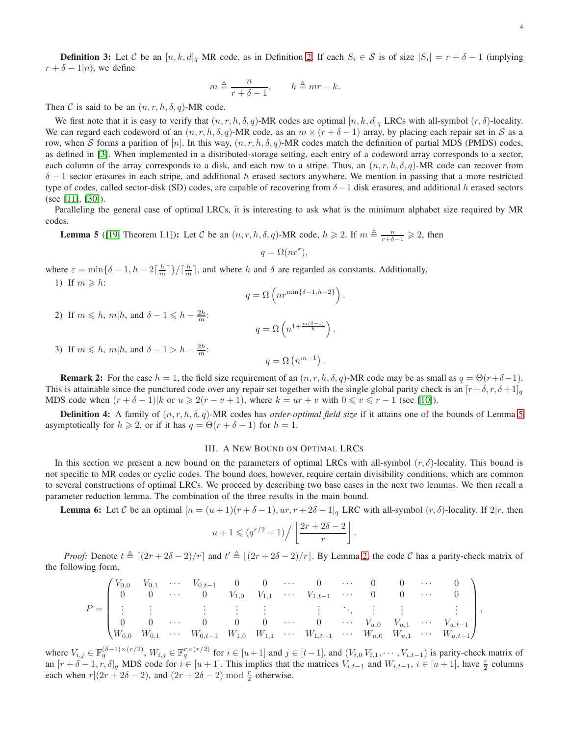**Definition 3:** Let C be an  $[n, k, d]_q$  MR code, as in Definition [2.](#page-2-1) If each  $S_i \in S$  is of size  $|S_i| = r + \delta - 1$  (implying  $r + \delta - 1|n$ , we define

$$
m \triangleq \frac{n}{r + \delta - 1}, \qquad h \triangleq mr - k.
$$

Then C is said to be an  $(n, r, h, \delta, q)$ -MR code.

We first note that it is easy to verify that  $(n, r, h, \delta, q)$ -MR codes are optimal  $[n, k, d]_q$  LRCs with all-symbol  $(r, \delta)$ -locality. We can regard each codeword of an  $(n, r, h, \delta, q)$ -MR code, as an  $m \times (r + \delta - 1)$  array, by placing each repair set in S as a row, when S forms a parition of [n]. In this way,  $(n, r, h, \delta, q)$ -MR codes match the definition of partial MDS (PMDS) codes, as defined in [\[3\]](#page-25-11). When implemented in a distributed-storage setting, each entry of a codeword array corresponds to a sector, each column of the array corresponds to a disk, and each row to a stripe. Thus, an  $(n, r, h, \delta, q)$ -MR code can recover from  $\delta$  − 1 sector erasures in each stripe, and additional h erased sectors anywhere. We mention in passing that a more restricted type of codes, called sector-disk (SD) codes, are capable of recovering from  $\delta-1$  disk erasures, and additional h erased sectors (see [\[11\]](#page-25-17), [\[30\]](#page-26-23)).

Paralleling the general case of optimal LRCs, it is interesting to ask what is the minimum alphabet size required by MR codes.

<span id="page-3-1"></span>**Lemma 5** ([\[19,](#page-26-20) Theorem I.1]): Let C be an  $(n, r, h, \delta, q)$ -MR code,  $h \ge 2$ . If  $m \triangleq \frac{n}{r+\delta-1} \ge 2$ , then

$$
q = \Omega(nr^{\varepsilon}),
$$

where  $\varepsilon = \min\{\delta - 1, h - 2\lceil \frac{h}{m} \rceil\}/\lceil \frac{h}{m} \rceil$ , and where h and  $\delta$  are regarded as constants. Additionally, 1) If  $m \geqslant h$ :

$$
q = \Omega\left(nr^{\min\{\delta - 1, h - 2\}}\right).
$$

2) If  $m \leq h$ ,  $m|h$ , and  $\delta - 1 \leq h - \frac{2h}{m}$ :

$$
q = \Omega\left(n^{1 + \frac{m(\delta - 1)}{h}}\right).
$$

3) If  $m \leq h$ ,  $m|h$ , and  $\delta - 1 > h - \frac{2h}{m}$ :

$$
q = \Omega\left(n^{m-1}\right).
$$

**Remark 2:** For the case  $h = 1$ , the field size requirement of an  $(n, r, h, \delta, q)$ -MR code may be as small as  $q = \Theta(r+\delta-1)$ . This is attainable since the punctured code over any repair set together with the single global parity check is an  $[r+\delta, r, \delta+1]_q$ MDS code when  $(r + \delta - 1)|k$  or  $u \ge 2(r - v + 1)$ , where  $k = ur + v$  with  $0 \le v \le r - 1$  (see [\[10\]](#page-25-8)).

Definition 4: A family of (n, r, h, δ, q)-MR codes has *order-optimal field size* if it attains one of the bounds of Lemma [5](#page-3-1) asymptotically for  $h \ge 2$ , or if it has  $q = \Theta(r + \delta - 1)$  for  $h = 1$ .

# III. A NEW BOUND ON OPTIMAL LRCS

<span id="page-3-0"></span>In this section we present a new bound on the parameters of optimal LRCs with all-symbol  $(r, \delta)$ -locality. This bound is not specific to MR codes or cyclic codes. The bound does, however, require certain divisibility conditions, which are common to several constructions of optimal LRCs. We proceed by describing two base cases in the next two lemmas. We then recall a parameter reduction lemma. The combination of the three results in the main bound.

<span id="page-3-2"></span>**Lemma 6:** Let C be an optimal  $[n = (u + 1)(r + \delta - 1), ur, r + 2\delta - 1]_q$  LRC with all-symbol  $(r, \delta)$ -locality. If  $2|r$ , then

$$
u+1 \leqslant (q^{r/2}+1)\Big/\left\lfloor\frac{2r+2\delta-2}{r}\right\rfloor.
$$

*Proof:* Denote  $t \triangleq [(2r + 2\delta - 2)/r]$  and  $t' \triangleq [(2r + 2\delta - 2)/r]$ . By Lemma [2,](#page-2-2) the code C has a parity-check matrix of the following form,

$$
P = \begin{pmatrix} V_{0,0} & V_{0,1} & \cdots & V_{0,t-1} & 0 & 0 & \cdots & 0 & \cdots & 0 & 0 & \cdots & 0 \\ 0 & 0 & \cdots & 0 & V_{1,0} & V_{1,1} & \cdots & V_{1,t-1} & \cdots & 0 & 0 & \cdots & 0 \\ \vdots & \vdots & \vdots & \vdots & \vdots & \vdots & \vdots & \ddots & \vdots & \vdots & \vdots \\ 0 & 0 & \cdots & 0 & 0 & 0 & \cdots & 0 & \cdots & V_{u,0} & V_{u,1} & \cdots & V_{u,t-1} \\ W_{0,0} & W_{0,1} & \cdots & W_{0,t-1} & W_{1,0} & W_{1,1} & \cdots & W_{1,t-1} & \cdots & W_{u,0} & W_{u,1} & \cdots & W_{u,t-1} \end{pmatrix}
$$

where  $V_{i,j} \in \mathbb{F}_q^{(\delta-1)\times (r/2)}$ ,  $W_{i,j} \in \mathbb{F}_q^{r \times (r/2)}$  for  $i \in [u+1]$  and  $j \in [t-1]$ , and  $(V_{i,0}, V_{i,1}, \dots, V_{i,t-1})$  is parity-check matrix of an  $[r + \delta - 1, r, \delta]_q$  MDS code for  $i \in [u + 1]$ . This implies that the matrices  $V_{i,t-1}$  and  $W_{i,t-1}$ ,  $i \in [u + 1]$ , have  $\frac{r}{2}$  columns each when  $r|(2r + 2\delta - 2)$ , and  $(2r + 2\delta - 2)$  mod  $\frac{r}{2}$  otherwise.

,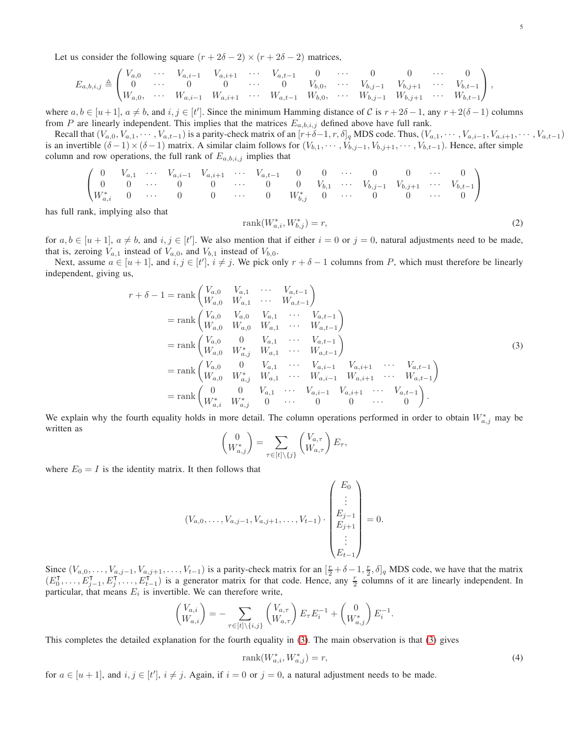Let us consider the following square  $(r + 2\delta - 2) \times (r + 2\delta - 2)$  matrices,

$$
E_{a,b,i,j} \triangleq \begin{pmatrix} V_{a,0} & \cdots & V_{a,i-1} & V_{a,i+1} & \cdots & V_{a,t-1} & 0 & \cdots & 0 & 0 & \cdots & 0 \\ 0 & \cdots & 0 & 0 & \cdots & 0 & V_{b,0}, & \cdots & V_{b,j-1} & V_{b,j+1} & \cdots & V_{b,t-1} \\ W_{a,0}, & \cdots & W_{a,i-1} & W_{a,i+1} & \cdots & W_{a,t-1} & W_{b,0}, & \cdots & W_{b,j-1} & W_{b,j+1} & \cdots & W_{b,t-1} \end{pmatrix},
$$

where  $a, b \in [u+1], a \neq b$ , and  $i, j \in [t']$ . Since the minimum Hamming distance of C is  $r + 2\delta - 1$ , any  $r + 2(\delta - 1)$  columns from P are linearly independent. This implies that the matrices  $E_{a,b,i,j}$  defined above have full rank.

Recall that  $(V_{a,0}, V_{a,1}, \cdots, V_{a,t-1})$  is a parity-check matrix of an  $[r+\delta-1, r, \delta]_q$  MDS code. Thus,  $(V_{a,1}, \cdots, V_{a,i-1}, V_{a,i+1}, \cdots, V_{a,t-1})$ is an invertible  $(\delta -1) \times (\delta -1)$  matrix. A similar claim follows for  $(V_{b,1}, \cdots, V_{b,j-1}, V_{b,j+1}, \cdots, V_{b,t-1})$ . Hence, after simple column and row operations, the full rank of  $E_{a,b,i,j}$  implies that

$$
\begin{pmatrix}\n0 & V_{a,1} & \cdots & V_{a,i-1} & V_{a,i+1} & \cdots & V_{a,t-1} & 0 & 0 & \cdots & 0 & 0 & \cdots & 0 \\
0 & 0 & \cdots & 0 & 0 & \cdots & 0 & 0 & V_{b,1} & \cdots & V_{b,j-1} & V_{b,j+1} & \cdots & V_{b,t-1} \\
W_{a,i}^* & 0 & \cdots & 0 & 0 & \cdots & 0 & W_{b,j}^* & 0 & \cdots & 0 & 0 & \cdots & 0\n\end{pmatrix}
$$

has full rank, implying also that

<span id="page-4-1"></span>
$$
rank(W_{a,i}^*, W_{b,j}^*) = r,
$$
\n(2)

for  $a, b \in [u+1]$ ,  $a \neq b$ , and  $i, j \in [t']$ . We also mention that if either  $i = 0$  or  $j = 0$ , natural adjustments need to be made, that is, zeroing  $V_{a,1}$  instead of  $V_{a,0}$ , and  $V_{b,1}$  instead of  $V_{b,0}$ .

Next, assume  $a \in [u+1]$ , and  $i, j \in [t']$ ,  $i \neq j$ . We pick only  $r + \delta - 1$  columns from P, which must therefore be linearly independent, giving us,

$$
r + \delta - 1 = \operatorname{rank}\begin{pmatrix} V_{a,0} & V_{a,1} & \cdots & V_{a,t-1} \\ W_{a,0} & W_{a,1} & \cdots & W_{a,t-1} \end{pmatrix}
$$
  
\n
$$
= \operatorname{rank}\begin{pmatrix} V_{a,0} & V_{a,0} & V_{a,1} & \cdots & V_{a,t-1} \\ W_{a,0} & W_{a,0} & W_{a,1} & \cdots & W_{a,t-1} \end{pmatrix}
$$
  
\n
$$
= \operatorname{rank}\begin{pmatrix} V_{a,0} & 0 & V_{a,1} & \cdots & V_{a,t-1} \\ W_{a,0} & W_{a,j}^* & W_{a,1} & \cdots & W_{a,t-1} \end{pmatrix}
$$
  
\n
$$
= \operatorname{rank}\begin{pmatrix} V_{a,0} & 0 & V_{a,1} & \cdots & V_{a,i-1} & V_{a,i+1} & \cdots & V_{a,t-1} \\ W_{a,0} & W_{a,j}^* & W_{a,1} & \cdots & W_{a,i-1} & W_{a,i+1} & \cdots & W_{a,t-1} \end{pmatrix}
$$
  
\n
$$
= \operatorname{rank}\begin{pmatrix} 0 & 0 & V_{a,1} & \cdots & V_{a,i-1} & V_{a,i+1} & \cdots & V_{a,t-1} \\ W_{a,i}^* & W_{a,j}^* & 0 & \cdots & 0 & 0 & \cdots & 0 \end{pmatrix}.
$$
 (3)

<span id="page-4-0"></span>We explain why the fourth equality holds in more detail. The column operations performed in order to obtain  $W^*_{a,j}$  may be written as

$$
\begin{pmatrix} 0 \\ W_{a,j}^* \end{pmatrix} = \sum_{\tau \in [t] \setminus \{j\}} \begin{pmatrix} V_{a,\tau} \\ W_{a,\tau} \end{pmatrix} E_{\tau},
$$

where  $E_0 = I$  is the identity matrix. It then follows that

$$
(V_{a,0},\ldots,V_{a,j-1},V_{a,j+1},\ldots,V_{t-1})\cdot\begin{pmatrix}E_0\\ \vdots\\ E_{j-1}\\ E_{j+1}\\ \vdots\\ E_{t-1}\end{pmatrix}=0.
$$

Since  $(V_{a,0},...,V_{a,j-1},V_{a,j+1},...,V_{t-1})$  is a parity-check matrix for an  $[\frac{r}{2}+\delta-1,\frac{r}{2},\delta]_q$  MDS code, we have that the matrix  $(E_0^{\mathsf{T}}, \ldots, E_{j-1}^{\mathsf{T}}, E_j^{\mathsf{T}}, \ldots, E_{t-1}^{\mathsf{T}})$  is a generator matrix for that code. Hence, any  $\frac{r}{2}$  columns of it are linearly independent. In particular, that means  $E_i$  is invertible. We can therefore write,

$$
\begin{pmatrix} V_{a,i} \\ W_{a,i} \end{pmatrix} = - \sum_{\tau \in [t] \backslash \{i,j\}} \begin{pmatrix} V_{a,\tau} \\ W_{a,\tau} \end{pmatrix} E_{\tau} E_{i}^{-1} + \begin{pmatrix} 0 \\ W_{a,j}^{*} \end{pmatrix} E_{i}^{-1}
$$

This completes the detailed explanation for the fourth equality in [\(3\)](#page-4-0). The main observation is that [\(3\)](#page-4-0) gives

<span id="page-4-2"></span>
$$
rank(W_{a,i}^*, W_{a,j}^*) = r,\t\t(4)
$$

.

for  $a \in [u+1]$ , and  $i, j \in [t']$ ,  $i \neq j$ . Again, if  $i = 0$  or  $j = 0$ , a natural adjustment needs to be made.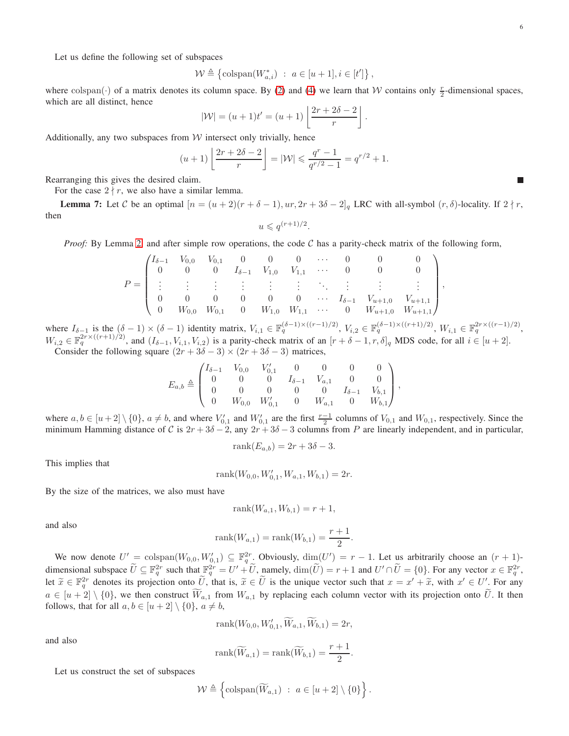П

Let us define the following set of subspaces

$$
\mathcal{W} \triangleq \left\{ \mathit{colspan}(W^*_{a,i}) \ : \ a \in [u+1], i \in [t'] \right\},\
$$

where colspan( $\cdot$ ) of a matrix denotes its column space. By [\(2\)](#page-4-1) and [\(4\)](#page-4-2) we learn that W contains only  $\frac{r}{2}$ -dimensional spaces, which are all distinct, hence

$$
|\mathcal{W}| = (u+1)t' = (u+1)\left\lfloor \frac{2r+2\delta-2}{r} \right\rfloor
$$

.

,

Additionally, any two subspaces from  $W$  intersect only trivially, hence

$$
(u+1)\left\lfloor \frac{2r+2\delta-2}{r} \right\rfloor = |\mathcal{W}| \leqslant \frac{q^r-1}{q^{r/2}-1} = q^{r/2} + 1.
$$

Rearranging this gives the desired claim.

For the case  $2 \nmid r$ , we also have a similar lemma.

<span id="page-5-0"></span>**Lemma 7:** Let C be an optimal  $[n = (u + 2)(r + \delta - 1), ur, 2r + 3\delta - 2]_q$  LRC with all-symbol  $(r, \delta)$ -locality. If  $2 \nmid r$ , then

$$
u \leqslant q^{(r+1)/2}.
$$

*Proof:* By Lemma [2,](#page-2-2) and after simple row operations, the code  $C$  has a parity-check matrix of the following form,

$$
P = \begin{pmatrix} I_{\delta-1} & V_{0,0} & V_{0,1} & 0 & 0 & 0 & \cdots & 0 & 0 & 0 \\ 0 & 0 & 0 & I_{\delta-1} & V_{1,0} & V_{1,1} & \cdots & 0 & 0 & 0 \\ \vdots & \vdots & \vdots & \vdots & \vdots & \vdots & \ddots & \vdots & \vdots & \vdots \\ 0 & 0 & 0 & 0 & 0 & 0 & \cdots & I_{\delta-1} & V_{u+1,0} & V_{u+1,1} \\ 0 & W_{0,0} & W_{0,1} & 0 & W_{1,0} & W_{1,1} & \cdots & 0 & W_{u+1,0} & W_{u+1,1} \end{pmatrix}
$$

where  $I_{\delta-1}$  is the  $(\delta-1) \times (\delta-1)$  identity matrix,  $V_{i,1} \in \mathbb{F}_q^{(\delta-1) \times ((r-1)/2)}$ ,  $V_{i,2} \in \mathbb{F}_q^{(\delta-1) \times ((r+1)/2)}$ ,  $W_{i,1} \in \mathbb{F}_q^{2r \times ((r-1)/2)}$ ,  $W_{i,2} \in \mathbb{F}_q^{2r \times ((r+1)/2)}$ , and  $(I_{\delta-1}, V_{i,1}, V_{i,2})$  is a parity-check matrix of an  $[r+\delta-1, r, \delta]_q$  MDS code, for all  $i \in [u+2]$ .

Consider the following square  $(2r + 3\delta - 3) \times (2r + 3\delta - 3)$  matrices,

$$
E_{a,b} \triangleq \begin{pmatrix} I_{\delta-1} & V_{0,0} & V'_{0,1} & 0 & 0 & 0 & 0 \\ 0 & 0 & 0 & I_{\delta-1} & V_{a,1} & 0 & 0 \\ 0 & 0 & 0 & 0 & 0 & I_{\delta-1} & V_{b,1} \\ 0 & W_{0,0} & W'_{0,1} & 0 & W_{a,1} & 0 & W_{b,1} \end{pmatrix},
$$

where  $a, b \in [u+2] \setminus \{0\}$ ,  $a \neq b$ , and where  $V'_{0,1}$  and  $W'_{0,1}$  are the first  $\frac{r-1}{2}$  columns of  $V_{0,1}$  and  $W_{0,1}$ , respectively. Since the minimum Hamming distance of C is  $2r + 3\delta - 2$ , any  $2r + 3\delta - 3$  columns from P are linearly independent, and in particular,

$$
rank(E_{a,b}) = 2r + 3\delta - 3.
$$

This implies that

$$
rank(W_{0,0}, W'_{0,1}, W_{a,1}, W_{b,1}) = 2r.
$$

By the size of the matrices, we also must have

$$
rank(W_{a,1}, W_{b,1}) = r + 1,
$$

and also

rank
$$
(W_{a,1})
$$
 = rank $(W_{b,1})$  =  $\frac{r+1}{2}$ .

We now denote  $U' = \text{colspan}(W_{0,0}, W'_{0,1}) \subseteq \mathbb{F}_q^{2r}$ . Obviously,  $\dim(U') = r - 1$ . Let us arbitrarily choose an  $(r + 1)$ dimensional subspace  $\overline{U} \subseteq \mathbb{F}_q^{2r}$  such that  $\mathbb{F}_q^{2r} = U' + \overline{U}$ , namely,  $\dim(\overline{U}) = r + 1$  and  $U' \cap \overline{U} = \{0\}$ . For any vector  $x \in \mathbb{F}_q^{2r}$ , let  $\widetilde{x} \in \mathbb{F}_q^{2r}$  denotes its projection onto  $\widetilde{U}$ , that is,  $\widetilde{x} \in \widetilde{U}$  is the unique vector such that  $x = x' + \widetilde{x}$ , with  $x' \in U'$ . For any  $a \in [u+2] \setminus \{0\}$ , we then construct  $W_{a,1}$  from  $W_{a,1}$  by replacing each column vector with its projection onto U. It then follows, that for all  $a, b \in [u+2] \setminus \{0\}, a \neq b$ ,

$$
rank(W_{0,0}, W'_{0,1}, W_{a,1}, W_{b,1}) = 2r,
$$

and also

$$
rank(\widetilde{W}_{a,1}) = rank(\widetilde{W}_{b,1}) = \frac{r+1}{2}.
$$

Let us construct the set of subspaces

$$
\mathcal{W} \triangleq \left\{\text{colspan}(\widetilde{W}_{a,1}) \ : \ a \in [u+2] \setminus \{0\} \right\}.
$$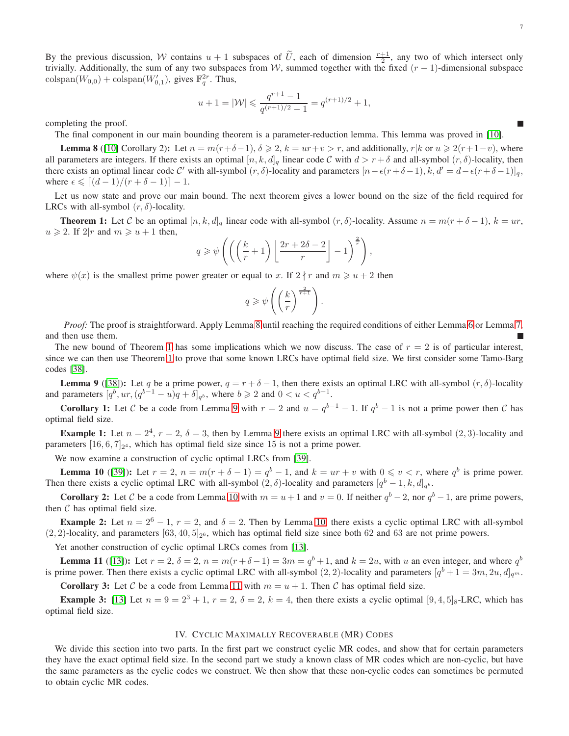By the previous discussion, W contains  $u + 1$  subspaces of  $\tilde{U}$ , each of dimension  $\frac{r+1}{2}$ , any two of which intersect only trivially. Additionally, the sum of any two subspaces from W, summed together with the fixed  $(r - 1)$ -dimensional subspace  $\text{colspan}(W_{0,0}) + \text{colspan}(W'_{0,1}),$  gives  $\mathbb{F}_q^{2r}$ . Thus,

$$
u + 1 = |\mathcal{W}| \leqslant \frac{q^{r+1} - 1}{q^{(r+1)/2} - 1} = q^{(r+1)/2} + 1,
$$

completing the proof.

The final component in our main bounding theorem is a parameter-reduction lemma. This lemma was proved in [\[10\]](#page-25-8).

<span id="page-6-1"></span>**Lemma 8** ([\[10\]](#page-25-8) Corollary 2): Let  $n = m(r+\delta-1)$ ,  $\delta \ge 2$ ,  $k = ur+v > r$ , and additionally,  $r|k$  or  $u \ge 2(r+1-v)$ , where all parameters are integers. If there exists an optimal  $[n, k, d]_q$  linear code C with  $d > r + \delta$  and all-symbol  $(r, \delta)$ -locality, then there exists an optimal linear code C' with all-symbol  $(r, \delta)$ -locality and parameters  $[n-\epsilon(r+\delta-1), k, d' = d-\epsilon(r+\delta-1)]_q$ , where  $\epsilon \leqslant [(d-1)/(r+\delta-1)]-1$ .

Let us now state and prove our main bound. The next theorem gives a lower bound on the size of the field required for LRCs with all-symbol  $(r, \delta)$ -locality.

<span id="page-6-2"></span>**Theorem 1:** Let C be an optimal  $[n, k, d]_q$  linear code with all-symbol  $(r, \delta)$ -locality. Assume  $n = m(r + \delta - 1)$ ,  $k = ur$ ,  $u \geq 2$ . If  $2|r$  and  $m \geq u+1$  then,

$$
q \geqslant \psi \left( \left( \left( \frac{k}{r} + 1 \right) \left[ \frac{2r + 2\delta - 2}{r} \right] - 1 \right)^{\frac{2}{r}} \right),
$$

where  $\psi(x)$  is the smallest prime power greater or equal to x. If  $2 \nmid r$  and  $m \geq u + 2$  then

$$
q\geqslant \psi\left(\left(\frac{k}{r}\right)^{\frac{2}{r+1}}\right).
$$

*Proof:* The proof is straightforward. Apply Lemma [8](#page-6-1) until reaching the required conditions of either Lemma [6](#page-3-2) or Lemma [7,](#page-5-0) and then use them.

The new bound of Theorem [1](#page-6-2) has some implications which we now discuss. The case of  $r = 2$  is of particular interest, since we can then use Theorem [1](#page-6-2) to prove that some known LRCs have optimal field size. We first consider some Tamo-Barg codes [\[38\]](#page-26-12).

<span id="page-6-3"></span>**Lemma 9** ([\[38\]](#page-26-12)): Let q be a prime power,  $q = r + \delta - 1$ , then there exists an optimal LRC with all-symbol  $(r, \delta)$ -locality and parameters  $[q^b, ur, (q^{b-1} - u)q + \delta]_{q^b}$ , where  $b \geq 2$  and  $0 < u < q^{b-1}$ .

**Corollary 1:** Let C be a code from Lemma [9](#page-6-3) with  $r = 2$  and  $u = q^{b-1} - 1$ . If  $q^b - 1$  is not a prime power then C has optimal field size.

**Example 1:** Let  $n = 2^4$ ,  $r = 2$ ,  $\delta = 3$ , then by Lemma [9](#page-6-3) there exists an optimal LRC with all-symbol  $(2, 3)$ -locality and parameters  $[16, 6, 7]_{2^4}$ , which has optimal field size since 15 is not a prime power.

We now examine a construction of cyclic optimal LRCs from [\[39\]](#page-26-19).

<span id="page-6-4"></span>**Lemma 10** ([\[39\]](#page-26-19)): Let  $r = 2$ ,  $n = m(r + \delta - 1) = q^b - 1$ , and  $k = ur + v$  with  $0 \le v < r$ , where  $q^b$  is prime power. Then there exists a cyclic optimal LRC with all-symbol  $(2, \delta)$ -locality and parameters  $[q^b - 1, k, d]_{q^b}$ .

**Corollary 2:** Let C be a code from Lemma [10](#page-6-4) with  $m = u + 1$  and  $v = 0$ . If neither  $q^b - 2$ , nor  $q^b - 1$ , are prime powers, then  $C$  has optimal field size.

**Example 2:** Let  $n = 2^6 - 1$ ,  $r = 2$ , and  $\delta = 2$ . Then by Lemma [10,](#page-6-4) there exists a cyclic optimal LRC with all-symbol  $(2, 2)$ -locality, and parameters  $[63, 40, 5]_{2^6}$ , which has optimal field size since both 62 and 63 are not prime powers.

Yet another construction of cyclic optimal LRCs comes from [\[13\]](#page-25-7).

<span id="page-6-5"></span>**Lemma 11** ([\[13\]](#page-25-7)): Let  $r = 2$ ,  $\delta = 2$ ,  $n = m(r + \delta - 1) = 3m = q^b + 1$ , and  $k = 2u$ , with u an even integer, and where  $q^b$ is prime power. Then there exists a cyclic optimal LRC with all-symbol  $(2, 2)$ -locality and parameters  $[q^b + 1 = 3m, 2u, d]_{q^m}$ .

**Corollary 3:** Let C be a code from Lemma [11](#page-6-5) with  $m = u + 1$ . Then C has optimal field size.

**Example 3:** [\[13\]](#page-25-7) Let  $n = 9 = 2^3 + 1$ ,  $r = 2$ ,  $\delta = 2$ ,  $k = 4$ , then there exists a cyclic optimal  $[9, 4, 5]_8$ -LRC, which has optimal field size.

#### IV. CYCLIC MAXIMALLY RECOVERABLE (MR) CODES

<span id="page-6-0"></span>We divide this section into two parts. In the first part we construct cyclic MR codes, and show that for certain parameters they have the exact optimal field size. In the second part we study a known class of MR codes which are non-cyclic, but have the same parameters as the cyclic codes we construct. We then show that these non-cyclic codes can sometimes be permuted to obtain cyclic MR codes.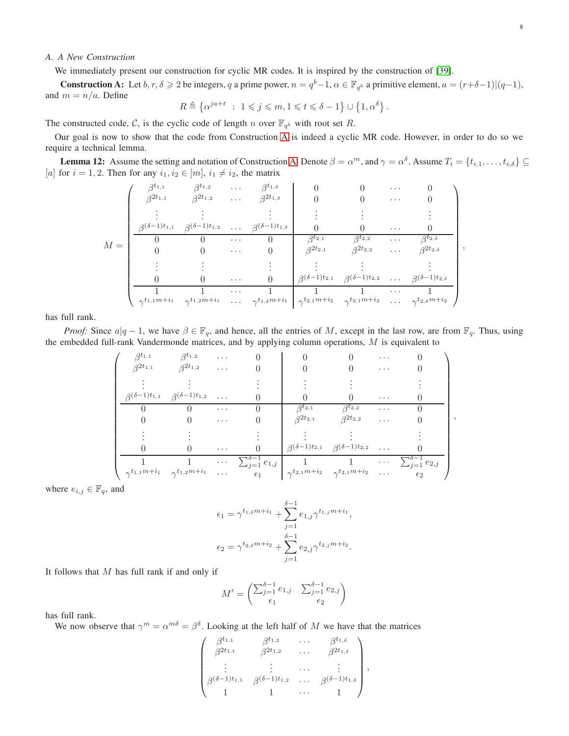# *A. A New Construction*

We immediately present our construction for cyclic MR codes. It is inspired by the construction of [\[39\]](#page-26-19).

<span id="page-7-0"></span>**Construction A:** Let  $b, r, \delta \ge 2$  be integers, q a prime power,  $n = q^b - 1$ ,  $\alpha \in \mathbb{F}_{q^b}$  a primitive element,  $a = (r + \delta - 1) | (q - 1)$ , and  $m = n/a$ . Define

$$
R \triangleq \left\{ \alpha^{ja+t} \ : \ 1 \leqslant j \leqslant m, 1 \leqslant t \leqslant \delta - 1 \right\} \cup \left\{ 1, \alpha^{\delta} \right\}.
$$

The constructed code, C, is the cyclic code of length n over  $\mathbb{F}_{q^b}$  with root set R.

Our goal is now to show that the code from Construction [A](#page-7-0) is indeed a cyclic MR code. However, in order to do so we require a technical lemma.

<span id="page-7-1"></span>**Lemma 12:** Assume the setting and notation of Construction [A.](#page-7-0) Denote  $\beta = \alpha^m$ , and  $\gamma = \alpha^{\delta}$ . Assume  $T_i = \{t_{i,1}, \dots, t_{i,\delta}\} \subseteq$ [a] for  $i = 1, 2$ . Then for any  $i_1, i_2 \in [m]$ ,  $i_1 \neq i_2$ , the matrix

$$
M = \begin{pmatrix} \beta^{t_{1,1}} & \beta^{t_{1,2}} & \cdots & \beta^{t_{1,\delta}} & 0 & 0 & \cdots & 0 \\ \beta^{2t_{1,1}} & \beta^{2t_{1,2}} & \cdots & \beta^{2t_{1,\delta}} & 0 & 0 & \cdots & 0 \\ \vdots & \vdots & \vdots & \vdots & \vdots & \vdots & \vdots \\ \frac{\beta^{(\delta-1)t_{1,1}} & \beta^{(\delta-1)t_{1,2}} & \cdots & \beta^{(\delta-1)t_{1,\delta}} & 0 & 0 & \cdots & 0 \\ 0 & 0 & \cdots & 0 & \beta^{t_{2,1}} & \beta^{t_{2,2}} & \cdots & \beta^{t_{2,\delta}} \\ \vdots & \vdots & \vdots & \vdots & \vdots & \vdots & \vdots \\ 0 & 0 & \cdots & 0 & \beta^{(t_{2,1}} & \beta^{(t_{2,2}} & \cdots & \beta^{2t_{2,\delta}} \\ \frac{1}{\gamma^{t_{1,1}m+i_1}} & \gamma^{t_{1,2}m+i_1} & \cdots & \gamma^{t_{1,\delta}m+i_1} & \gamma^{t_{2,1}m+i_2} & \gamma^{t_{2,1}m+i_2} & \cdots & \gamma^{t_{2,\delta}m+i_2} \end{pmatrix}
$$

has full rank.

*Proof:* Since  $a|q-1$ , we have  $\beta \in \mathbb{F}_q$ , and hence, all the entries of M, except in the last row, are from  $\mathbb{F}_q$ . Thus, using the embedded full-rank Vandermonde matrices, and by applying column operations, M is equivalent to

$$
\begin{pmatrix}\n\beta^{t_{1,1}} & \beta^{t_{1,2}} & \cdots & 0 & 0 & 0 & \cdots & 0 \\
\beta^{2t_{1,1}} & \beta^{2t_{1,2}} & \cdots & 0 & 0 & 0 & \cdots & 0 \\
\vdots & \vdots & \vdots & \vdots & \vdots & \vdots & \vdots \\
\beta^{(\delta-1)t_{1,1}} & \beta^{(\delta-1)t_{1,2}} & \cdots & 0 & \beta^{t_{2,1}} & \beta^{t_{2,2}} & \cdots & 0 \\
0 & 0 & \cdots & 0 & \beta^{2t_{2,1}} & \beta^{2t_{2,2}} & \cdots & 0 \\
\vdots & \vdots & \vdots & \ddots & \vdots & \vdots & \vdots \\
0 & 0 & \cdots & 0 & \beta^{(\delta-1)t_{2,1}} & \beta^{(\delta-1)t_{2,2}} & \cdots & 0 \\
\vdots & \vdots & \vdots & \ddots & \vdots & \vdots \\
0 & 0 & \cdots & 0 & \beta^{(\delta-1)t_{2,1}} & \beta^{(\delta-1)t_{2,2}} & \cdots & 0 \\
\hline\n1 & 1 & \cdots & \sum_{j=1}^{0-1} e_{1,j} & 1 & \cdots & \sum_{j=1}^{0-1} e_{2,j} \\
\gamma^{t_{1,1}m+i_1} & \gamma^{t_{1,2}m+i_1} & \cdots & \epsilon_1 & \gamma^{t_{2,1}m+i_2} & \gamma^{t_{2,1}m+i_2} & \cdots & \epsilon_2\n\end{pmatrix}
$$

where  $e_{i,j} \in \mathbb{F}_q$ , and

$$
\epsilon_1 = \gamma^{t_{1,\delta}m+i_1} + \sum_{j=1}^{\delta-1} e_{1,j} \gamma^{t_{1,j}m+i_1},
$$

$$
\epsilon_2 = \gamma^{t_{2,\delta}m+i_2} + \sum_{j=1}^{\delta-1} e_{2,j} \gamma^{t_{2,j}m+i_2}.
$$

It follows that  $M$  has full rank if and only if

$$
M' = \begin{pmatrix} \sum_{j=1}^{\delta - 1} e_{1,j} & \sum_{j=1}^{\delta - 1} e_{2,j} \\ \epsilon_1 & \epsilon_2 \end{pmatrix}
$$

has full rank.

We now observe that  $\gamma^m = \alpha^{m\delta} = \beta^{\delta}$ . Looking at the left half of M we have that the matrices

$$
\begin{pmatrix}\n\beta^{t_{1,1}} & \beta^{t_{1,2}} & \cdots & \beta^{t_{1,\delta}} \\
\beta^{2t_{1,1}} & \beta^{2t_{1,2}} & \cdots & \beta^{2t_{1,\delta}} \\
\vdots & \vdots & \cdots & \vdots \\
\beta^{(\delta-1)t_{1,1}} & \beta^{(\delta-1)t_{1,2}} & \cdots & \beta^{(\delta-1)t_{1,\delta}} \\
1 & 1 & \cdots & 1\n\end{pmatrix},
$$

,

,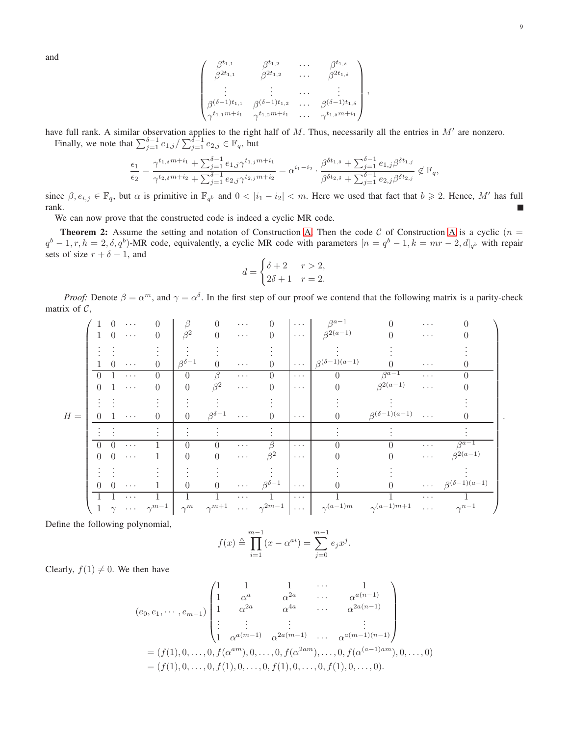and

$$
\begin{pmatrix}\n\beta^{t_{1,1}} & \beta^{t_{1,2}} & \cdots & \beta^{t_{1,\delta}} \\
\beta^{2t_{1,1}} & \beta^{2t_{1,2}} & \cdots & \beta^{2t_{1,\delta}} \\
\vdots & \vdots & \cdots & \vdots \\
\beta^{(\delta-1)t_{1,1}} & \beta^{(\delta-1)t_{1,2}} & \cdots & \beta^{(\delta-1)t_{1,\delta}} \\
\gamma^{t_{1,1}m+i_1} & \gamma^{t_{1,2}m+i_1} & \cdots & \gamma^{t_{1,\delta}m+i_1}\n\end{pmatrix},
$$

have full rank. A similar observation applies to the right half of  $M$ . Thus, necessarily all the entries in  $M'$  are nonzero.

Finally, we note that  $\sum_{j=1}^{\delta-1} e_{1,j} / \sum_{j=1}^{\delta-1} e_{2,j} \in \mathbb{F}_q$ , but

$$
\frac{\epsilon_1}{\epsilon_2} = \frac{\gamma^{t_{1, \delta} m + i_1} + \sum_{j=1}^{\delta-1} e_{1, j} \gamma^{t_{1, j} m + i_1}}{\gamma^{t_{2, \delta} m + i_2} + \sum_{j=1}^{\delta-1} e_{2, j} \gamma^{t_{2, j} m + i_2}} = \alpha^{i_1 - i_2} \cdot \frac{\beta^{\delta t_{1, \delta}} + \sum_{j=1}^{\delta-1} e_{1, j} \beta^{\delta t_{1, j}}}{\beta^{\delta t_{2, \delta}} + \sum_{j=1}^{\delta-1} e_{2, j} \beta^{\delta t_{2, j}}} \notin \mathbb{F}_q,
$$

since  $\beta, e_{i,j} \in \mathbb{F}_q$ , but  $\alpha$  is primitive in  $\mathbb{F}_{q^b}$  and  $0 < |i_1 - i_2| < m$ . Here we used that fact that  $b \geq 2$ . Hence, M' has full rank. г

We can now prove that the constructed code is indeed a cyclic MR code.

<span id="page-8-0"></span>**Theorem 2:** Assume the setting and notation of Construction [A.](#page-7-0) Then the code C of Construction [A](#page-7-0) is a cyclic  $(n = 1)$  $q^b-1, r, h=2, \delta, q^b$ )-MR code, equivalently, a cyclic MR code with parameters  $[n=q^b-1, k=mr-2, d]_{q^b}$  with repair sets of size  $r + \delta - 1$ , and

$$
d = \begin{cases} \delta + 2 & r > 2, \\ 2\delta + 1 & r = 2. \end{cases}
$$

*Proof:* Denote  $\beta = \alpha^m$ , and  $\gamma = \alpha^{\delta}$ . In the first step of our proof we contend that the following matrix is a parity-check matrix of  $C$ ,

|       |          |                  | $\cdots$ | $\Omega$                                 | ß                  | 0                  | $\cdots$   |                              | $\cdots$                     | $\beta^{a-1}$             |                           | $\cdots$             |                           |
|-------|----------|------------------|----------|------------------------------------------|--------------------|--------------------|------------|------------------------------|------------------------------|---------------------------|---------------------------|----------------------|---------------------------|
|       |          |                  | $\cdots$ | $\Omega$                                 | $\beta^2$          | $\Omega$           | $\cdots$   | $\Omega$                     |                              | $\cdots$ $\beta^{2(a-1)}$ |                           | $\cdots$             |                           |
|       |          |                  |          |                                          |                    |                    |            |                              |                              |                           |                           |                      |                           |
|       |          |                  | $\cdots$ | $^{(1)}$                                 | $\beta^{\delta-1}$ |                    | $\cdots$   |                              | $\ldots$ .                   | $\beta^{(\delta-1)(a-1)}$ |                           | $\cdots$             |                           |
|       | ∩        |                  | $\cdots$ | 0                                        | $\Omega$           | ß                  | $\cdots$   |                              | $\cdots$                     | $\Omega$                  | $\beta^{a-1}$             | $\cdots$             |                           |
|       | 0        |                  | $\cdots$ | $\Omega$                                 | $\theta$           | $\beta^2$          | $\ldots$   |                              | $\cdots$                     | 0                         | $\beta^{2(a-1)}$          | $\cdots$             |                           |
|       |          |                  |          |                                          |                    |                    |            |                              |                              |                           |                           |                      |                           |
| $H =$ | $\Omega$ | I.               | $\cdots$ | $\mathbf{0}$                             | $\Omega$           | $\beta^{\delta-1}$ | $\cdots$   |                              | $\alpha \rightarrow -\infty$ |                           | $\beta^{(\delta-1)(a-1)}$ |                      |                           |
|       |          |                  |          |                                          |                    |                    |            |                              |                              |                           |                           |                      |                           |
|       | $\Omega$ |                  | $\cdots$ |                                          | 0                  | 0                  | $\cdots$   | $\beta$                      | $\cdots$                     |                           |                           | $\cdots$             | $\beta^{a-1}$             |
|       |          | $\Omega$         | $\cdots$ |                                          | $\theta$           | $\theta$           | $\cdots$   | $\beta^2$                    | $\alpha \rightarrow -\infty$ |                           |                           | $\sim$ $\sim$ $\sim$ | $\beta^{2(a-1)}$          |
|       |          |                  |          |                                          |                    |                    |            |                              |                              |                           |                           |                      |                           |
|       |          | $\left( \right)$ | $\cdots$ |                                          | $\theta$           | $\overline{0}$     | $\ldots$ . | $\beta^{\delta-1}$           | $\cdots$                     |                           |                           | $\sim$ $\sim$ $\sim$ | $\beta^{(\delta-1)(a-1)}$ |
|       |          |                  | $\cdots$ |                                          |                    |                    | $\cdots$   |                              | $\cdots$                     |                           |                           | $\cdots$             |                           |
|       |          |                  |          | $\gamma \quad \cdots \quad \gamma^{m-1}$ | $\gamma^m$         | $\gamma^{m+1}$     |            | $\cdots \quad \gamma^{2m-1}$ | $\cdots$                     | $\gamma^{(a-1)m}$         | $\gamma^{(a-1)m+1}$       | $\sim$ $\sim$ $\sim$ | $\gamma^{n-1}$            |

Define the following polynomial,

$$
f(x) \triangleq \prod_{i=1}^{m-1} (x - \alpha^{ai}) = \sum_{j=0}^{m-1} e_j x^j.
$$

Clearly,  $f(1) \neq 0$ . We then have

$$
(e_0, e_1, \dots, e_{m-1})\begin{pmatrix} 1 & 1 & 1 & \cdots & 1 \\ 1 & \alpha^a & \alpha^{2a} & \cdots & \alpha^{a(n-1)} \\ 1 & \alpha^{2a} & \alpha^{4a} & \cdots & \alpha^{2a(n-1)} \\ \vdots & \vdots & \vdots & & \vdots \\ 1 & \alpha^{a(m-1)} & \alpha^{2a(m-1)} & \cdots & \alpha^{a(m-1)(n-1)} \end{pmatrix}
$$
  
=  $(f(1), 0, \dots, 0, f(\alpha^{am}), 0, \dots, 0, f(\alpha^{2am}), \dots, 0, f(\alpha^{(a-1)am}), 0, \dots, 0)$   
=  $(f(1), 0, \dots, 0, f(1), 0, \dots, 0, f(1), 0, \dots, 0, f(1), 0, \dots, 0).$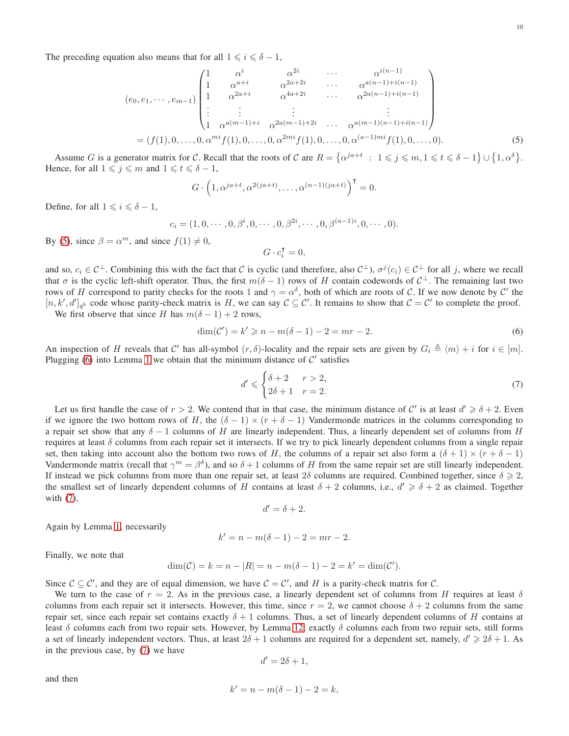$$
(e_0, e_1, \dots, e_{m-1})\begin{pmatrix} 1 & \alpha^i & \alpha^{2i} & \dots & \alpha^{i(n-1)} \\ 1 & \alpha^{a+i} & \alpha^{2a+2i} & \dots & \alpha^{a(n-1)+i(n-1)} \\ 1 & \alpha^{2a+i} & \alpha^{4a+2i} & \dots & \alpha^{2a(n-1)+i(n-1)} \\ \vdots & \vdots & \vdots & \vdots & \vdots \\ 1 & \alpha^{a(m-1)+i} & \alpha^{2a(m-1)+2i} & \dots & \alpha^{a(m-1)(n-1)+i(n-1)} \end{pmatrix}
$$
  
=  $(f(1), 0, \dots, 0, \alpha^{mi} f(1), 0, \dots, 0, \alpha^{2mi} f(1), 0, \dots, 0, \alpha^{(a-1)mi} f(1), 0, \dots, 0).$  (5)

Assume G is a generator matrix for C. Recall that the roots of C are  $R = \{ \alpha^{ja+t} : 1 \leq j \leq m, 1 \leq t \leq \delta - 1 \} \cup \{ 1, \alpha^{\delta} \}.$ Hence, for all  $1 \leq j \leq m$  and  $1 \leq t \leq \delta - 1$ ,

$$
G \cdot \left(1, \alpha^{ja+t}, \alpha^{2(ja+t)}, \dots, \alpha^{(n-1)(ja+t)}\right)^{\mathsf{T}} = 0.
$$

Define, for all  $1 \leq i \leq \delta - 1$ ,

$$
c_i = (1, 0, \cdots, 0, \beta^i, 0, \cdots, 0, \beta^{2i}, \cdots, 0, \beta^{(a-1)i}, 0, \cdots, 0).
$$

By [\(5\)](#page-9-0), since  $\beta = \alpha^m$ , and since  $f(1) \neq 0$ ,

<span id="page-9-0"></span>
$$
G\cdot c_i^{\mathsf{T}}=0,
$$

and so,  $c_i \in C^{\perp}$ . Combining this with the fact that C is cyclic (and therefore, also  $C^{\perp}$ ),  $\sigma^j(c_i) \in C^{\perp}$  for all j, where we recall that  $\sigma$  is the cyclic left-shift operator. Thus, the first  $m(\delta - 1)$  rows of H contain codewords of  $C^{\perp}$ . The remaining last two rows of H correspond to parity checks for the roots 1 and  $\gamma = \alpha^{\delta}$ , both of which are roots of C. If we now denote by C' the  $[n, k', d']_{q^b}$  code whose parity-check matrix is H, we can say  $C \subseteq C'$ . It remains to show that  $C = C'$  to complete the proof.

We first observe that since H has  $m(\delta - 1) + 2$  rows,

<span id="page-9-1"></span>
$$
\dim(\mathcal{C}') = k' \geqslant n - m(\delta - 1) - 2 = mr - 2. \tag{6}
$$

An inspection of H reveals that C' has all-symbol  $(r, \delta)$ -locality and the repair sets are given by  $G_i \triangleq \langle m \rangle + i$  for  $i \in [m]$ . Plugging [\(6\)](#page-9-1) into Lemma [1](#page-2-0) we obtain that the minimum distance of  $C'$  satisfies

<span id="page-9-2"></span>
$$
d' \leqslant \begin{cases} \delta + 2 & r > 2, \\ 2\delta + 1 & r = 2. \end{cases} \tag{7}
$$

Let us first handle the case of  $r > 2$ . We contend that in that case, the minimum distance of C' is at least  $d' \geq \delta + 2$ . Even if we ignore the two bottom rows of H, the  $(\delta - 1) \times (r + \delta - 1)$  Vandermonde matrices in the columns corresponding to a repair set show that any  $\delta - 1$  columns of H are linearly independent. Thus, a linearly dependent set of columns from H requires at least  $\delta$  columns from each repair set it intersects. If we try to pick linearly dependent columns from a single repair set, then taking into account also the bottom two rows of H, the columns of a repair set also form a  $(\delta + 1) \times (r + \delta - 1)$ Vandermonde matrix (recall that  $\gamma^m = \beta^{\delta}$ ), and so  $\delta + 1$  columns of H from the same repair set are still linearly independent. If instead we pick columns from more than one repair set, at least  $2\delta$  columns are required. Combined together, since  $\delta \geq 2$ , the smallest set of linearly dependent columns of H contains at least  $\delta + 2$  columns, i.e.,  $d' \geq \delta + 2$  as claimed. Together with [\(7\)](#page-9-2),

$$
d' = \delta + 2.
$$

Again by Lemma [1,](#page-2-0) necessarily

$$
k' = n - m(\delta - 1) - 2 = mr - 2.
$$

Finally, we note that

$$
\dim(\mathcal{C}) = k = n - |R| = n - m(\delta - 1) - 2 = k' = \dim(\mathcal{C}').
$$

Since  $C \subseteq C'$ , and they are of equal dimension, we have  $C = C'$ , and H is a parity-check matrix for C.

We turn to the case of  $r = 2$ . As in the previous case, a linearly dependent set of columns from H requires at least  $\delta$ columns from each repair set it intersects. However, this time, since  $r = 2$ , we cannot choose  $\delta + 2$  columns from the same repair set, since each repair set contains exactly  $\delta + 1$  columns. Thus, a set of linearly dependent columns of H contains at least δ columns each from two repair sets. However, by Lemma [12,](#page-7-1) exactly δ columns each from two repair sets, still forms a set of linearly independent vectors. Thus, at least  $2\delta + 1$  columns are required for a dependent set, namely,  $d' \geq 2\delta + 1$ . As in the previous case, by [\(7\)](#page-9-2) we have

$$
d'=2\delta+1,
$$

and then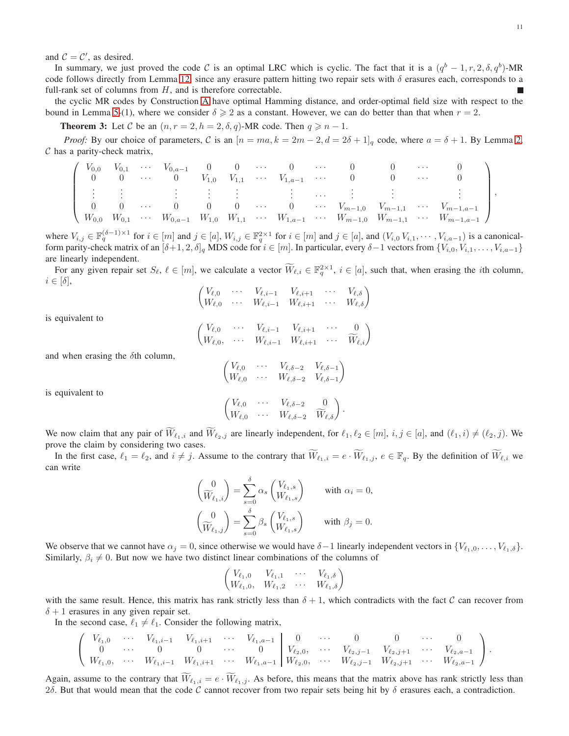and  $C = C'$ , as desired.

In summary, we just proved the code C is an optimal LRC which is cyclic. The fact that it is a  $(q^b - 1, r, 2, \delta, q^b)$ -MR code follows directly from Lemma [12,](#page-7-1) since any erasure pattern hitting two repair sets with  $\delta$  erasures each, corresponds to a full-rank set of columns from  $H$ , and is therefore correctable.

the cyclic MR codes by Construction [A](#page-7-0) have optimal Hamming distance, and order-optimal field size with respect to the bound in Lemma [5-](#page-3-1)(1), where we consider  $\delta \geq 2$  as a constant. However, we can do better than that when  $r = 2$ .

**Theorem 3:** Let C be an  $(n, r = 2, h = 2, \delta, q)$ -MR code. Then  $q \ge n - 1$ .

*Proof:* By our choice of parameters, C is an  $[n = ma, k = 2m - 2, d = 2\delta + 1]_q$  $[n = ma, k = 2m - 2, d = 2\delta + 1]_q$  $[n = ma, k = 2m - 2, d = 2\delta + 1]_q$  code, where  $a = \delta + 1$ . By Lemma 2,  $C$  has a parity-check matrix,

$$
\left(\begin{array}{cccccccccccccccc} V_{0,0} & V_{0,1} & \cdots & V_{0,a-1} & 0 & 0 & \cdots & 0 & \cdots & 0 & 0 & \cdots & 0 \\ 0 & 0 & \cdots & 0 & V_{1,0} & V_{1,1} & \cdots & V_{1,a-1} & \cdots & 0 & 0 & \cdots & 0 \\ \vdots & \vdots & \vdots & \vdots & \vdots & \vdots & \ddots & \vdots & \vdots & \vdots \\ 0 & 0 & \cdots & 0 & 0 & 0 & \cdots & 0 & \cdots & V_{m-1,0} & V_{m-1,1} & \cdots & V_{m-1,a-1} \\ W_{0,0} & W_{0,1} & \cdots & W_{0,a-1} & W_{1,0} & W_{1,1} & \cdots & W_{1,a-1} & \cdots & W_{m-1,0} & W_{m-1,1} & \cdots & W_{m-1,a-1} \end{array}\right),
$$

where  $V_{i,j} \in \mathbb{F}_q^{(\delta-1)\times 1}$  for  $i \in [m]$  and  $j \in [a]$ ,  $W_{i,j} \in \mathbb{F}_q^{2\times 1}$  for  $i \in [m]$  and  $j \in [a]$ , and  $(V_{i,0}, V_{i,1}, \dots, V_{i,a-1})$  is a canonicalform parity-check matrix of an  $[\delta+1, 2, \delta]_q$  MDS code for  $i \in [m]$ . In particular, every  $\delta-1$  vectors from  $\{V_{i,0}, V_{i,1}, \ldots, V_{i,a-1}\}$ are linearly independent.

For any given repair set  $S_{\ell}, \ell \in [m]$ , we calculate a vector  $\overline{W}_{\ell,i} \in \mathbb{F}_q^{2 \times 1}$ ,  $i \in [a]$ , such that, when erasing the *i*th column,  $i \in [\delta],$ 

$$
\begin{pmatrix}\nV_{\ell,0} & \cdots & V_{\ell,i-1} & V_{\ell,i+1} & \cdots & V_{\ell,\delta} \\
W_{\ell,0} & \cdots & W_{\ell,i-1} & W_{\ell,i+1} & \cdots & W_{\ell,\delta}\n\end{pmatrix}
$$
\n
$$
\begin{pmatrix}\nV_{\ell,0} & \cdots & V_{\ell,i-1} & V_{\ell,i+1} & \cdots & 0\n\end{pmatrix}
$$

is equivalent to

$$
\begin{pmatrix}\nV_{\ell,0} & \cdots & V_{\ell,i-1} & V_{\ell,i+1} & \cdots & 0 \\
W_{\ell,0}, & \cdots & W_{\ell,i-1} & W_{\ell,i+1} & \cdots & \widetilde{W}_{\ell,i}\n\end{pmatrix}
$$

and when erasing the  $\delta$ th column,

$$
\begin{pmatrix}\nV_{\ell,0} & \cdots & V_{\ell,\delta-2} & V_{\ell,\delta-1} \\
W_{\ell,0} & \cdots & W_{\ell,\delta-2} & V_{\ell,\delta-1}\n\end{pmatrix}
$$

is equivalent to

$$
\begin{pmatrix} V_{\ell,0} & \cdots & V_{\ell,\delta-2} & 0 \\ W_{\ell,0} & \cdots & W_{\ell,\delta-2} & \widetilde{W}_{\ell,\delta} \end{pmatrix}.
$$

We now claim that any pair of  $\widetilde{W}_{\ell_1,i}$  and  $\widetilde{W}_{\ell_2,j}$  are linearly independent, for  $\ell_1,\ell_2 \in [m], i,j \in [a]$ , and  $(\ell_1,i) \neq (\ell_2,j)$ . We prove the claim by considering two cases.

In the first case,  $\ell_1 = \ell_2$ , and  $i \neq j$ . Assume to the contrary that  $\widetilde{W}_{\ell_1,i} = e \cdot \widetilde{W}_{\ell_1,j}$ ,  $e \in \mathbb{F}_q$ . By the definition of  $\widetilde{W}_{\ell,i}$  we can write

$$
\begin{pmatrix}\n0 \\
\widetilde{W}_{\ell_1,i}\n\end{pmatrix} = \sum_{s=0}^{\delta} \alpha_s \begin{pmatrix} V_{\ell_1,s} \\ W_{\ell_1,s}\n\end{pmatrix} \text{ with } \alpha_i = 0,
$$
\n
$$
\begin{pmatrix}\n0 \\
\widetilde{W}_{\ell_1,j}\n\end{pmatrix} = \sum_{s=0}^{\delta} \beta_s \begin{pmatrix} V_{\ell_1,s} \\ W_{\ell_1,s}\n\end{pmatrix} \text{ with } \beta_j = 0.
$$

We observe that we cannot have  $\alpha_j = 0$ , since otherwise we would have  $\delta - 1$  linearly independent vectors in  $\{V_{\ell_1,0}, \ldots, V_{\ell_1, \delta}\}.$ Similarly,  $\beta_i \neq 0$ . But now we have two distinct linear combinations of the columns of

$$
\begin{pmatrix} V_{\ell_1,0} & V_{\ell_1,1} & \cdots & V_{\ell_1,\delta} \\ W_{\ell_1,0} & W_{\ell_1,2} & \cdots & W_{\ell_1,\delta} \end{pmatrix}
$$

with the same result. Hence, this matrix has rank strictly less than  $\delta + 1$ , which contradicts with the fact C can recover from  $\delta + 1$  erasures in any given repair set.

In the second case,  $\ell_1 \neq \ell_1$ . Consider the following matrix,

$$
\left(\begin{array}{ccccccccccc} V_{\ell_1,0} & \cdots & V_{\ell_1,i-1} & V_{\ell_1,i+1} & \cdots & V_{\ell_1,a-1} & 0 & \cdots & 0 & 0 & \cdots & 0 \\ 0 & \cdots & 0 & 0 & \cdots & 0 & V_{\ell_2,0}, & \cdots & V_{\ell_2,j-1} & V_{\ell_2,j+1} & \cdots & V_{\ell_2,a-1} \\ W_{\ell_1,0}, & \cdots & W_{\ell_1,i-1} & W_{\ell_1,i+1} & \cdots & W_{\ell_1,a-1} & W_{\ell_2,0}, & \cdots & W_{\ell_2,j-1} & W_{\ell_2,j+1} & \cdots & W_{\ell_2,a-1} \end{array}\right).
$$

Again, assume to the contrary that  $\widetilde{W}_{\ell_1,i} = e \cdot \widetilde{W}_{\ell_1,j}$ . As before, this means that the matrix above has rank strictly less than 2δ. But that would mean that the code C cannot recover from two repair sets being hit by δ erasures each, a contradiction.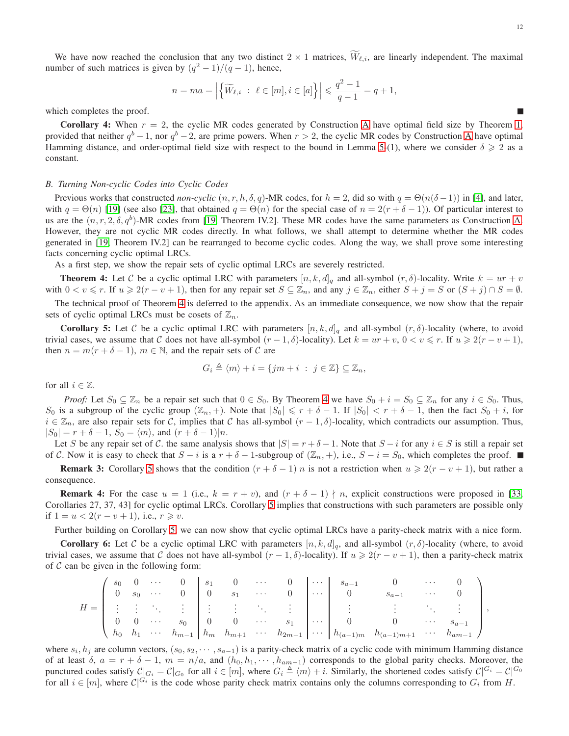We have now reached the conclusion that any two distinct  $2 \times 1$  matrices,  $\widetilde{W}_{\ell,i}$ , are linearly independent. The maximal number of such matrices is given by  $(q^2 - 1)/(q - 1)$ , hence,

$$
n = ma = \left| \left\{ \widetilde{W}_{\ell,i} \ : \ \ell \in [m], i \in [a] \right\} \right| \leq \frac{q^2 - 1}{q - 1} = q + 1,
$$

which completes the proof.

**Corollary 4:** When  $r = 2$ , the cyclic MR codes generated by Construction [A](#page-7-0) have optimal field size by Theorem [1,](#page-6-2) provided that neither  $q^b-1$ , nor  $q^b-2$ , are prime powers. When  $r > 2$ , the cyclic MR codes by Construction [A](#page-7-0) have optimal Hamming distance, and order-optimal field size with respect to the bound in Lemma [5-](#page-3-1)(1), where we consider  $\delta \geq 2$  as a constant.

# *B. Turning Non-cyclic Codes into Cyclic Codes*

Previous works that constructed *non-cyclic*  $(n, r, h, \delta, q)$ -MR codes, for  $h = 2$ , did so with  $q = \Theta(n(\delta - 1))$  in [\[4\]](#page-25-16), and later, with  $q = \Theta(n)$  [\[19\]](#page-26-20) (see also [\[23\]](#page-26-24), that obtained  $q = \Theta(n)$  for the special case of  $n = 2(r + \delta - 1)$ ). Of particular interest to us are the  $(n, r, 2, \delta, q^b)$ -MR codes from [\[19,](#page-26-20) Theorem IV.2]. These MR codes have the same parameters as Construction [A.](#page-7-0) However, they are not cyclic MR codes directly. In what follows, we shall attempt to determine whether the MR codes generated in [\[19,](#page-26-20) Theorem IV.2] can be rearranged to become cyclic codes. Along the way, we shall prove some interesting facts concerning cyclic optimal LRCs.

As a first step, we show the repair sets of cyclic optimal LRCs are severely restricted.

<span id="page-11-0"></span>**Theorem 4:** Let C be a cyclic optimal LRC with parameters  $[n, k, d]_q$  and all-symbol  $(r, \delta)$ -locality. Write  $k = ur + v$ with  $0 < v \le r$ . If  $u \ge 2(r - v + 1)$ , then for any repair set  $S \subseteq \mathbb{Z}_n$ , and any  $j \in \mathbb{Z}_n$ , either  $S + j = S$  or  $(S + j) \cap S = \emptyset$ .

The technical proof of Theorem [4](#page-11-0) is deferred to the appendix. As an immediate consequence, we now show that the repair sets of cyclic optimal LRCs must be cosets of  $\mathbb{Z}_n$ .

<span id="page-11-1"></span>**Corollary 5:** Let C be a cyclic optimal LRC with parameters  $[n, k, d]_q$  and all-symbol  $(r, \delta)$ -locality (where, to avoid trivial cases, we assume that C does not have all-symbol  $(r-1,\delta)$ -locality). Let  $k = ur + v$ ,  $0 < v \le r$ . If  $u \ge 2(r - v + 1)$ , then  $n = m(r + \delta - 1)$ ,  $m \in \mathbb{N}$ , and the repair sets of C are

$$
G_i \triangleq \langle m \rangle + i = \{ jm + i \; : \; j \in \mathbb{Z} \} \subseteq \mathbb{Z}_n,
$$

for all  $i \in \mathbb{Z}$ .

*Proof:* Let  $S_0 \subseteq \mathbb{Z}_n$  be a repair set such that  $0 \in S_0$ . By Theorem [4](#page-11-0) we have  $S_0 + i = S_0 \subseteq \mathbb{Z}_n$  for any  $i \in S_0$ . Thus, S<sub>0</sub> is a subgroup of the cyclic group  $(\mathbb{Z}_n, +)$ . Note that  $|S_0| \leq r + \delta - 1$ . If  $|S_0| < r + \delta - 1$ , then the fact  $S_0 + i$ , for  $i \in \mathbb{Z}_n$ , are also repair sets for C, implies that C has all-symbol  $(r-1,\delta)$ -locality, which contradicts our assumption. Thus,  $|S_0| = r + \delta - 1$ ,  $S_0 = \langle m \rangle$ , and  $(r + \delta - 1)|n$ .

Let S be any repair set of C. the same analysis shows that  $|S| = r + \delta - 1$ . Note that  $S - i$  for any  $i \in S$  is still a repair set of C. Now it is easy to check that  $S - i$  is a  $r + \delta - 1$ -subgroup of  $(\mathbb{Z}_n, +)$ , i.e.,  $S - i = S_0$ , which completes the proof. ■

**Remark 3:** Corollary [5](#page-11-1) shows that the condition  $(r + \delta - 1)|n$  is not a restriction when  $u \ge 2(r - v + 1)$ , but rather a consequence.

**Remark 4:** For the case  $u = 1$  (i.e.,  $k = r + v$ ), and  $(r + \delta - 1) \nmid n$ , explicit constructions were proposed in [\[33,](#page-26-18) Corollaries 27, 37, 43] for cyclic optimal LRCs. Corollary [5](#page-11-1) implies that constructions with such parameters are possible only if  $1 = u < 2(r - v + 1)$ , i.e.,  $r \ge v$ .

Further building on Corollary [5,](#page-11-1) we can now show that cyclic optimal LRCs have a parity-check matrix with a nice form.

<span id="page-11-2"></span>**Corollary 6:** Let C be a cyclic optimal LRC with parameters  $[n, k, d]_q$ , and all-symbol  $(r, \delta)$ -locality (where, to avoid trivial cases, we assume that C does not have all-symbol  $(r - 1, \delta)$ -locality). If  $u \geqslant 2(r - v + 1)$ , then a parity-check matrix of  $C$  can be given in the following form:

|       | $s_0$ 0 |  |                                          |  | $\cdots$ 0 $s_1$ 0 $\cdots$ 0     |                             | $\cdots$ $s_{a-1}$ |                                                                                                                                            | $\cdots$                            |                      |
|-------|---------|--|------------------------------------------|--|-----------------------------------|-----------------------------|--------------------|--------------------------------------------------------------------------------------------------------------------------------------------|-------------------------------------|----------------------|
|       |         |  | $s_0 \cdots 0 \mid 0 \quad s_1 \cdots 0$ |  |                                   | 1999 - I                    |                    | $S_{a-1}$                                                                                                                                  | $\sim 100$ km s $^{-1}$ , $\sim 10$ |                      |
| $H =$ |         |  |                                          |  |                                   |                             |                    |                                                                                                                                            |                                     |                      |
|       |         |  |                                          |  | $\cdots$ $s_0$ 0 0 $\cdots$ $s_1$ | $\frac{1}{2}$ $\frac{1}{2}$ | $\overline{0}$     |                                                                                                                                            |                                     | 0 $\cdots$ $s_{a-1}$ |
|       |         |  |                                          |  |                                   |                             |                    | $\left( h_0 \ h_1 \ \cdots \ h_{m-1} \ h_m \ h_{m+1} \ \cdots \ h_{2m-1} \ \cdots \ h_{(a-1)m} \ h_{(a-1)m+1} \ \cdots \ h_{am-1} \right)$ |                                     |                      |

where  $s_i, h_j$  are column vectors,  $(s_0, s_2, \dots, s_{a-1})$  is a parity-check matrix of a cyclic code with minimum Hamming distance of at least  $\delta$ ,  $a = r + \delta - 1$ ,  $m = n/a$ , and  $(h_0, h_1, \dots, h_{am-1})$  corresponds to the global parity checks. Moreover, the punctured codes satisfy  $\mathcal{C}|_{G_i} = \mathcal{C}|_{G_0}$  for all  $i \in [m]$ , where  $G_i \triangleq \langle m \rangle + i$ . Similarly, the shortened codes satisfy  $\mathcal{C}|^{G_i} = \mathcal{C}|^{G_0}$ for all  $i \in [m]$ , where  $\mathcal{C}|^{G_i}$  is the code whose parity check matrix contains only the columns corresponding to  $G_i$  from H.

п

,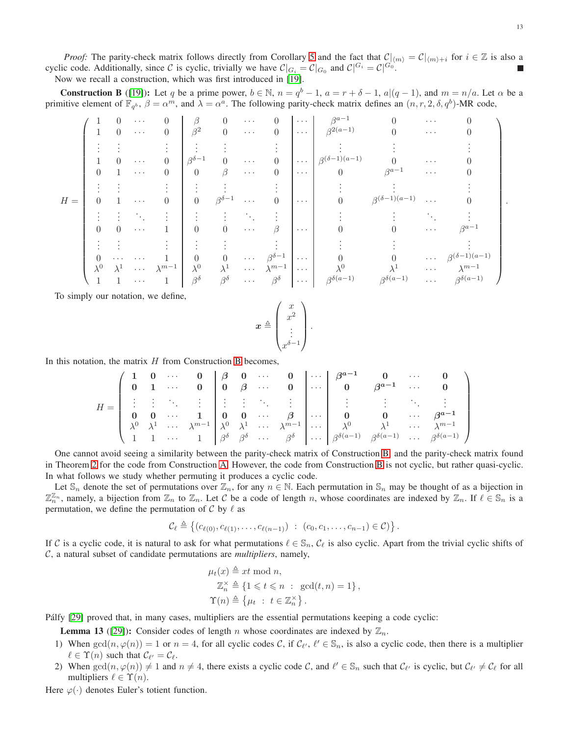*Proof:* The parity-check matrix follows directly from Corollary [5](#page-11-1) and the fact that  $C|_{\langle m \rangle} = C|_{\langle m \rangle + i}$  for  $i \in \mathbb{Z}$  is also a cyclic code. Additionally, since C is cyclic, trivially we have  $\mathcal{C}|_{G_i} = \mathcal{C}|_{G_0}$  and  $\mathcal{C}|^{G_i} = \mathcal{C}|^{G_0}$ . Now we recall a construction, which was first introduced in [\[19\]](#page-26-20).

<span id="page-12-0"></span>**Construction B** ([\[19\]](#page-26-20)): Let q be a prime power,  $b \in \mathbb{N}$ ,  $n = q^b - 1$ ,  $a = r + \delta - 1$ ,  $a|(q-1)$ , and  $m = n/a$ . Let  $\alpha$  be a primitive element of  $\mathbb{F}_{q^b}$ ,  $\beta = \alpha^m$ , and  $\lambda = \alpha^a$ . The following parity-check matrix defines an  $(n, r, 2, \delta, q^b)$ -MR code,

|       |             | $\cup$      | $\cdots$                          | 0               | ß                  |                    | $\cdots$             | 0                  | $\cdots$ | $\beta^{a-1}$             |                           | $\cdots$             |                           |  |
|-------|-------------|-------------|-----------------------------------|-----------------|--------------------|--------------------|----------------------|--------------------|----------|---------------------------|---------------------------|----------------------|---------------------------|--|
|       |             | $\Omega$    | $\cdots$                          | $\theta$        | $\beta^2$          | $\theta$           | $\ldots$             | $\theta$           | $\cdots$ | $\beta^{2(a-1)}$          |                           | $\cdots$             |                           |  |
|       |             |             |                                   |                 |                    |                    |                      |                    |          |                           |                           |                      |                           |  |
|       |             | $\theta$    | $\cdots$                          | $\theta$        | $\beta^{\delta-1}$ | 0                  | $\cdots$             |                    | $\cdots$ | $\beta^{(\delta-1)(a-1)}$ |                           | $\cdots$             |                           |  |
|       |             |             | $\cdots$                          | $\theta$        | $\overline{0}$     | ß                  | $\ldots$             | $\theta$           | $\cdots$ | $\theta$                  | $\beta^{a-1}$             | $\cdots$             |                           |  |
|       |             |             |                                   |                 |                    |                    |                      |                    |          |                           |                           |                      |                           |  |
| $H =$ | $\theta$    |             | $\alpha \rightarrow \alpha \beta$ | $\theta$        | $\boldsymbol{0}$   | $\beta^{\delta-1}$ | $\cdots$             |                    | $\cdots$ |                           | $\beta^{(\delta-1)(a-1)}$ | $\sim$ $\sim$ $\sim$ |                           |  |
|       |             |             |                                   |                 |                    |                    |                      |                    |          |                           |                           |                      |                           |  |
|       | $\theta$    | $\theta$    | $\alpha \rightarrow \alpha \beta$ |                 | $\theta$           | 0                  | $\ldots$             | ß                  | $\cdots$ |                           |                           | $\ldots$             | $\beta^{a-1}$             |  |
|       |             |             |                                   |                 |                    |                    |                      |                    |          |                           |                           |                      |                           |  |
|       | $\theta$    | $\cdots$    | $\cdots$                          |                 | 0                  | $\theta$           | $\sim$ $\sim$ $\sim$ | $\beta^{\delta-1}$ | $\cdots$ |                           |                           | $\sim$ $\sim$ $\sim$ | $\beta^{(\delta-1)(a-1)}$ |  |
|       | $\lambda^0$ | $\lambda^1$ | $\sim$ $\sim$ $\sim$              | $\lambda^{m-1}$ | $\lambda^0$        | $\lambda^1$        | $\ldots$ .           | $\lambda^{m-1}$    | $\cdots$ | ΛU                        |                           | $\ldots$ .           | $\lambda^{m-1}$           |  |
|       |             |             | $\cdots$                          |                 | $\beta^{\delta}$   | $\beta^{\delta}$   | $\ldots$ .           | $\beta^{\delta}$   | $\cdots$ | $\beta^{\delta(a-1)}$     | $\beta^{\delta(a-1)}$     | $\cdots$             | $\beta^{\delta(a-1)}$     |  |

To simply our notation, we define,

$$
\boldsymbol{x} \triangleq \begin{pmatrix} x \\ x^2 \\ \vdots \\ x^{\delta-1} \end{pmatrix}.
$$

In this notation, the matrix  $H$  from Construction [B](#page-12-0) becomes,

$$
H=\left(\begin{array}{cccccc|ccccc}1&0&\cdots&0&\beta&0&\cdots&0&\cdots&\beta^{a-1}&0&\cdots&0\\0&1&\cdots&0&0&\beta&\cdots&0&\cdots&0&\cdots&0\\ \vdots&\vdots&\ddots&\vdots&\vdots&\vdots&\ddots&\vdots&\vdots&\vdots&\ddots&\vdots\\0&0&\cdots&1&0&0&\cdots&\beta&\cdots&0&\cdots&\beta^{a-1}\\ \lambda^0&\lambda^1&\cdots&\lambda^{m-1}&\lambda^0&\lambda^1&\cdots&\lambda^{m-1}&\cdots&\lambda^0&\cdots&\lambda^{n-1}&\cdots&\lambda^{m-1}\\1&1&\cdots&1&\beta^{\delta}&\beta^{\delta}&\cdots&\beta^{\delta}&\cdots&\beta^{\delta} &\cdots&\beta^{\delta(a-1)}&\beta^{\delta(a-1)}&\cdots&\beta^{\delta(a-1)}&\cdots&\beta^{\delta(a-1)}\end{array}\right)
$$

One cannot avoid seeing a similarity between the parity-check matrix of Construction [B,](#page-12-0) and the parity-check matrix found in Theorem [2](#page-8-0) for the code from Construction [A.](#page-7-0) However, the code from Construction [B](#page-12-0) is not cyclic, but rather quasi-cyclic. In what follows we study whether permuting it produces a cyclic code.

Let  $\mathbb{S}_n$  denote the set of permutations over  $\mathbb{Z}_n$ , for any  $n \in \mathbb{N}$ . Each permutation in  $\mathbb{S}_n$  may be thought of as a bijection in  $\mathbb{Z}_n^{\mathbb{Z}_n}$ , namely, a bijection from  $\mathbb{Z}_n$  to  $\mathbb{Z}_n$ . Let C be a code of length n, whose coordinates are indexed by  $\mathbb{Z}_n$ . If  $\ell \in \mathbb{S}_n$  is a permutation, we define the permutation of  $\mathcal C$  by  $\ell$  as

$$
\mathcal{C}_{\ell} \triangleq \big\{ (c_{\ell(0)}, c_{\ell(1)}, \ldots, c_{\ell(n-1)}) \ : \ (c_0, c_1, \ldots, c_{n-1}) \in \mathcal{C} ) \big\}
$$

.

If C is a cyclic code, it is natural to ask for what permutations  $\ell \in \mathbb{S}_n$ ,  $\mathcal{C}_\ell$  is also cyclic. Apart from the trivial cyclic shifts of C, a natural subset of candidate permutations are *multipliers*, namely,

$$
\mu_t(x) \triangleq xt \mod n,
$$
  
\n
$$
\mathbb{Z}_n^{\times} \triangleq \{1 \leq t \leq n : \gcd(t, n) = 1\},
$$
  
\n
$$
\Upsilon(n) \triangleq \{\mu_t : t \in \mathbb{Z}_n^{\times}\}.
$$

Pálfy [\[29\]](#page-26-25) proved that, in many cases, multipliers are the essential permutations keeping a code cyclic:

<span id="page-12-1"></span>**Lemma 13** ([\[29\]](#page-26-25)): Consider codes of length n whose coordinates are indexed by  $\mathbb{Z}_n$ .

- 1) When  $gcd(n, \varphi(n)) = 1$  or  $n = 4$ , for all cyclic codes C, if  $\mathcal{C}_{\ell}, \ell' \in \mathbb{S}_n$ , is also a cyclic code, then there is a multiplier  $\ell \in \Upsilon(n)$  such that  $\mathcal{C}_{\ell'} = \mathcal{C}_{\ell}$ .
- 2) When  $gcd(n, \varphi(n)) \neq 1$  and  $n \neq 4$ , there exists a cyclic code C, and  $\ell' \in \mathbb{S}_n$  such that  $\mathcal{C}_{\ell'}$  is cyclic, but  $\mathcal{C}_{\ell'} \neq \mathcal{C}_{\ell}$  for all multipliers  $\ell \in \Upsilon(n)$ .

Here  $\varphi(\cdot)$  denotes Euler's totient function.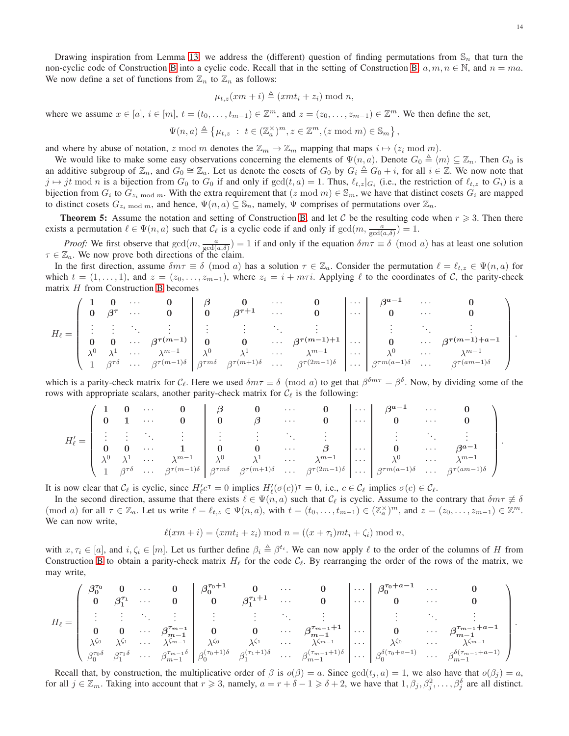Drawing inspiration from Lemma [13,](#page-12-1) we address the (different) question of finding permutations from  $\mathbb{S}_n$  that turn the non-cyclic code of Construction [B](#page-12-0) into a cyclic code. Recall that in the setting of Construction [B,](#page-12-0)  $a, m, n \in \mathbb{N}$ , and  $n = ma$ . We now define a set of functions from  $\mathbb{Z}_n$  to  $\mathbb{Z}_n$  as follows:

$$
\mu_{t,z}(xm+i) \triangleq (xmt_i + z_i) \bmod n,
$$

where we assume  $x \in [a], i \in [m], t = (t_0, \ldots, t_{m-1}) \in \mathbb{Z}^m$ , and  $z = (z_0, \ldots, z_{m-1}) \in \mathbb{Z}^m$ . We then define the set,

$$
\Psi(n,a) \triangleq \left\{ \mu_{t,z} ~:~ t \in (\mathbb{Z}_a^\times)^m, z \in \mathbb{Z}^m, (z \bmod m) \in \mathbb{S}_m \right\},\
$$

and where by abuse of notation, z mod m denotes the  $\mathbb{Z}_m \to \mathbb{Z}_m$  mapping that maps  $i \mapsto (z_i \mod m)$ .

We would like to make some easy observations concerning the elements of  $\Psi(n, a)$ . Denote  $G_0 \triangleq \langle m \rangle \subseteq \mathbb{Z}_n$ . Then  $G_0$  is an additive subgroup of  $\mathbb{Z}_n$ , and  $G_0 \cong \mathbb{Z}_a$ . Let us denote the cosets of  $G_0$  by  $G_i \triangleq G_0 + i$ , for all  $i \in \mathbb{Z}$ . We now note that  $j \mapsto jt \mod n$  is a bijection from  $G_0$  to  $G_0$  if and only if  $gcd(t, a) = 1$ . Thus,  $\ell_{t,z}|_{G_i}$  (i.e., the restriction of  $\ell_{t,z}$  to  $G_i$ ) is a bijection from  $G_i$  to  $G_{z_i \bmod m}$ . With the extra requirement that  $(z \bmod m) \in S_m$ , we have that distinct cosets  $G_i$  are mapped to distinct cosets  $G_{z_i \mod m}$ , and hence,  $\Psi(n, a) \subseteq \mathbb{S}_n$ , namely,  $\Psi$  comprises of permutations over  $\mathbb{Z}_n$ .

<span id="page-13-0"></span>**Theorem 5:** Assume the notation and setting of Construction [B,](#page-12-0) and let C be the resulting code when  $r \ge 3$ . Then there exists a permutation  $\ell \in \Psi(n, a)$  such that  $\mathcal{C}_{\ell}$  is a cyclic code if and only if  $gcd(m, \frac{a}{gcd(a, \delta)}) = 1$ .

*Proof:* We first observe that  $gcd(m, \frac{a}{gcd(a, \delta)}) = 1$  if and only if the equation  $\delta m \tau \equiv \delta \pmod{a}$  has at least one solution  $\tau \in \mathbb{Z}_a$ . We now prove both directions of the claim.

In the first direction, assume  $\delta m\tau \equiv \delta \pmod{a}$  has a solution  $\tau \in \mathbb{Z}_a$ . Consider the permutation  $\ell = \ell_{t,z} \in \Psi(n,a)$  for which  $t = (1, \ldots, 1)$ , and  $z = (z_0, \ldots, z_{m-1})$ , where  $z_i = i + m\tau i$ . Applying  $\ell$  to the coordinates of C, the parity-check matrix H from Construction [B](#page-12-0) becomes

$$
H_{\ell} = \left( \begin{array}{cccccc} 1 & 0 & \cdots & 0 \\ 0 & \beta^{\tau} & \cdots & 0 \\ \vdots & \vdots & \ddots & \vdots \\ 0 & 0 & \cdots & \beta^{\tau(m-1)} \\ \lambda^0 & \lambda^1 & \cdots & \lambda^{m-1} \\ 1 & \beta^{\tau\delta} & \cdots & \beta^{\tau(m-1)\delta} \end{array} \right| \left. \begin{array}{cccccc} \beta & 0 & \cdots & 0 \\ 0 & \beta^{\tau+1} & \cdots & 0 \\ \vdots & \vdots & \ddots & \vdots \\ 0 & 0 & \cdots & \beta^{\tau(m-1)+1} \\ \lambda^0 & \lambda^1 & \cdots & \lambda^{m-1} \\ \beta^{\tau m\delta} & \beta^{\tau(m+1)\delta} & \cdots & \beta^{\tau(2m-1)\delta} \end{array} \right) \left. \begin{array}{cccccc} \beta^{a-1} & \cdots & 0 \\ 0 & \cdots & 0 \\ \vdots & \vdots & \ddots & \vdots \\ 0 & \cdots & \beta^{\tau(m-1)+a-1} \\ \lambda^0 & \cdots & \lambda^{m-1} \\ \beta^{\tau m(a-1)\delta} & \cdots & \beta^{\tau(m-1)\delta} \end{array} \right).
$$

which is a parity-check matrix for  $C_{\ell}$ . Here we used  $\delta m\tau \equiv \delta \pmod{a}$  to get that  $\beta^{\delta m\tau} = \beta^{\delta}$ . Now, by dividing some of the rows with appropriate scalars, another parity-check matrix for  $C_{\ell}$  is the following:

$$
H'_{\ell} = \left( \begin{array}{cccccc} 1 & 0 & \cdots & 0 \\ 0 & 1 & \cdots & 0 \\ \vdots & \vdots & \ddots & \vdots \\ 0 & 0 & \cdots & 1 \\ \lambda^0 & \lambda^1 & \cdots & \lambda^{m-1} \\ 1 & \beta^{\tau\delta} & \cdots & \beta^{\tau(m-1)\delta} \end{array} \right) \begin{array}{c} \beta & 0 & \cdots & 0 \\ \beta & 0 & \cdots & 0 \\ \vdots & \vdots & \ddots & \vdots \\ 0 & 0 & \cdots & \beta \\ \beta^{\tau m\delta} & \beta^{\tau(m+1)\delta} & \cdots & \beta^{\tau(2m-1)\delta} \end{array} \right) \begin{array}{c} \cdots & \beta^{a-1} & \cdots & 0 \\ \cdots & 0 & \cdots & 0 \\ \vdots & \vdots & \ddots & \vdots \\ 0 & \cdots & \beta^{a-1} \\ \beta^{\tau m(a-1)\delta} & \cdots & \beta^{\tau(m-1)\delta} \end{array} \right).
$$

It is now clear that  $\mathcal{C}_{\ell}$  is cyclic, since  $H'_{\ell}c^{\dagger} = 0$  implies  $H'_{\ell}(\sigma(c))^{\dagger} = 0$ , i.e.,  $c \in \mathcal{C}_{\ell}$  implies  $\sigma(c) \in \mathcal{C}_{\ell}$ .

In the second direction, assume that there exists  $\ell \in \Psi(n, a)$  such that  $\mathcal{C}_{\ell}$  is cyclic. Assume to the contrary that  $\delta m\tau \neq \delta$ (mod a) for all  $\tau \in \mathbb{Z}_a$ . Let us write  $\ell = \ell_{t,z} \in \Psi(n,a)$ , with  $t = (t_0, \ldots, t_{m-1}) \in (\mathbb{Z}_a^{\times})^m$ , and  $z = (z_0, \ldots, z_{m-1}) \in \mathbb{Z}^m$ . We can now write,

$$
\ell(xm+i) = (xmt_i + z_i) \bmod n = ((x + \tau_i)mt_i + \zeta_i) \bmod n,
$$

with  $x, \tau_i \in [a]$ , and  $i, \zeta_i \in [m]$ . Let us further define  $\beta_i \triangleq \beta^{t_i}$ . We can now apply  $\ell$  to the order of the columns of H from Construction [B](#page-12-0) to obtain a parity-check matrix  $H_\ell$  for the code  $\mathcal{C}_\ell$ . By rearranging the order of the rows of the matrix, we may write,

$$
H_{\ell} = \left( \begin{array}{cccccc} \beta_0^{\tau_0} & 0 & \cdots & 0 \\ 0 & \beta_1^{\tau_1} & \cdots & 0 \\ \vdots & \vdots & \ddots & \vdots \\ 0 & 0 & \cdots & \beta_{m-1}^{\tau_{m-1}} \\ \lambda^{\zeta_0} & \lambda^{\zeta_1} & \cdots & \lambda^{\zeta_{m-1}} \\ \beta_0^{\tau_0\delta} & \beta_1^{\tau_1\delta} & \cdots & \beta_{m-1}^{\tau_{m-1}} \\ \end{array} \right| \left. \begin{array}{cccccc} \beta_0^{\tau_0+1} & 0 & \cdots & 0 \\ 0 & \beta_1^{\tau_1+1} & \cdots & 0 \\ \vdots & \vdots & \ddots & \vdots \\ 0 & 0 & \cdots & \beta_{m-1}^{\tau_{m-1}+1} \\ \lambda^{\zeta_0} & \lambda^{\zeta_1} & \cdots & \lambda^{\zeta_{m-1}} \\ \beta_0^{\tau_0\delta} & \beta_1^{\tau_1\delta} & \cdots & \beta_{m-1}^{\tau_{m-1}+\delta} \\ \end{array} \right) \cdot \left. \begin{array}{cccccc} \beta_0^{\tau_0+a-1} & \cdots & 0 \\ 0 & \cdots & 0 \\ \vdots & \vdots & \ddots & \vdots \\ 0 & \cdots & \beta_{m-1}^{\tau_{m-1}+a-1} \\ \lambda^{\zeta_0} & \lambda^{\zeta_1} & \cdots & \lambda^{\zeta_{m-1}} \\ \beta_0^{\delta(\tau_0+a-1)} & \cdots & \beta_{m-1}^{\delta(\tau_{m-1}+a-1)} \\ \end{array} \right) \cdot \nonumber \\ .
$$

Recall that, by construction, the multiplicative order of  $\beta$  is  $o(\beta) = a$ . Since  $gcd(t_j, a) = 1$ , we also have that  $o(\beta_j) = a$ , for all  $j \in \mathbb{Z}_m$ . Taking into account that  $r \geq 3$ , namely,  $a = r + \delta - 1 \geq \delta + 2$ , we have that  $1, \beta_j, \beta_j^2, \ldots, \beta_j^{\delta}$  are all distinct.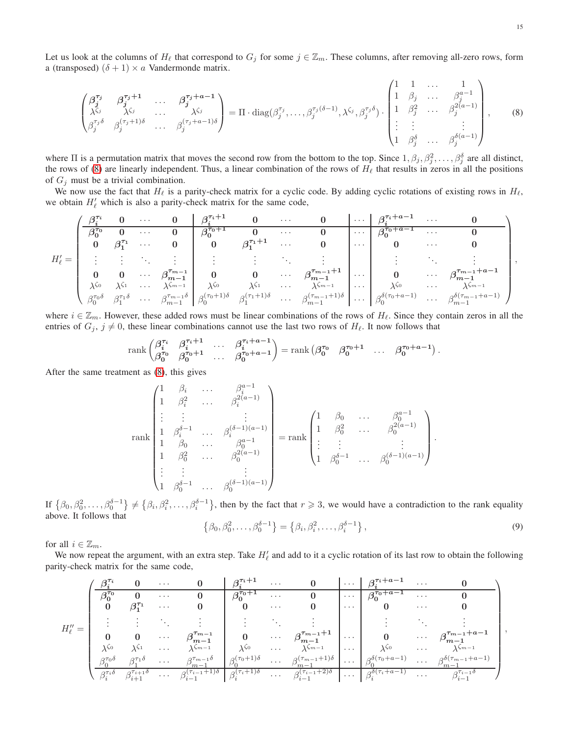Let us look at the columns of  $H_\ell$  that correspond to  $G_j$  for some  $j \in \mathbb{Z}_m$ . These columns, after removing all-zero rows, form a (transposed)  $(\delta + 1) \times a$  Vandermonde matrix.

<span id="page-14-0"></span>
$$
\begin{pmatrix}\n\beta_j^{\tau_j} & \beta_j^{\tau_j+1} & \dots & \beta_j^{\tau_j+a-1} \\
\lambda^{\zeta_j} & \lambda^{\zeta_j} & \dots & \lambda^{\zeta_j} \\
\beta_j^{\tau_j\delta} & \beta_j^{(\tau_j+1)\delta} & \dots & \beta_j^{(\tau_j+a-1)\delta}\n\end{pmatrix} = \Pi \cdot \text{diag}(\beta_j^{\tau_j}, \dots, \beta_j^{\tau_j(\delta-1)}, \lambda^{\zeta_j}, \beta_j^{\tau_j\delta}) \cdot \begin{pmatrix}\n1 & 1 & \dots & 1 \\
1 & \beta_j & \dots & \beta_j^{a-1} \\
1 & \beta_j^2 & \dots & \beta_j^{2(a-1)} \\
\vdots & \vdots & & \vdots \\
1 & \beta_j^{\delta} & \dots & \beta_j^{\delta(a-1)}\n\end{pmatrix},
$$
\n(8)

where  $\Pi$  is a permutation matrix that moves the second row from the bottom to the top. Since  $1, \beta_j, \beta_j^2, \ldots, \beta_j^{\delta}$  are all distinct, the rows of [\(8\)](#page-14-0) are linearly independent. Thus, a linear combination of the rows of  $H_\ell$  that results in zeros in all the positions of  $G_i$  must be a trivial combination.

We now use the fact that  $H_\ell$  is a parity-check matrix for a cyclic code. By adding cyclic rotations of existing rows in  $H_\ell$ , we obtain  $H'_\ell$  which is also a parity-check matrix for the same code,

$$
H'_{\ell}=\begin{pmatrix} \frac{\beta_i^{\tau_i} & 0 & \cdots & 0 & \beta_i^{\tau_i+1} & 0 & \cdots & 0 & \cdots & \beta_i^{\tau_i+a-1} & \cdots & 0 \\ \frac{\beta_0^{\tau_0} & 0 & \cdots & 0 & \beta_0^{\tau_0+1} & 0 & \cdots & 0 & \cdots & \beta_0^{\tau_0+a-1} & \cdots & 0 \\ 0 & \beta_1^{\tau_1} & \cdots & 0 & 0 & \beta_1^{\tau_1+1} & \cdots & 0 & \cdots & \beta_0^{\tau_0+a-1} & \cdots & 0 \\ \vdots & \vdots & \ddots & \vdots & \vdots & \vdots & \ddots & \vdots & \vdots & \ddots & \vdots \\ 0 & 0 & \cdots & \beta_{m-1}^{\tau_{m-1}} & 0 & 0 & \cdots & \beta_{m-1}^{\tau_{m-1}+1} & \cdots & 0 & \cdots & \beta_{m-1}^{\tau_{m-1}+a-1} \\ \lambda^{\zeta_0} & \lambda^{\zeta_1} & \cdots & \lambda^{\zeta_{m-1}} & \lambda^{\zeta_0} & \lambda^{\zeta_1} & \cdots & \lambda^{\zeta_{m-1}} & \cdots & \lambda^{\zeta_0} & \cdots & \lambda^{\zeta_{m-1}} & \lambda^{\zeta_0} & \cdots & \lambda^{\zeta_{m-1}+a-1} \\ \beta_0^{\tau_0\delta} & \beta_1^{\tau_1\delta} & \cdots & \beta_{m-1}^{\tau_{m-1}\delta} & \beta_0^{\zeta(\tau_0+1)\delta} & \beta_1^{\zeta(\tau_1+1)\delta} & \cdots & \beta_{m-1}^{\zeta(\tau_{m-1}+1)\delta} & \cdots & \beta_0^{\delta(\tau_0+a-1)} & \cdots & \beta_{m-1}^{\delta(\tau_{m-1}+a-1)} \end{pmatrix},
$$

where  $i \in \mathbb{Z}_m$ . However, these added rows must be linear combinations of the rows of  $H_\ell$ . Since they contain zeros in all the entries of  $G_j$ ,  $j \neq 0$ , these linear combinations cannot use the last two rows of  $H_\ell$ . It now follows that

$$
\operatorname{rank}\begin{pmatrix} \beta_i^{\tau_i} & \beta_i^{\tau_i+1} & \dots & \beta_i^{\tau_i+a-1} \\ \beta_0^{\tau_0} & \beta_0^{\tau_0+1} & \dots & \beta_0^{\tau_0+a-1} \end{pmatrix} = \operatorname{rank}\begin{pmatrix} \beta_0^{\tau_0} & \beta_0^{\tau_0+1} & \dots & \beta_0^{\tau_0+a-1} \end{pmatrix}
$$

After the same treatment as [\(8\)](#page-14-0), this gives

$$
\operatorname{rank}\begin{pmatrix}1 & \beta_i & \dots & \beta_i^{a-1} \\ 1 & \beta_i^2 & \dots & \beta_i^{2(a-1)} \\ \vdots & \vdots & & \vdots \\ 1 & \beta_0^{\delta-1} & \dots & \beta_0^{(\delta-1)(a-1)} \\ 1 & \beta_0 & \dots & \beta_0^{a-1} \\ 1 & \beta_0^2 & \dots & \beta_0^{2(a-1)} \\ \vdots & \vdots & & \vdots \\ 1 & \beta_0^{\delta-1} & \dots & \beta_0^{(\delta-1)(a-1)}\end{pmatrix} = \operatorname{rank}\begin{pmatrix}1 & \beta_0 & \dots & \beta_0^{a-1} \\ 1 & \beta_0^2 & \dots & \beta_0^{2(a-1)} \\ \vdots & \vdots & & \vdots \\ 1 & \beta_0^{\delta-1} & \dots & \beta_0^{(\delta-1)(a-1)}\end{pmatrix}.
$$

If  $\{\beta_0, \beta_0^2, \dots, \beta_0^{\delta-1}\}\neq \{\beta_i, \beta_i^2, \dots, \beta_i^{\delta-1}\}\$ , then by the fact that  $r \geq 3$ , we would have a contradiction to the rank equality above. It follows that

<span id="page-14-1"></span>
$$
\{\beta_0, \beta_0^2, \dots, \beta_0^{\delta - 1}\} = \{\beta_i, \beta_i^2, \dots, \beta_i^{\delta - 1}\},
$$
\n(9)

.

for all  $i \in \mathbb{Z}_m$ .

We now repeat the argument, with an extra step. Take  $H'_\ell$  and add to it a cyclic rotation of its last row to obtain the following parity-check matrix for the same code,

|                         |                         |                                | $\cdots$             |                                |                            | $\cdots$             |                                                 |                             | , $\tau_i + a - 1$         | $\cdots$                                                 |                               |
|-------------------------|-------------------------|--------------------------------|----------------------|--------------------------------|----------------------------|----------------------|-------------------------------------------------|-----------------------------|----------------------------|----------------------------------------------------------|-------------------------------|
|                         |                         |                                | $\cdots$             | U                              | $\bar{\beta}_0^{\tau_0+}$  | $\cdots$             |                                                 | $\sim$ $\sim$ $\sim$ $\sim$ | $\beta_0^{\tau_0+a-1}$     | $\cdots$                                                 |                               |
|                         | $\bf{0}$                |                                | $\cdots$             |                                |                            | $\cdots$             |                                                 | $\cdots$                    |                            | $\cdots$                                                 |                               |
| $H^{\prime\prime}_\ell$ |                         |                                |                      |                                |                            |                      |                                                 |                             |                            |                                                          |                               |
|                         |                         |                                | $\sim$ $\sim$ $\sim$ | $\frac{m-1}{m}$                | $0 \qquad \cdots$          |                      | $\beta_{m-1}^{\tau_{m-1}+1}$                    | $\cdots$                    | $0 \longrightarrow \cdots$ |                                                          | $a^{\tau_{m-1}+a-1}$          |
|                         | $\lambda \zeta_0$       |                                | $\cdots$             | $\lambda \zeta m-1$            | $\lambda^{\zeta_0}$        | $\sim$ $\sim$ $\sim$ | $\lambda \zeta m-1$                             | $\cdots$                    | $\lambda$ SO               | $\cdots$                                                 | $\lambda \zeta m - 1$         |
|                         | $\gamma\tau_0$ ბ        | $\Delta \tau_1$ $\delta$       | $\cdots$             | $A^{\tau_{m-1}\delta}$         | $\partial(\tau_0+1)\delta$ |                      | $\cdots \quad \beta_{m}^{(\tau_{m-1}+1)\delta}$ | $\bar{z}$ , $\bar{z}$       | $q_0(\tau_0+a-1)$          | $\mathbf{r}_i$ , and $\mathbf{r}_i$ , and $\mathbf{r}_i$ | $a^{o(\tau_{m-1}+a-1)}$       |
|                         | $\beta^{\tau_i \delta}$ | $\varphi^{\tau}$ i+1 $\varphi$ | $\cdots$             | $\beta^{(\tau_{i-1}+1)\delta}$ | $\beta^{(\tau_i+1)\delta}$ |                      | $\cdots$ $\beta_{i-1}^{(\tau_{i-1}+2)\delta}$   | $\sim 100$ .                | $a^{\delta(\tau_i+a-1)}$   | $\ldots$                                                 | $\varphi^{\tau_{i-1} \sigma}$ |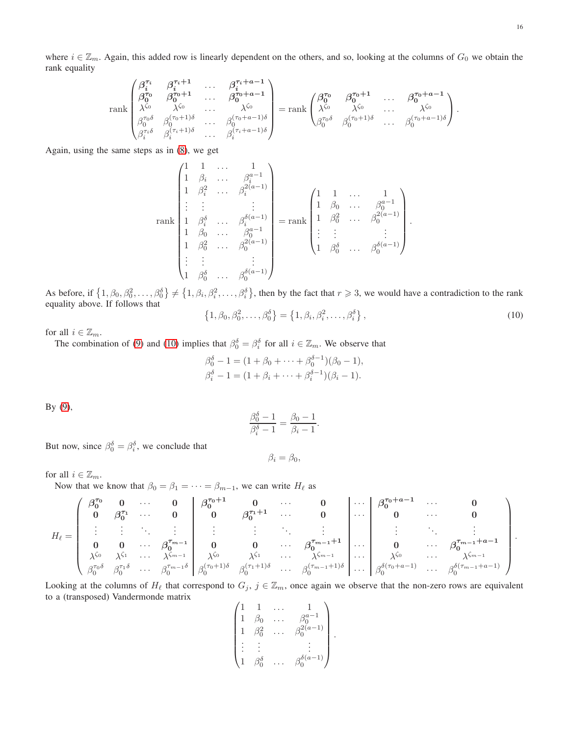where  $i \in \mathbb{Z}_m$ . Again, this added row is linearly dependent on the others, and so, looking at the columns of  $G_0$  we obtain the rank equality

$$
\operatorname{rank}\begin{pmatrix}\n\beta_i^{\tau_i} & \beta_i^{\tau_i+1} & \cdots & \beta_i^{\tau_i+a-1} \\
\beta_0^{\tau_0} & \beta_0^{\tau_0+1} & \cdots & \beta_0^{\tau_0+a-1} \\
\lambda^{\zeta_0} & \lambda^{\zeta_0} & \cdots & \lambda^{\zeta_0} \\
\beta_0^{\tau_0\delta} & \beta_0^{(\tau_0+1)\delta} & \cdots & \beta_0^{(\tau_0+a-1)\delta} \\
\beta_i^{\tau_i\delta} & \beta_i^{(\tau_i+1)\delta} & \cdots & \beta_i^{(\tau_i+a-1)\delta}\n\end{pmatrix} = \operatorname{rank}\begin{pmatrix}\n\beta_0^{\tau_0} & \beta_0^{\tau_0+1} & \cdots & \beta_0^{\tau_0+a-1} \\
\lambda^{\zeta_0} & \lambda^{\zeta_0} & \cdots & \lambda^{\zeta_0} \\
\beta_0^{\tau_0\delta} & \beta_0^{(\tau_0+1)\delta} & \cdots & \beta_i^{(\tau_0+a-1)\delta}\n\end{pmatrix}.
$$

Again, using the same steps as in [\(8\)](#page-14-0), we get

$$
\operatorname{rank}\begin{pmatrix}1 & 1 & \dots & 1\\ 1 & \beta_i & \dots & \beta_i^{a-1}\\ 1 & \beta_i^2 & \dots & \beta_i^{2(a-1)}\\ \vdots & \vdots & & \vdots\\ 1 & \beta_i^{\delta} & \dots & \beta_i^{\delta(a-1)}\\ 1 & \beta_0 & \dots & \beta_0^{a-1}\\ 1 & \beta_0^2 & \dots & \beta_0^{2(a-1)}\\ \vdots & \vdots & & \vdots\\ 1 & \beta_0^{\delta} & \dots & \beta_0^{\delta(a-1)}\end{pmatrix} = \operatorname{rank}\begin{pmatrix}1 & 1 & \dots & 1\\ 1 & \beta_0 & \dots & \beta_0^{a-1}\\ 1 & \beta_0^2 & \dots & \beta_0^{2(a-1)}\\ \vdots & \vdots & & \vdots\\ 1 & \beta_0^{\delta} & \dots & \beta_0^{\delta(a-1)}\end{pmatrix}.
$$

As before, if  $\{1, \beta_0, \beta_0^2, \dots, \beta_0^{\delta}\}\neq \{1, \beta_i, \beta_i^2, \dots, \beta_i^{\delta}\}$ , then by the fact that  $r \geq 3$ , we would have a contradiction to the rank equality above. If follows that

<span id="page-15-0"></span>
$$
\{1, \beta_0, \beta_0^2, \dots, \beta_0^{\delta}\} = \{1, \beta_i, \beta_i^2, \dots, \beta_i^{\delta}\},
$$
\n(10)

for all  $i\in\mathbb{Z}_m.$ 

The combination of [\(9\)](#page-14-1) and [\(10\)](#page-15-0) implies that  $\beta_0^{\delta} = \beta_i^{\delta}$  for all  $i \in \mathbb{Z}_m$ . We observe that

$$
\beta_0^{\delta} - 1 = (1 + \beta_0 + \dots + \beta_0^{\delta - 1})(\beta_0 - 1),
$$
  
\n
$$
\beta_i^{\delta} - 1 = (1 + \beta_i + \dots + \beta_i^{\delta - 1})(\beta_i - 1).
$$

By [\(9\)](#page-14-1),

$$
\frac{\beta_0^{\delta} - 1}{\beta_i^{\delta} - 1} = \frac{\beta_0 - 1}{\beta_i - 1}.
$$

But now, since  $\beta_0^{\delta} = \beta_i^{\delta}$ , we conclude that

 $\beta_i = \beta_0,$ 

# for all  $i \in \mathbb{Z}_m$ .

Now that we know that  $\beta_0 = \beta_1 = \cdots = \beta_{m-1}$ , we can write  $H_\ell$  as

$$
H_{\ell} = \left(\begin{array}{cccccc} \beta_0^{\tau_0} & 0 & \cdots & 0 \\ 0 & \beta_0^{\tau_1} & \cdots & 0 \\ \vdots & \vdots & \ddots & \vdots \\ 0 & 0 & \cdots & \beta_0^{\tau_{m-1}} \\ \lambda^{\zeta_0} & \lambda^{\zeta_1} & \cdots & \lambda^{\zeta_{m-1}} \\ \beta_0^{\tau_0\delta} & \beta_0^{\tau_1\delta} & \cdots & \beta_0^{\tau_{m-1}\delta} \\ \end{array} \middle| \begin{array}{cccccc} \beta_0^{\tau_0+1} & 0 & \cdots & 0 \\ 0 & \beta_0^{\tau_1+1} & \cdots & 0 \\ \vdots & \vdots & \ddots & \vdots \\ 0 & 0 & \cdots & \beta_0^{\tau_{m-1}+1} \\ \beta_0^{\zeta_0} & \lambda^{\zeta_1} & \cdots & \lambda^{\zeta_{m-1}} \\ \end{array} \middle| \begin{array}{cccccc} \cdots & \beta_0^{\tau_0+\alpha-1} & \cdots & 0 \\ 0 & \cdots & 0 \\ \vdots & \vdots & \ddots & \vdots \\ 0 & \cdots & \beta_0^{\tau_{m-1}+\alpha-1} \\ \lambda^{\zeta_0} & \lambda^{\zeta_1} & \cdots & \lambda^{\zeta_{m-1}} \\ \vdots & \vdots & \ddots & \vdots \\ \beta_0^{\zeta_{m-1}+1})\delta & \cdots & \beta_0^{\zeta_{m-1}+1}\end{array} \right).
$$

Looking at the columns of  $H_\ell$  that correspond to  $G_j$ ,  $j \in \mathbb{Z}_m$ , once again we observe that the non-zero rows are equivalent to a (transposed) Vandermonde matrix

$$
\begin{pmatrix} 1 & 1 & \ldots & 1 \\ 1 & \beta_0 & \ldots & \beta_0^{a-1} \\ 1 & \beta_0^2 & \ldots & \beta_0^{2(a-1)} \\ \vdots & \vdots & & \vdots \\ 1 & \beta_0^{\delta} & \ldots & \beta_0^{\delta(a-1)} \end{pmatrix}.
$$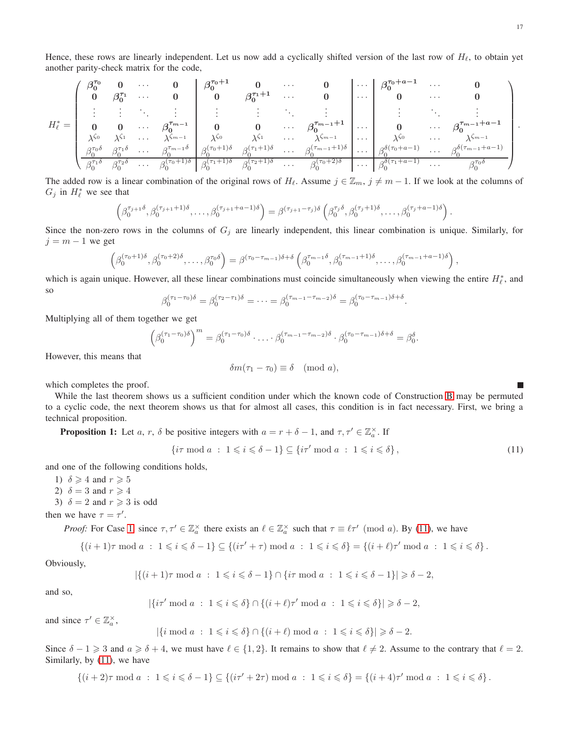17

Hence, these rows are linearly independent. Let us now add a cyclically shifted version of the last row of  $H_\ell$ , to obtain yet another parity-check matrix for the code,

$$
H_{\ell}^{*}=\begin{pmatrix} \beta_0^{\tau_0} & 0 & \cdots & 0 \\ 0 & \beta_0^{\tau_1} & \cdots & 0 \\ \vdots & \vdots & \ddots & \vdots \\ 0 & 0 & \cdots & \beta_0^{\tau_{m-1}} \\ \lambda^{\zeta_0} & \lambda^{\zeta_1} & \cdots & \lambda^{\zeta_{m-1}} \\ \beta_0^{\tau_0\delta} & \beta_0^{\tau_1\delta} & \cdots & \beta_0^{\tau_{m-1}\delta} \\ \beta_0^{\tau_0\delta} & \beta_0^{\tau_1\delta} & \cdots & \beta_0^{\tau_{m-1}\delta} \\ \beta_0^{\tau_0\delta} & \beta_0^{\tau_1\delta} & \cdots & \beta_0^{\zeta_{m-1}\delta} \\ \beta_0^{\tau_0\delta} & \beta_0^{\tau_0\delta} & \cdots & \beta_0^{\zeta_{m-1}\delta} \\ \beta_0^{\tau_0\delta} & \beta_0^{\tau_0\delta} & \cdots & \beta_0^{\zeta_{m-1}\delta} \\ \beta_0^{\tau_0\delta} & \beta_0^{\tau_0\delta} & \cdots & \beta_0^{\zeta_{m-1}\delta} \\ \beta_0^{\zeta_0\delta} & \beta_0^{\zeta_0\delta} & \cdots & \beta_0^{\zeta_{m-1}\delta} \\ \beta_0^{\zeta_0\delta} & \beta_0^{\zeta_0\delta} & \cdots & \beta_0^{\zeta_{m-1}\delta} \\ \beta_0^{\zeta_0\delta} & \beta_0^{\zeta_0\delta} & \cdots & \beta_0^{\zeta_{m-1}\delta} \\ \end{pmatrix} \cdots \begin{pmatrix} \beta_0^{\tau_0+\alpha-1} & \cdots & 0 \\ \beta_0^{\tau_0-\alpha-1} & \beta_0^{\zeta_0} & \cdots & \beta_0^{\tau_{m-1}+\alpha-1} \\ \beta_0^{\zeta_0\delta} & \beta_0^{\zeta_0\delta} & \cdots & \beta_0^{\zeta_{m-1}\delta} \\ \vdots & \vdots & \ddots & \vdots \\ \beta_0^{\zeta_0\delta} & \beta_0^{\zeta_0\delta} & \cdots & \beta_0^{\zeta_{m-1}\delta} \\ \end{pmatrix}.
$$

The added row is a linear combination of the original rows of  $H_{\ell}$ . Assume  $j \in \mathbb{Z}_m$ ,  $j \neq m-1$ . If we look at the columns of  $G_j$  in  $H^*_{\ell}$  we see that

$$
\left(\beta_0^{\tau_{j+1}\delta},\beta_0^{(\tau_{j+1}+1)\delta},\ldots,\beta_0^{(\tau_{j+1}+a-1)\delta}\right)=\beta^{(\tau_{j+1}-\tau_j)\delta}\left(\beta_0^{\tau_j\delta},\beta_0^{(\tau_j+1)\delta},\ldots,\beta_0^{(\tau_j+a-1)\delta}\right).
$$

Since the non-zero rows in the columns of  $G_j$  are linearly independent, this linear combination is unique. Similarly, for  $j = m - 1$  we get

$$
\left(\beta_0^{(\tau_0+1)\delta}, \beta_0^{(\tau_0+2)\delta}, \ldots, \beta_0^{\tau_0\delta}\right) = \beta^{(\tau_0-\tau_{m-1})\delta+\delta}\left(\beta_0^{\tau_{m-1}\delta}, \beta_0^{(\tau_{m-1}+1)\delta}, \ldots, \beta_0^{(\tau_{m-1}+a-1)\delta}\right),
$$

which is again unique. However, all these linear combinations must coincide simultaneously when viewing the entire  $H^*_\ell$ , and so

$$
\beta_0^{(\tau_1-\tau_0)\delta}=\beta_0^{(\tau_2-\tau_1)\delta}=\cdots=\beta_0^{(\tau_{m-1}-\tau_{m-2})\delta}=\beta_0^{(\tau_0-\tau_{m-1})\delta+\delta}.
$$

Multiplying all of them together we get

$$
\left(\beta_0^{(\tau_1-\tau_0)\delta}\right)^m=\beta_0^{(\tau_1-\tau_0)\delta}\cdot\ldots\cdot\beta_0^{(\tau_{m-1}-\tau_{m-2})\delta}\cdot\beta_0^{(\tau_0-\tau_{m-1})\delta+\delta}=\beta_0^{\delta}.
$$

However, this means that

$$
\delta m(\tau_1 - \tau_0) \equiv \delta \pmod{a},
$$

which completes the proof.

While the last theorem shows us a sufficient condition under which the known code of Construction [B](#page-12-0) may be permuted to a cyclic code, the next theorem shows us that for almost all cases, this condition is in fact necessary. First, we bring a technical proposition.

<span id="page-16-4"></span>**Proposition 1:** Let a, r,  $\delta$  be positive integers with  $a = r + \delta - 1$ , and  $\tau, \tau' \in \mathbb{Z}_a^{\times}$ . If

<span id="page-16-1"></span>
$$
\{\mathrm{i}\tau \bmod a \; : \; 1 \leqslant i \leqslant \delta - 1\} \subseteq \{\mathrm{i}\tau' \bmod a \; : \; 1 \leqslant i \leqslant \delta\},\tag{11}
$$

<span id="page-16-0"></span>and one of the following conditions holds,

<span id="page-16-2"></span>1)  $\delta \geqslant 4$  and  $r \geqslant 5$ 2)  $\delta = 3$  and  $r \geq 4$ 

<span id="page-16-3"></span>3)  $\delta = 2$  and  $r \geq 3$  is odd

then we have  $\tau = \tau'$ .

*Proof:* For Case [1,](#page-16-0) since  $\tau, \tau' \in \mathbb{Z}_a^\times$  there exists an  $\ell \in \mathbb{Z}_a^\times$  such that  $\tau \equiv \ell \tau' \pmod{a}$ . By [\(11\)](#page-16-1), we have

$$
\{(i+1)\tau \bmod a \; : \; 1 \leq i \leq \delta - 1\} \subseteq \{(i\tau' + \tau) \bmod a \; : \; 1 \leq i \leq \delta\} = \{(i+\ell)\tau' \bmod a \; : \; 1 \leq i \leq \delta\}.
$$

Obviously,

$$
|\{(i+1)\tau \bmod a \; : \; 1 \leqslant i \leqslant \delta - 1\} \cap \{i\tau \bmod a \; : \; 1 \leqslant i \leqslant \delta - 1\}| \geqslant \delta - 2,
$$

and so,

$$
|\{i\tau'\bmod a \ : \ 1 \leqslant i \leqslant \delta\} \cap \{(i+\ell)\tau'\bmod a \ : \ 1 \leqslant i \leqslant \delta\}|\geqslant \delta-2,
$$

and since  $\tau' \in \mathbb{Z}_a^\times$ ,

$$
|\{i \bmod a \ : \ 1 \leqslant i \leqslant \delta\} \cap \{(i+\ell) \bmod a \ : \ 1 \leqslant i \leqslant \delta\}| \geqslant \delta - 2.
$$

Since  $\delta - 1 \geq 3$  and  $a \geq \delta + 4$ , we must have  $\ell \in \{1, 2\}$ . It remains to show that  $\ell \neq 2$ . Assume to the contrary that  $\ell = 2$ . Similarly, by [\(11\)](#page-16-1), we have

$$
\{(i+2)\tau \bmod a \; : \; 1 \leq i \leq \delta - 1\} \subseteq \{(i\tau' + 2\tau) \bmod a \; : \; 1 \leq i \leq \delta\} = \{(i+4)\tau' \bmod a \; : \; 1 \leq i \leq \delta\}.
$$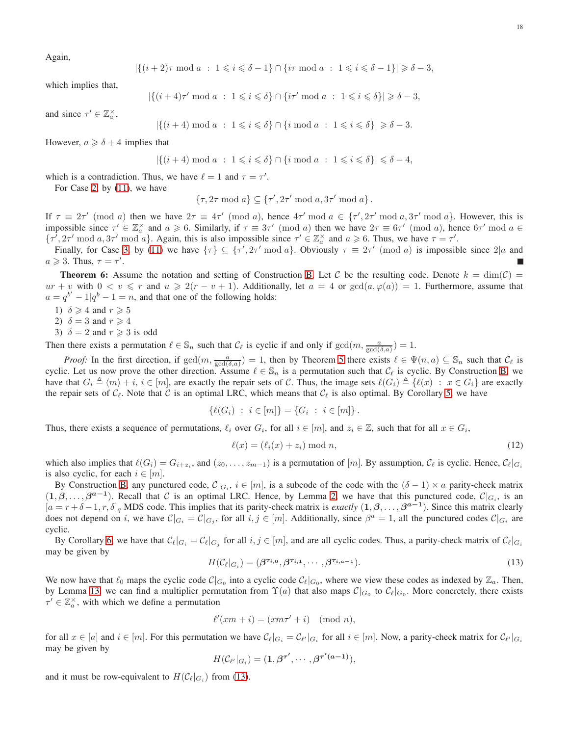Again,

$$
|\{(i+2)\tau \bmod a \; : \; 1 \leqslant i \leqslant \delta - 1\} \cap \{i\tau \bmod a \; : \; 1 \leqslant i \leqslant \delta - 1\}| \geqslant \delta - 3,
$$

which implies that,

$$
|\{(i+4)\tau' \bmod a \ : \ 1 \leqslant i \leqslant \delta\} \cap \{i\tau' \bmod a \ : \ 1 \leqslant i \leqslant \delta\}| \geqslant \delta - 3,
$$

and since  $\tau' \in \mathbb{Z}_a^\times$ ,

$$
|\{(i+4) \bmod a \; : \; 1 \leq i \leq \delta\} \cap \{i \bmod a \; : \; 1 \leq i \leq \delta\}| \geq \delta - 3.
$$

However,  $a \geq \delta + 4$  implies that

$$
|\{(i+4) \bmod a : 1 \leq i \leq \delta\} \cap \{i \bmod a : 1 \leq i \leq \delta\}| \leq \delta - 4,
$$

which is a contradiction. Thus, we have  $\ell = 1$  and  $\tau = \tau'$ .

For Case [2,](#page-16-2) by [\(11\)](#page-16-1), we have

$$
\{\tau, 2\tau \bmod a\} \subseteq \{\tau', 2\tau' \bmod a, 3\tau' \bmod a\}.
$$

If  $\tau \equiv 2\tau' \pmod{a}$  then we have  $2\tau \equiv 4\tau' \pmod{a}$ , hence  $4\tau' \pmod{a} \in \{\tau', 2\tau' \pmod{a} \}$ . However, this is impossible since  $\tau' \in \mathbb{Z}_a^{\times}$  and  $a \geq 6$ . Similarly, if  $\tau \equiv 3\tau' \pmod{a}$  then we have  $2\tau \equiv 6\tau' \pmod{a}$ , hence  $6\tau' \pmod{a} \in$  $\{\tau', 2\tau' \mod a, 3\tau' \mod a\}$ . Again, this is also impossible since  $\tau' \in \mathbb{Z}_a^{\times}$  and  $a \geq 6$ . Thus, we have  $\tau = \tau'$ .

Finally, for Case [3,](#page-16-3) by [\(11\)](#page-16-1) we have  $\{\tau\} \subseteq \{\tau', 2\tau' \text{ mod } a\}$ . Obviously  $\tau \equiv 2\tau' \pmod{a}$  is impossible since  $2|a$  and  $a \geqslant 3$ . Thus,  $\tau = \tau'$ .

<span id="page-17-2"></span>**Theorem 6:** Assume the notation and setting of Construction [B.](#page-12-0) Let C be the resulting code. Denote  $k = \dim(\mathcal{C})$  $ur + v$  with  $0 < v \leq r$  and  $u \geq 2(r - v + 1)$ . Additionally, let  $a = 4$  or  $gcd(a, \varphi(a)) = 1$ . Furthermore, assume that  $a = q^{b'} - 1|q^{b} - 1 = n$ , and that one of the following holds:

- 1)  $\delta \geqslant 4$  and  $r \geqslant 5$
- 2)  $\delta = 3$  and  $r \geq 4$
- 3)  $\delta = 2$  and  $r \geq 3$  is odd

Then there exists a permutation  $\ell \in \mathbb{S}_n$  such that  $\mathcal{C}_{\ell}$  is cyclic if and only if  $gcd(m, \frac{a}{gcd(\delta, a)}) = 1$ .

*Proof:* In the first direction, if  $gcd(m, \frac{a}{gcd(\delta, a)}) = 1$ , then by Theorem [5](#page-13-0) there exists  $\ell \in \Psi(n, a) \subseteq \mathbb{S}_n$  such that  $\mathcal{C}_{\ell}$  is cyclic. Let us now prove the other direction. Assume  $\ell \in \mathbb{S}_n$  is a permutation such that  $\mathcal{C}_\ell$  is cyclic. By Construction [B,](#page-12-0) we have that  $G_i \triangleq \langle m \rangle + i$ ,  $i \in [m]$ , are exactly the repair sets of C. Thus, the image sets  $\ell(G_i) \triangleq \{ \ell(x) : x \in G_i \}$  are exactly the repair sets of  $C_{\ell}$ . Note that C is an optimal LRC, which means that  $C_{\ell}$  is also optimal. By Corollary [5,](#page-11-1) we have

$$
\{\ell(G_i) \ : \ i \in [m]\} = \{G_i \ : \ i \in [m]\}.
$$

Thus, there exists a sequence of permutations,  $\ell_i$  over  $G_i$ , for all  $i \in [m]$ , and  $z_i \in \mathbb{Z}$ , such that for all  $x \in G_i$ ,

<span id="page-17-1"></span>
$$
\ell(x) = (\ell_i(x) + z_i) \bmod n,\tag{12}
$$

which also implies that  $\ell(G_i) = G_{i+z_i}$ , and  $(z_0, \ldots, z_{m-1})$  is a permutation of  $[m]$ . By assumption,  $\mathcal{C}_{\ell}$  is cyclic. Hence,  $\mathcal{C}_{\ell}|_{G_i}$ is also cyclic, for each  $i \in [m]$ .

By Construction [B,](#page-12-0) any punctured code,  $\mathcal{C}|_{G_i}$ ,  $i \in [m]$ , is a subcode of the code with the  $(\delta - 1) \times a$  parity-check matrix  $(1, \beta, \ldots, \beta^{a-1})$ . Recall that C is an optimal LRC. Hence, by Lemma [2,](#page-2-2) we have that this punctured code,  $\mathcal{C}|_{G_i}$ , is an  $[a = r + \delta - 1, r, \delta]_q$  MDS code. This implies that its parity-check matrix is *exactly*  $(1, \beta, ..., \beta^{a-1})$ . Since this matrix clearly does not depend on i, we have  $\mathcal{C}|_{G_i} = \mathcal{C}|_{G_j}$ , for all  $i, j \in [m]$ . Additionally, since  $\beta^a = 1$ , all the punctured codes  $\mathcal{C}|_{G_i}$  are cyclic.

By Corollary [6,](#page-11-2) we have that  $\mathcal{C}_{\ell}|_{G_i} = \mathcal{C}_{\ell}|_{G_j}$  for all  $i, j \in [m]$ , and are all cyclic codes. Thus, a parity-check matrix of  $\mathcal{C}_{\ell}|_{G_i}$ may be given by

<span id="page-17-0"></span>
$$
H(\mathcal{C}_{\ell}|_{G_i}) = (\beta^{\tau_{i,0}}, \beta^{\tau_{i,1}}, \cdots, \beta^{\tau_{i,a-1}}).
$$
\n(13)

We now have that  $\ell_0$  maps the cyclic code  $\mathcal{C}|_{G_0}$  into a cyclic code  $\mathcal{C}_{\ell}|_{G_0}$ , where we view these codes as indexed by  $\mathbb{Z}_a$ . Then, by Lemma [13,](#page-12-1) we can find a multiplier permutation from  $\Upsilon(a)$  that also maps  $\mathcal{C}|_{G_0}$  to  $\mathcal{C}_{\ell}|_{G_0}$ . More concretely, there exists  $\tau' \in \mathbb{Z}_a^\times$ , with which we define a permutation

$$
\ell'(xm+i) = (xm\tau' + i) \pmod{n},
$$

for all  $x \in [a]$  and  $i \in [m]$ . For this permutation we have  $\mathcal{C}_{\ell}|_{G_i} = \mathcal{C}_{\ell'}|_{G_i}$  for all  $i \in [m]$ . Now, a parity-check matrix for  $\mathcal{C}_{\ell'}|_{G_i}$ may be given by

$$
H(\mathcal{C}_{\ell'}|_{G_i})=(1,\beta^{\tau'},\cdots,\beta^{\tau'(a-1)}),
$$

and it must be row-equivalent to  $H(\mathcal{C}_{\ell}|_{G_i})$  from [\(13\)](#page-17-0).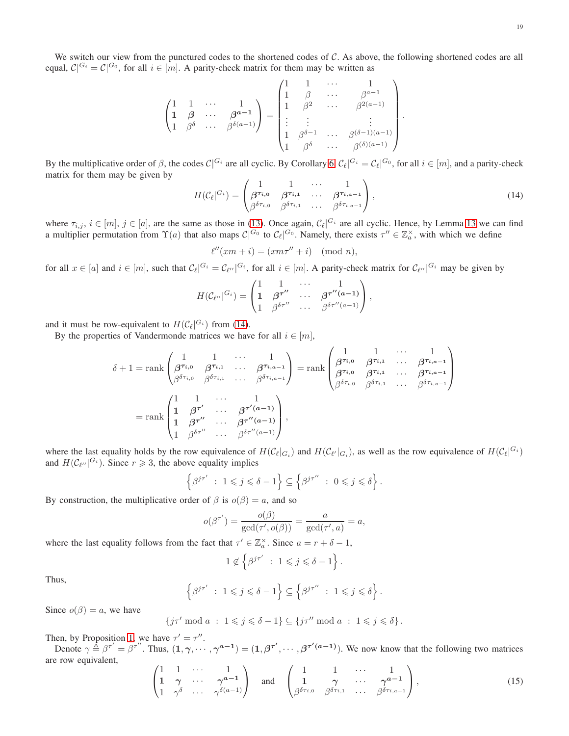We switch our view from the punctured codes to the shortened codes of  $C$ . As above, the following shortened codes are all equal,  $\mathcal{C} |^{G_i} = \mathcal{C} |^{G_0}$ , for all  $i \in [m]$ . A parity-check matrix for them may be written as

$$
\begin{pmatrix}\n1 & 1 & \cdots & 1 \\
1 & \beta & \cdots & \beta^{a-1} \\
1 & \beta^{\delta} & \cdots & \beta^{\delta(a-1)}\n\end{pmatrix} = \begin{pmatrix}\n1 & 1 & \cdots & 1 \\
1 & \beta & \cdots & \beta^{a-1} \\
1 & \beta^2 & \cdots & \beta^{2(a-1)} \\
\vdots & \vdots & & \vdots \\
1 & \beta^{\delta-1} & \cdots & \beta^{(\delta-1)(a-1)} \\
1 & \beta^{\delta} & \cdots & \beta^{(\delta)(a-1)}\n\end{pmatrix}.
$$

By the multiplicative order of  $\beta$ , the codes  $\mathcal{C}|^{G_i}$  are all cyclic. By Corollary [6,](#page-11-2)  $\mathcal{C}_{\ell}|^{G_i} = \mathcal{C}_{\ell}|^{G_0}$ , for all  $i \in [m]$ , and a parity-check matrix for them may be given by

<span id="page-18-0"></span>
$$
H(\mathcal{C}_{\ell}|\mathcal{G}_{i}) = \begin{pmatrix} 1 & 1 & \cdots & 1 \\ \beta^{\tau_{i,0}} & \beta^{\tau_{i,1}} & \cdots & \beta^{\tau_{i,a-1}} \\ \beta^{\delta\tau_{i,0}} & \beta^{\delta\tau_{i,1}} & \cdots & \beta^{\delta\tau_{i,a-1}} \end{pmatrix},
$$
\n(14)

where  $\tau_{i,j}$ ,  $i \in [m]$ ,  $j \in [a]$ , are the same as those in [\(13\)](#page-17-0). Once again,  $\mathcal{C}_{\ell} |^{G_i}$  are all cyclic. Hence, by Lemma [13](#page-12-1) we can find a multiplier permutation from  $\Upsilon(a)$  that also maps  $\mathcal{C}^{G_0}$  to  $\mathcal{C}_{\ell}^{G_0}$ . Namely, there exists  $\tau'' \in \mathbb{Z}_a^{\times}$ , with which we define

$$
\ell''(xm+i) = (xm\tau''+i) \pmod{n},
$$

for all  $x \in [a]$  and  $i \in [m]$ , such that  $\mathcal{C}_{\ell} |^{G_i} = \mathcal{C}_{\ell''} |^{G_i}$ , for all  $i \in [m]$ . A parity-check matrix for  $\mathcal{C}_{\ell''} |^{G_i}$  may be given by

$$
H(\mathcal{C}_{\ell''}|^{G_i}) = \begin{pmatrix} 1 & 1 & \cdots & 1 \\ 1 & \beta^{\tau''} & \cdots & \beta^{\tau''(a-1)} \\ 1 & \beta^{\delta \tau''} & \cdots & \beta^{\delta \tau''(a-1)} \end{pmatrix},
$$

and it must be row-equivalent to  $H(C_{\ell}|^{G_i})$  from [\(14\)](#page-18-0).

By the properties of Vandermonde matrices we have for all  $i \in [m]$ ,

$$
\delta + 1 = \operatorname{rank}\begin{pmatrix} 1 & 1 & \cdots & 1 \\ \beta^{\tau_{i,0}} & \beta^{\tau_{i,1}} & \cdots & \beta^{\tau_{i,a-1}} \\ \beta^{\delta \tau_{i,0}} & \beta^{\delta \tau_{i,1}} & \cdots & \beta^{\delta \tau_{i,a-1}} \end{pmatrix} = \operatorname{rank}\begin{pmatrix} 1 & 1 & \cdots & 1 \\ \beta^{\tau_{i,0}} & \beta^{\tau_{i,1}} & \cdots & \beta^{\tau_{i,a-1}} \\ \beta^{\tau_{i,0}} & \beta^{\tau_{i,1}} & \cdots & \beta^{\tau_{i,a-1}} \\ \beta^{\delta \tau_{i,0}} & \beta^{\delta \tau_{i,1}} & \cdots & \beta^{\delta \tau_{i,a-1}} \end{pmatrix}
$$

$$
= \operatorname{rank}\begin{pmatrix} 1 & 1 & \cdots & 1 \\ 1 & \beta^{\tau'} & \cdots & \beta^{\tau'(a-1)} \\ 1 & \beta^{\tau''} & \cdots & \beta^{\tau''(a-1)} \\ 1 & \beta^{\delta \tau''} & \cdots & \beta^{\delta \tau''(a-1)} \end{pmatrix},
$$

where the last equality holds by the row equivalence of  $H(C_{\ell}|_{G_i})$  and  $H(C_{\ell'}|_{G_i})$ , as well as the row equivalence of  $H(C_{\ell}|G_i)$ and  $H(C_{\ell''}|^{G_i})$ . Since  $r \geq 3$ , the above equality implies

$$
\left\{\beta^{j\tau'}\;:\;1\leqslant j\leqslant \delta-1\right\}\subseteq\left\{\beta^{j\tau''}\;:\;0\leqslant j\leqslant \delta\right\}.
$$

By construction, the multiplicative order of  $\beta$  is  $o(\beta) = a$ , and so

$$
o(\beta^{\tau'}) = \frac{o(\beta)}{\gcd(\tau', o(\beta))} = \frac{a}{\gcd(\tau', a)} = a,
$$

where the last equality follows from the fact that  $\tau' \in \mathbb{Z}_a^\times$ . Since  $a = r + \delta - 1$ ,

$$
1 \notin \left\{ \beta^{j\tau'} \ : \ 1 \leqslant j \leqslant \delta - 1 \right\}.
$$

Thus,

$$
\left\{\beta^{j\tau'}\;:\;1\leqslant j\leqslant \delta-1\right\}\subseteq\left\{\beta^{j\tau''}\;:\;1\leqslant j\leqslant \delta\right\}.
$$

Since  $o(\beta) = a$ , we have

$$
\{j\tau' \bmod a \; : \; 1 \leq j \leq \delta - 1\} \subseteq \{j\tau'' \bmod a \; : \; 1 \leq j \leq \delta\}.
$$

Then, by Proposition [1,](#page-16-4) we have  $\tau' = \tau''$ .

Denote  $\gamma \triangleq \beta^{\tau'} = \beta^{\tau''}$ . Thus,  $(1, \gamma, \dots, \gamma^{a-1}) = (1, \beta^{\tau'}, \dots, \beta^{\tau'(a-1)})$ . We now know that the following two matrices are row equivalent,

<span id="page-18-1"></span>
$$
\begin{pmatrix}\n1 & 1 & \cdots & 1 \\
1 & \gamma & \cdots & \gamma^{a-1} \\
1 & \gamma^{\delta} & \cdots & \gamma^{\delta(a-1)}\n\end{pmatrix}\n\text{ and }\n\begin{pmatrix}\n1 & 1 & \cdots & 1 \\
1 & \gamma & \cdots & \gamma^{a-1} \\
\beta^{\delta \tau_{i,0}} & \beta^{\delta \tau_{i,1}} & \cdots & \beta^{\delta \tau_{i,a-1}}\n\end{pmatrix},
$$
\n(15)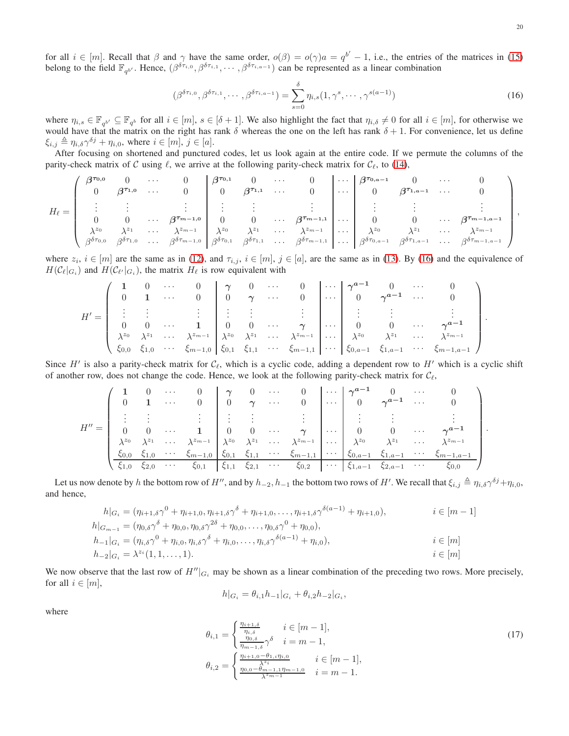for all  $i \in [m]$ . Recall that  $\beta$  and  $\gamma$  have the same order,  $o(\beta) = o(\gamma)a = q^{b'} - 1$ , i.e., the entries of the matrices in [\(15\)](#page-18-1) belong to the field  $\mathbb{F}_{q^{b'}}$ . Hence,  $(\beta^{\delta\tau_{i,0}}, \beta^{\delta\tau_{i,1}}, \cdots, \beta^{\delta\tau_{i,a-1}})$  can be represented as a linear combination

<span id="page-19-0"></span>
$$
(\beta^{\delta\tau_{i,0}}, \beta^{\delta\tau_{i,1}}, \cdots, \beta^{\delta\tau_{i,a-1}}) = \sum_{s=0}^{\delta} \eta_{i,s} (1, \gamma^s, \cdots, \gamma^{s(a-1)})
$$
(16)

where  $\eta_{i,s} \in \mathbb{F}_{q^{b'}} \subseteq \mathbb{F}_{q^b}$  for all  $i \in [m]$ ,  $s \in [\delta + 1]$ . We also highlight the fact that  $\eta_{i,\delta} \neq 0$  for all  $i \in [m]$ , for otherwise we would have that the matrix on the right has rank  $\delta$  whereas the one on the left has rank  $\delta + 1$ . For convenience, let us define  $\xi_{i,j} \triangleq \eta_{i,\delta} \gamma^{\delta j} + \eta_{i,0}$ , where  $i \in [m], j \in [a]$ .

After focusing on shortened and punctured codes, let us look again at the entire code. If we permute the columns of the parity-check matrix of C using  $\ell$ , we arrive at the following parity-check matrix for  $C_{\ell}$ , to [\(14\)](#page-18-0),

$$
H_{\ell} = \left(\begin{array}{ccccccccc} \beta^{\tau_{0,0}} & 0 & \cdots & 0 \\ 0 & \beta^{\tau_{1,0}} & \cdots & 0 \\ \vdots & \vdots & & \vdots \\ 0 & 0 & \cdots & \beta^{\tau_{m-1,0}} \\ \lambda^{z_0} & \lambda^{z_1} & \cdots & \lambda^{z_{m-1}} \\ \beta^{\delta \tau_{0,0}} & \beta^{\delta \tau_{1,0}} & \cdots & \beta^{\delta \tau_{m-1,0}} \end{array} \middle| \begin{array}{ccccccccc} \beta^{\tau_{0,1}} & 0 & \cdots & 0 \\ 0 & \beta^{\tau_{1,1}} & \cdots & 0 \\ \vdots & & \vdots & & \vdots \\ 0 & 0 & \cdots & \beta^{\tau_{m-1,1}} \\ \beta^{\delta \tau_{0,0}} & \beta^{\delta \tau_{1,0}} & \cdots & \beta^{\delta \tau_{m-1,0}} \end{array} \middle| \begin{array}{ccccccccc} \cdots & 0 & \cdots & 0 \\ 0 & \beta^{\tau_{1,0}} & \cdots & 0 \\ \vdots & & \vdots & & \vdots \\ 0 & 0 & \cdots & \beta^{\tau_{1,n-1}} & \cdots \\ \beta^{\delta \tau_{m-1,0}} & \cdots & \beta^{\delta \tau_{m-1,1}} \\ \beta^{\delta \tau_{1,1}} & \cdots & \beta^{\delta \tau_{m-1,1}} \end{array} \right), \quad \mathbf{a} \in \mathbb{C} \setminus \mathbb{C} \setminus \mathbb{C} \setminus \mathbb{C} \setminus \mathbb{C} \setminus \mathbb{C} \setminus \mathbb{C} \setminus \mathbb{C} \setminus \mathbb{C} \setminus \mathbb{C} \setminus \mathbb{C} \setminus \mathbb{C} \setminus \mathbb{C} \setminus \mathbb{C} \setminus \mathbb{C} \setminus \mathbb{C} \setminus \mathbb{C} \setminus \mathbb{C} \setminus \mathbb{C} \setminus \mathbb{C} \setminus \mathbb{C} \setminus \mathbb{C} \setminus \mathbb{C} \setminus \mathbb{C} \setminus \mathbb{C} \setminus \mathbb{C} \setminus \mathbb{C} \setminus \mathbb{C} \setminus \mathbb{C} \setminus \mathbb{C} \setminus \mathbb{C
$$

where  $z_i$ ,  $i \in [m]$  are the same as in [\(12\)](#page-17-1), and  $\tau_{i,j}$ ,  $i \in [m]$ ,  $j \in [a]$ , are the same as in [\(13\)](#page-17-0). By [\(16\)](#page-19-0) and the equivalence of  $H(C_{\ell}|_{G_i})$  and  $H(C_{\ell'}|_{G_i})$ , the matrix  $H_{\ell}$  is row equivalent with

$$
H' = \left(\begin{array}{cccccc} \mathbf{1} & 0 & \cdots & 0 \\ 0 & \mathbf{1} & \cdots & 0 \\ \vdots & \vdots & & \vdots \\ 0 & 0 & \cdots & \mathbf{1} \\ \lambda^{z_0} & \lambda^{z_1} & \cdots & \lambda^{z_{m-1}} \\ \xi_{0,0} & \xi_{1,0} & \cdots & \xi_{m-1,0} \end{array} \middle| \begin{array}{c} \gamma & 0 & \cdots & 0 \\ 0 & \gamma & \cdots & 0 \\ \vdots & \vdots & & \vdots \\ 0 & 0 & \cdots & \gamma \\ \xi_{0,1} & \xi_{1,1} & \cdots & \xi_{m-1,1} \end{array} \middle| \begin{array}{c} \cdots & \gamma^{a-1} & 0 & \cdots & 0 \\ 0 & \gamma^{a-1} & \cdots & 0 \\ \vdots & \vdots & & \vdots \\ 0 & 0 & \cdots & \gamma^{a-1} \\ \xi_{0,a-1} & \xi_{1,a-1} & \cdots & \xi_{m-1,a-1} \end{array} \right)
$$

Since  $H'$  is also a parity-check matrix for  $C_{\ell}$ , which is a cyclic code, adding a dependent row to  $H'$  which is a cyclic shift of another row, does not change the code. Hence, we look at the following parity-check matrix for  $C_{\ell}$ ,

$$
H'' = \begin{pmatrix} 1 & 0 & \cdots & 0 \\ 0 & 1 & \cdots & 0 \\ \vdots & \vdots & & \vdots \\ 0 & 0 & \cdots & 1 \\ \lambda^{z_0} & \lambda^{z_1} & \cdots & \lambda^{z_{m-1}} \\ \frac{\xi_{0,0} & \xi_{1,0} & \cdots & \xi_{m-1,0}}{\xi_{0,1} & \xi_{1,1} & \xi_{2,1} & \cdots & \xi_{m-1,1}} \end{pmatrix} \begin{pmatrix} \cdots & 0 & \cdots & 0 \\ \cdots & 0 & \gamma^{a-1} & 0 & \cdots & 0 \\ \cdots & 0 & \gamma^{a-1} & \cdots & 0 \\ \vdots & \vdots & & \vdots & & \vdots \\ \lambda^{z_0} & \lambda^{z_1} & \cdots & \lambda^{z_{m-1}} \\ \frac{\xi_{0,0} & \xi_{1,0} & \cdots & \xi_{m-1,0}}{\xi_{0,1} & \xi_{1,1} & \xi_{2,1} & \cdots & \xi_{m-1,1}} \end{pmatrix} \begin{pmatrix} \cdots & 0 & \cdots & 0 \\ \cdots & \gamma^{a-1} & 0 & \cdots & 0 \\ \vdots & \vdots & & \vdots & & \vdots \\ \lambda^{z_0} & \lambda^{z_1} & \cdots & \lambda^{z_{m-1}} \\ \frac{\xi_{0,0} & \xi_{1,0} & \cdots & \xi_{m-1,0}}{\xi_{0,1} & \xi_{1,1} & \xi_{2,1} & \cdots & \xi_{0,2}} \end{pmatrix}
$$

Let us now denote by  $h$  the bottom row of  $H''$ , and by  $h_{-2}, h_{-1}$  the bottom two rows of  $H'$ . We recall that  $\xi_{i,j} \triangleq \eta_{i,\delta} \gamma^{\delta j} + \eta_{i,0}$ , and hence,

$$
h|_{G_i} = (\eta_{i+1,\delta}\gamma^0 + \eta_{i+1,0}, \eta_{i+1,\delta}\gamma^{\delta} + \eta_{i+1,0}, \dots, \eta_{i+1,\delta}\gamma^{\delta(a-1)} + \eta_{i+1,0}), \qquad i \in [m-1]
$$
  
\n
$$
h|_{G_{m-1}} = (\eta_{0,\delta}\gamma^{\delta} + \eta_{0,0}, \eta_{0,\delta}\gamma^{2\delta} + \eta_{0,0}, \dots, \eta_{0,\delta}\gamma^0 + \eta_{0,0}),
$$
  
\n
$$
h_{-1}|_{G_i} = (\eta_{i,\delta}\gamma^0 + \eta_{i,0}, \eta_{i,\delta}\gamma^{\delta} + \eta_{i,0}, \dots, \eta_{i,\delta}\gamma^{\delta(a-1)} + \eta_{i,0}), \qquad i \in [m]
$$
  
\n
$$
h_{-2}|_{G_i} = \lambda^{z_i}(1, 1, \dots, 1).
$$
  
\n
$$
i \in [m]
$$

We now observe that the last row of  $H''|_{G_i}$  may be shown as a linear combination of the preceding two rows. More precisely, for all  $i \in [m]$ ,

$$
h|_{G_i} = \theta_{i,1}h_{-1}|_{G_i} + \theta_{i,2}h_{-2}|_{G_i}
$$

where

$$
\theta_{i,1} = \begin{cases} \frac{\eta_{i+1,\delta}}{\eta_{i,\delta}} & i \in [m-1],\\ \frac{\eta_{0,\delta}}{\eta_{m-1,\delta}} \gamma^{\delta} & i = m-1, \end{cases} \tag{17}
$$
\n
$$
\theta_{i,2} = \begin{cases} \frac{\eta_{i+1,0} - \theta_{1,i}\eta_{i,0}}{\lambda^{2i}} & i \in [m-1],\\ \frac{\eta_{0,0} - \theta_{m-1,1}\eta_{m-1,0}}{\lambda^{2m-1}} & i = m-1. \end{cases}
$$

<span id="page-19-1"></span>,

.

.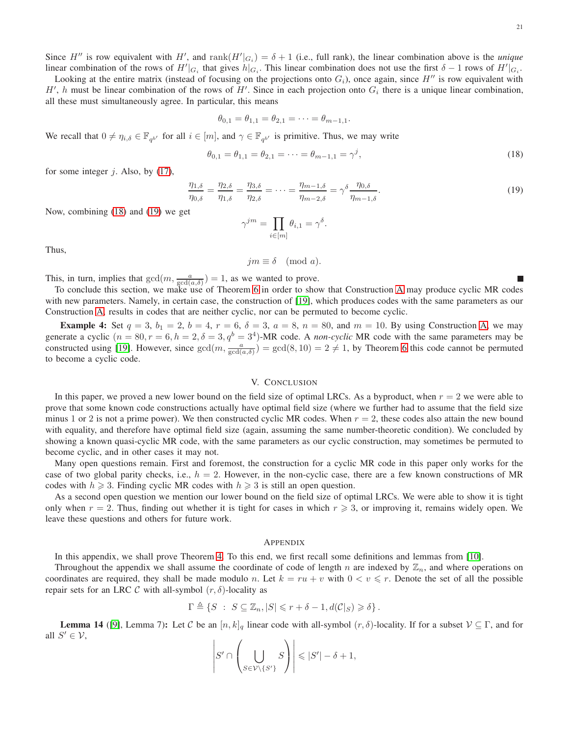Since H'' is row equivalent with H', and  $\text{rank}(H'|_{G_i}) = \delta + 1$  (i.e., full rank), the linear combination above is the *unique* linear combination of the rows of  $H'|_{G_i}$  that gives  $h|_{G_i}$ . This linear combination does not use the first  $\delta - 1$  rows of  $H'|_{G_i}$ .

Looking at the entire matrix (instead of focusing on the projections onto  $G_i$ ), once again, since  $H''$  is row equivalent with H', h must be linear combination of the rows of H'. Since in each projection onto  $G_i$  there is a unique linear combination, all these must simultaneously agree. In particular, this means

$$
\theta_{0,1} = \theta_{1,1} = \theta_{2,1} = \cdots = \theta_{m-1,1}.
$$

We recall that  $0 \neq \eta_{i,\delta} \in \mathbb{F}_{q^{b'}}$  for all  $i \in [m]$ , and  $\gamma \in \mathbb{F}_{q^{b'}}$  is primitive. Thus, we may write

<span id="page-20-1"></span>
$$
\theta_{0,1} = \theta_{1,1} = \theta_{2,1} = \dots = \theta_{m-1,1} = \gamma^j,
$$
\n(18)

for some integer  $j$ . Also, by [\(17\)](#page-19-1),

<span id="page-20-2"></span>
$$
\frac{\eta_{1,\delta}}{\eta_{0,\delta}} = \frac{\eta_{2,\delta}}{\eta_{1,\delta}} = \frac{\eta_{3,\delta}}{\eta_{2,\delta}} = \dots = \frac{\eta_{m-1,\delta}}{\eta_{m-2,\delta}} = \gamma^{\delta} \frac{\eta_{0,\delta}}{\eta_{m-1,\delta}}.
$$
\n(19)

Now, combining [\(18\)](#page-20-1) and [\(19\)](#page-20-2) we get

$$
\gamma^{jm} = \prod_{i \in [m]} \theta_{i,1} = \gamma^{\delta}.
$$

Thus,

$$
jm \equiv \delta \pmod{a}.
$$

This, in turn, implies that  $gcd(m, \frac{a}{gcd(a, \delta)}) = 1$ , as we wanted to prove.

To conclude this section, we make use of Theorem [6](#page-17-2) in order to show that Construction [A](#page-7-0) may produce cyclic MR codes with new parameters. Namely, in certain case, the construction of [\[19\]](#page-26-20), which produces codes with the same parameters as our Construction [A,](#page-7-0) results in codes that are neither cyclic, nor can be permuted to become cyclic.

**Example 4:** Set  $q = 3$ ,  $b_1 = 2$ ,  $b = 4$ ,  $r = 6$ ,  $\delta = 3$ ,  $a = 8$ ,  $n = 80$ , and  $m = 10$ . By using Construction [A,](#page-7-0) we may generate a cyclic  $(n = 80, r = 6, h = 2, \delta = 3, q^b = 3^4)$ -MR code. A *non-cyclic* MR code with the same parameters may be constructed using [\[19\]](#page-26-20). However, since  $gcd(m, \frac{a}{gcd(a, \delta)}) = gcd(8, 10) = 2 \neq 1$ , by Theorem [6](#page-17-2) this code cannot be permuted to become a cyclic code.

# V. CONCLUSION

<span id="page-20-0"></span>In this paper, we proved a new lower bound on the field size of optimal LRCs. As a byproduct, when  $r = 2$  we were able to prove that some known code constructions actually have optimal field size (where we further had to assume that the field size minus 1 or 2 is not a prime power). We then constructed cyclic MR codes. When  $r = 2$ , these codes also attain the new bound with equality, and therefore have optimal field size (again, assuming the same number-theoretic condition). We concluded by showing a known quasi-cyclic MR code, with the same parameters as our cyclic construction, may sometimes be permuted to become cyclic, and in other cases it may not.

Many open questions remain. First and foremost, the construction for a cyclic MR code in this paper only works for the case of two global parity checks, i.e.,  $h = 2$ . However, in the non-cyclic case, there are a few known constructions of MR codes with  $h \ge 3$ . Finding cyclic MR codes with  $h \ge 3$  is still an open question.

As a second open question we mention our lower bound on the field size of optimal LRCs. We were able to show it is tight only when  $r = 2$ . Thus, finding out whether it is tight for cases in which  $r \geq 3$ , or improving it, remains widely open. We leave these questions and others for future work.

### APPENDIX

In this appendix, we shall prove Theorem [4.](#page-11-0) To this end, we first recall some definitions and lemmas from [\[10\]](#page-25-8).

Throughout the appendix we shall assume the coordinate of code of length n are indexed by  $\mathbb{Z}_n$ , and where operations on coordinates are required, they shall be made modulo n. Let  $k = ru + v$  with  $0 < v \leq r$ . Denote the set of all the possible repair sets for an LRC C with all-symbol  $(r, \delta)$ -locality as

$$
\Gamma \triangleq \{ S \; : \; S \subseteq \mathbb{Z}_n, |S| \leq r + \delta - 1, d(\mathcal{C}|_S) \geq \delta \}.
$$

<span id="page-20-3"></span>**Lemma 14** ([\[9\]](#page-25-2), Lemma 7): Let C be an  $[n, k]_q$  linear code with all-symbol  $(r, \delta)$ -locality. If for a subset  $V \subseteq \Gamma$ , and for all  $S' \in \mathcal{V}$ ,  $\forall \in \mathcal{V},$ 

$$
\left|S'\cap \left(\bigcup_{S\in \mathcal{V}\backslash\{S'\}}S\right)\right|\leqslant |S'|- \delta+1,
$$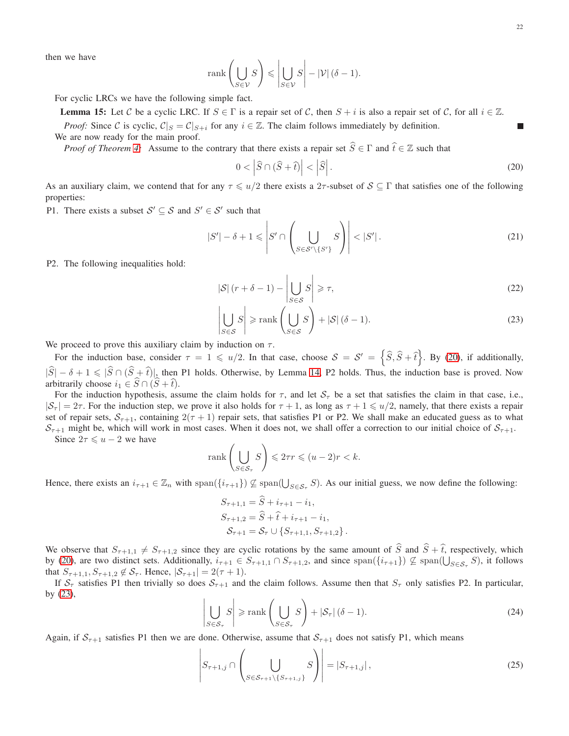<span id="page-21-4"></span><span id="page-21-1"></span>П

then we have

$$
\text{rank}\left(\bigcup_{S\in\mathcal{V}}S\right)\leqslant\left|\bigcup_{S\in\mathcal{V}}S\right|-\left|\mathcal{V}\right|(\delta-1).
$$

For cyclic LRCs we have the following simple fact.

**Lemma 15:** Let C be a cyclic LRC. If  $S \in \Gamma$  is a repair set of C, then  $S + i$  is also a repair set of C, for all  $i \in \mathbb{Z}$ .

*Proof:* Since C is cyclic,  $C|_{S} = C|_{S+i}$  for any  $i \in \mathbb{Z}$ . The claim follows immediately by definition. We are now ready for the main proof.

*Proof of Theorem [4:](#page-11-0)* Assume to the contrary that there exists a repair set  $\hat{S} \in \Gamma$  and  $\hat{t} \in \mathbb{Z}$  such that

<span id="page-21-0"></span>
$$
0 < \left| \widehat{S} \cap (\widehat{S} + \widehat{t}) \right| < \left| \widehat{S} \right| \tag{20}
$$

As an auxiliary claim, we contend that for any  $\tau \leq u/2$  there exists a 2 $\tau$ -subset of  $S \subseteq \Gamma$  that satisfies one of the following properties:

P1. There exists a subset  $S' \subseteq S$  and  $S' \in S'$  such that

<span id="page-21-5"></span>
$$
|S'| - \delta + 1 \leqslant \left| S' \cap \left( \bigcup_{S \in \mathcal{S}' \setminus \{S'\}} S \right) \right| < |S'| \,. \tag{21}
$$

P2. The following inequalities hold:

$$
|\mathcal{S}| \left( r + \delta - 1 \right) - \left| \bigcup_{S \in \mathcal{S}} S \right| \geqslant \tau,\tag{22}
$$

$$
\left| \bigcup_{S \in \mathcal{S}} S \right| \ge \operatorname{rank} \left( \bigcup_{S \in \mathcal{S}} S \right) + |\mathcal{S}| (\delta - 1). \tag{23}
$$

We proceed to prove this auxiliary claim by induction on  $\tau$ .

For the induction base, consider  $\tau = 1 \le u/2$ . In that case, choose  $S = S' = \left\{ \widehat{S}, \widehat{S} + \widehat{t} \right\}$ . By [\(20\)](#page-21-0), if additionally,  $|\widehat{S}| - \delta + 1 \leq |\widehat{S} \cap (\widehat{S} + \widehat{t})|$ , then P1 holds. Otherwise, by Lemma [14,](#page-20-3) P2 holds. Thus, the induction base is proved. Now arbitrarily choose  $i_1 \in \widehat{S} \cap (\widehat{S} + \widehat{t}).$ 

For the induction hypothesis, assume the claim holds for  $\tau$ , and let  $S_{\tau}$  be a set that satisfies the claim in that case, i.e.,  $|S_\tau| = 2\tau$ . For the induction step, we prove it also holds for  $\tau + 1$ , as long as  $\tau + 1 \le u/2$ , namely, that there exists a repair set of repair sets,  $S_{\tau+1}$ , containing  $2(\tau+1)$  repair sets, that satisfies P1 or P2. We shall make an educated guess as to what  $S_{\tau+1}$  might be, which will work in most cases. When it does not, we shall offer a correction to our initial choice of  $S_{\tau+1}$ .

Since  $2\tau \leq u - 2$  we have

$$
\operatorname{rank}\left(\bigcup_{S\in\mathcal{S}_{\tau}}S\right) \leqslant 2\tau r \leqslant (u-2)r < k.
$$

Hence, there exists an  $i_{\tau+1} \in \mathbb{Z}_n$  with  $\text{span}(\{i_{\tau+1}\}) \nsubseteq \text{span}(\bigcup_{S \in \mathcal{S}_{\tau}} S)$ . As our initial guess, we now define the following:

$$
S_{\tau+1,1} = \hat{S} + i_{\tau+1} - i_1,
$$
  
\n
$$
S_{\tau+1,2} = \hat{S} + \hat{t} + i_{\tau+1} - i_1,
$$
  
\n
$$
S_{\tau+1} = S_{\tau} \cup \{S_{\tau+1,1}, S_{\tau+1,2}\}.
$$

We observe that  $S_{\tau+1,1} \neq S_{\tau+1,2}$  since they are cyclic rotations by the same amount of  $\hat{S}$  and  $\hat{S} + \hat{t}$ , respectively, which by [\(20\)](#page-21-0), are two distinct sets. Additionally,  $i_{\tau+1} \in S_{\tau+1,1} \cap S_{\tau+1,2}$ , and since  $\text{span}(\{i_{\tau+1}\}) \nsubseteq \text{span}(\bigcup_{S \in S_{\tau}} S)$ , it follows that  $S_{\tau+1,1}, S_{\tau+1,2} \notin S_{\tau}$ . Hence,  $|S_{\tau+1}| = 2(\tau+1)$ .

If  $S_\tau$  satisfies P1 then trivially so does  $S_{\tau+1}$  and the claim follows. Assume then that  $S_\tau$  only satisfies P2. In particular, by  $(23)$ ,

<span id="page-21-3"></span>
$$
\left| \bigcup_{S \in \mathcal{S}_{\tau}} S \right| \ge \operatorname{rank} \left( \bigcup_{S \in \mathcal{S}_{\tau}} S \right) + |\mathcal{S}_{\tau}| \left( \delta - 1 \right). \tag{24}
$$

Again, if  $S_{\tau+1}$  satisfies P1 then we are done. Otherwise, assume that  $S_{\tau+1}$  does not satisfy P1, which means

<span id="page-21-2"></span>
$$
\left| S_{\tau+1,j} \cap \left( \bigcup_{S \in \mathcal{S}_{\tau+1} \setminus \{S_{\tau+1,j}\}} S \right) \right| = |S_{\tau+1,j}|, \tag{25}
$$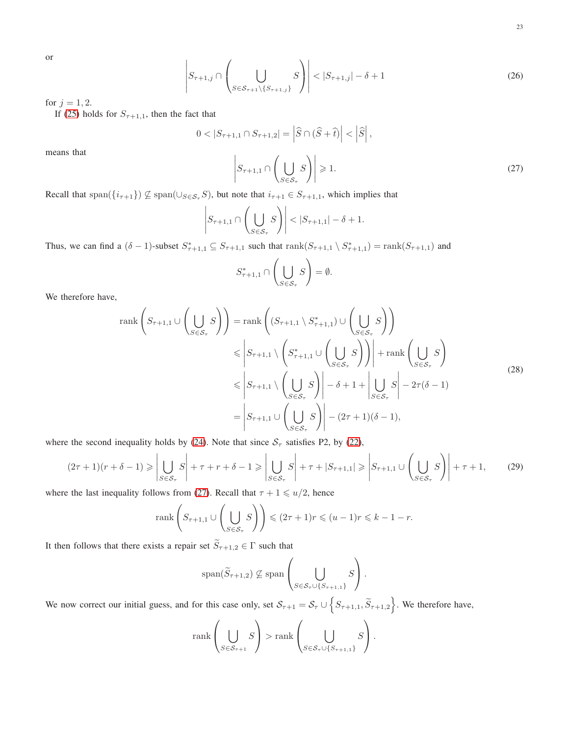or 

<span id="page-22-3"></span>
$$
\left| S_{\tau+1,j} \cap \left( \bigcup_{S \in \mathcal{S}_{\tau+1} \setminus \{ S_{\tau+1,j} \}} S \right) \right| < |S_{\tau+1,j}| - \delta + 1 \tag{26}
$$

for  $j = 1, 2$ .

means that 

If [\(25\)](#page-21-2) holds for  $S_{\tau+1,1}$ , then the fact that

<span id="page-22-0"></span>
$$
|S_{\tau+1,1} \cap S_{\tau+1,2}| = |\hat{S} \cap (\hat{S} + \hat{t})| < |\hat{S}|,
$$
  

$$
\left| S_{\tau+1,1} \cap \left( \bigcup_{S \in \mathcal{S}_{\tau}} S \right) \right| \ge 1.
$$
 (27)

Recall that span( ${i_{\tau+1}}$ )  $\nsubseteq$  span( $\cup_{S \in S_{\tau}} S$ ), but note that  $i_{\tau+1} \in S_{\tau+1,1}$ , which implies that

 $0 <$ 

$$
\left| S_{\tau+1,1} \cap \left( \bigcup_{S \in \mathcal{S}_{\tau}} S \right) \right| < |S_{\tau+1,1}| - \delta + 1.
$$

Thus, we can find a  $(\delta - 1)$ -subset  $S_{\tau+1,1}^* \subseteq S_{\tau+1,1}$  such that  $rank(S_{\tau+1,1} \setminus S_{\tau+1,1}^*) = rank(S_{\tau+1,1})$  and

$$
S_{\tau+1,1}^* \cap \left(\bigcup_{S \in \mathcal{S}_{\tau}} S\right) = \emptyset.
$$

We therefore have,

$$
\operatorname{rank}\left(S_{\tau+1,1}\cup\left(\bigcup_{S\in\mathcal{S}_{\tau}}S\right)\right) = \operatorname{rank}\left((S_{\tau+1,1}\setminus S_{\tau+1,1}^{*})\cup\left(\bigcup_{S\in\mathcal{S}_{\tau}}S\right)\right)
$$
  
\n
$$
\leqslant \left|S_{\tau+1,1}\setminus\left(S_{\tau+1,1}^{*}\cup\left(\bigcup_{S\in\mathcal{S}_{\tau}}S\right)\right)\right| + \operatorname{rank}\left(\bigcup_{S\in\mathcal{S}_{\tau}}S\right)
$$
  
\n
$$
\leqslant \left|S_{\tau+1,1}\setminus\left(\bigcup_{S\in\mathcal{S}_{\tau}}S\right)\right| - \delta + 1 + \left|\bigcup_{S\in\mathcal{S}_{\tau}}S\right| - 2\tau(\delta - 1)
$$
  
\n
$$
= \left|S_{\tau+1,1}\cup\left(\bigcup_{S\in\mathcal{S}_{\tau}}S\right)\right| - (2\tau+1)(\delta - 1),
$$
\n(28)

<span id="page-22-1"></span>where the second inequality holds by [\(24\)](#page-21-3). Note that since  $S_{\tau}$  satisfies P2, by [\(22\)](#page-21-4),

<span id="page-22-2"></span>
$$
(2\tau + 1)(r + \delta - 1) \ge \left| \bigcup_{S \in \mathcal{S}_{\tau}} S \right| + \tau + r + \delta - 1 \ge \left| \bigcup_{S \in \mathcal{S}_{\tau}} S \right| + \tau + |S_{\tau+1,1}| \ge \left| S_{\tau+1,1} \cup \left( \bigcup_{S \in \mathcal{S}_{\tau}} S \right) \right| + \tau + 1, \tag{29}
$$

where the last inequality follows from [\(27\)](#page-22-0). Recall that  $\tau + 1 \le u/2$ , hence

$$
\operatorname{rank}\left(S_{\tau+1,1}\cup\left(\bigcup_{S\in\mathcal{S}_{\tau}}S\right)\right) \leqslant (2\tau+1)r \leqslant (u-1)r \leqslant k-1-r.
$$

It then follows that there exists a repair set  $\widetilde{S}_{\tau+1,2} \in \Gamma$  such that

$$
\text{span}(\widetilde{S}_{\tau+1,2}) \not\subseteq \text{span}\left(\bigcup_{S \in \mathcal{S}_{\tau} \cup \{S_{\tau+1,1}\}} S\right).
$$

We now correct our initial guess, and for this case only, set  $S_{\tau+1} = S_{\tau} \cup \{S_{\tau+1,1}, \widetilde{S}_{\tau+1,2}\}$ . We therefore have,

$$
\operatorname{rank}\left(\bigcup_{S\in\mathcal{S}_{\tau+1}} S\right) > \operatorname{rank}\left(\bigcup_{S\in\mathcal{S}_{\tau}\cup\{S_{\tau+1,1}\}} S\right).
$$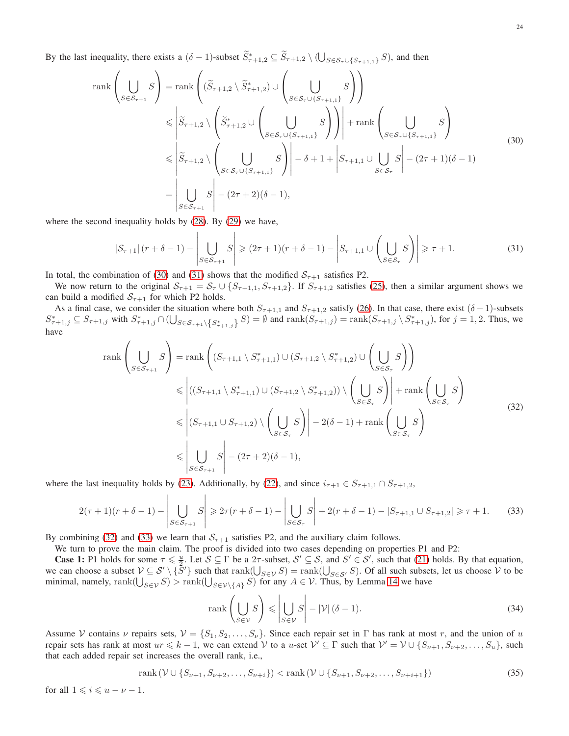By the last inequality, there exists a  $(\delta - 1)$ -subset  $\widetilde{S}_{\tau+1,2}^* \subseteq \widetilde{S}_{\tau+1,2} \setminus (\bigcup_{S \in S_{\tau} \cup \{S_{\tau+1,1}\}} S)$ , and then

<span id="page-23-0"></span>rank
$$
\left(\bigcup_{S \in S_{\tau+1}} S\right) = \operatorname{rank}\left((\widetilde{S}_{\tau+1,2} \setminus \widetilde{S}_{\tau+1,2}^*) \cup \left(\bigcup_{S \in S_{\tau} \cup \{S_{\tau+1,1}\}} S\right)\right)
$$
  
\n
$$
\leqslant \left|\widetilde{S}_{\tau+1,2} \setminus \left(\widetilde{S}_{\tau+1,2}^* \cup \left(\bigcup_{S \in S_{\tau} \cup \{S_{\tau+1,1}\}} S\right)\right)\right| + \operatorname{rank}\left(\bigcup_{S \in S_{\tau} \cup \{S_{\tau+1,1}\}} S\right)
$$
  
\n
$$
\leqslant \left|\widetilde{S}_{\tau+1,2} \setminus \left(\bigcup_{S \in S_{\tau} \cup \{S_{\tau+1,1}\}} S\right)\right| - \delta + 1 + \left|S_{\tau+1,1} \cup \bigcup_{S \in S_{\tau}} S\right| - (2\tau+1)(\delta-1)
$$
  
\n
$$
= \left|\bigcup_{S \in S_{\tau+1}} S\right| - (2\tau+2)(\delta-1),
$$
\n(30)

where the second inequality holds by [\(28\)](#page-22-1). By [\(29\)](#page-22-2) we have,

<span id="page-23-1"></span>
$$
|\mathcal{S}_{\tau+1}| \left( r + \delta - 1 \right) - \left| \bigcup_{S \in \mathcal{S}_{\tau+1}} S \right| \geqslant (2\tau+1)\left( r + \delta - 1 \right) - \left| S_{\tau+1,1} \cup \left( \bigcup_{S \in \mathcal{S}_{\tau}} S \right) \right| \geqslant \tau+1. \tag{31}
$$

In total, the combination of [\(30\)](#page-23-0) and [\(31\)](#page-23-1) shows that the modified  $S_{\tau+1}$  satisfies P2.

We now return to the original  $S_{\tau+1} = S_{\tau} \cup \{S_{\tau+1,1}, S_{\tau+1,2}\}\$ . If  $S_{\tau+1,2}$  satisfies [\(25\)](#page-21-2), then a similar argument shows we can build a modified  $S_{\tau+1}$  for which P2 holds.

As a final case, we consider the situation where both  $S_{\tau+1,1}$  and  $S_{\tau+1,2}$  satisfy [\(26\)](#page-22-3). In that case, there exist ( $\delta - 1$ )-subsets  $S^*_{\tau+1,j} \subseteq S_{\tau+1,j}$  with  $S^*_{\tau+1,j} \cap (\bigcup_{S \in S_{\tau+1} \setminus \{S^*_{\tau+1,j}\}} S) = \emptyset$  and  $\text{rank}(S_{\tau+1,j}) = \text{rank}(S_{\tau+1,j} \setminus S^*_{\tau+1,j})$ , for  $j = 1, 2$ . Thus, we have

$$
\operatorname{rank}\left(\bigcup_{S\in\mathcal{S}_{\tau+1}} S\right) = \operatorname{rank}\left((S_{\tau+1,1}\setminus S_{\tau+1,1}^*)\cup(S_{\tau+1,2}\setminus S_{\tau+1,2}^*)\cup\left(\bigcup_{S\in\mathcal{S}_{\tau}} S\right)\right)
$$
  
\n
$$
\leq \left|((S_{\tau+1,1}\setminus S_{\tau+1,1}^*)\cup(S_{\tau+1,2}\setminus S_{\tau+1,2}^*)\setminus\left(\bigcup_{S\in\mathcal{S}_{\tau}} S\right)\right| + \operatorname{rank}\left(\bigcup_{S\in\mathcal{S}_{\tau}} S\right)
$$
  
\n
$$
\leq \left|(S_{\tau+1,1}\cup S_{\tau+1,2})\setminus\left(\bigcup_{S\in\mathcal{S}_{\tau}} S\right)\right| - 2(\delta - 1) + \operatorname{rank}\left(\bigcup_{S\in\mathcal{S}_{\tau}} S\right)
$$
  
\n
$$
\leq \left|\bigcup_{S\in\mathcal{S}_{\tau+1}} S\right| - (2\tau + 2)(\delta - 1),
$$
  
\n(32)

<span id="page-23-2"></span>where the last inequality holds by [\(23\)](#page-21-1). Additionally, by [\(22\)](#page-21-4), and since  $i_{\tau+1} \in S_{\tau+1,1} \cap S_{\tau+1,2}$ ,

<span id="page-23-3"></span>
$$
2(\tau+1)(r+\delta-1) - \left| \bigcup_{S \in \mathcal{S}_{\tau+1}} S \right| \geq 2\tau(r+\delta-1) - \left| \bigcup_{S \in \mathcal{S}_{\tau}} S \right| + 2(r+\delta-1) - |S_{\tau+1,1} \cup S_{\tau+1,2}| \geq \tau+1. \tag{33}
$$

By combining [\(32\)](#page-23-2) and [\(33\)](#page-23-3) we learn that  $S_{\tau+1}$  satisfies P2, and the auxiliary claim follows.

We turn to prove the main claim. The proof is divided into two cases depending on properties P1 and P2:

**Case 1:** P1 holds for some  $\tau \leq \frac{u}{2}$ . Let  $S \subseteq \Gamma$  be a  $2\tau$ -subset,  $S' \subseteq S$ , and  $S' \in S'$ , such that [\(21\)](#page-21-5) holds. By that equation, we can choose a subset  $V \subseteq S' \setminus \{S'\}$  such that  $rank(\bigcup_{S \in V} S) = rank(\bigcup_{S \in S'} S)$ . Of all such subsets, let us choose V to be minimal, namely, rank $(\bigcup_{S \in \mathcal{V}} S)$  > rank $(\bigcup_{S \in \mathcal{V} \setminus \{A\}} S)$  for any  $A \in \mathcal{V}$ . Thus, by Lemma [14](#page-20-3) we have

<span id="page-23-4"></span>
$$
\operatorname{rank}\left(\bigcup_{S\in\mathcal{V}}S\right) \leq \left|\bigcup_{S\in\mathcal{V}}S\right| - |\mathcal{V}|(\delta - 1). \tag{34}
$$

Assume V contains v repairs sets,  $V = \{S_1, S_2, \ldots, S_{\nu}\}\.$  Since each repair set in  $\Gamma$  has rank at most r, and the union of u repair sets has rank at most  $ur \leq k - 1$ , we can extend V to a u-set  $V' \subseteq \Gamma$  such that  $V' = V \cup \{S_{\nu+1}, S_{\nu+2}, \ldots, S_u\}$ , such that each added repair set increases the overall rank, i.e.,

<span id="page-23-5"></span>rank
$$
(\mathcal{V} \cup \{S_{\nu+1}, S_{\nu+2}, \dots, S_{\nu+i}\})
$$
 < rank $(\mathcal{V} \cup \{S_{\nu+1}, S_{\nu+2}, \dots, S_{\nu+i+1}\})$  (35)

for all  $1 \leqslant i \leqslant u - \nu - 1$ .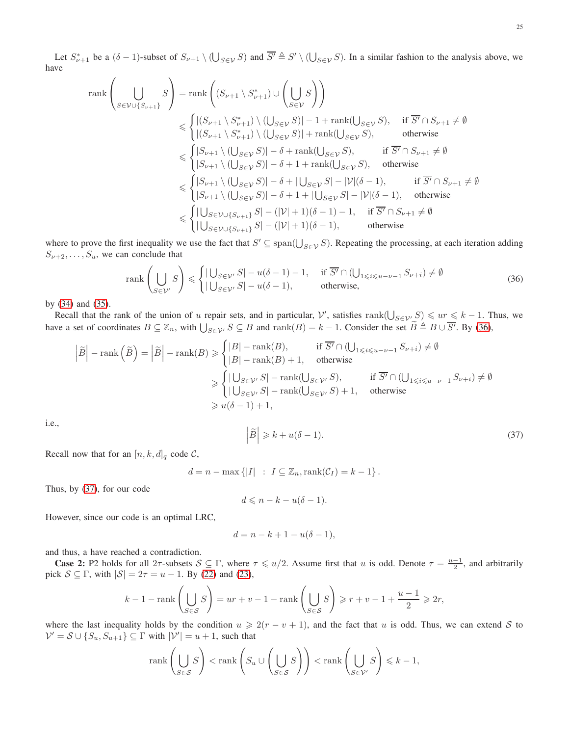$$
\operatorname{rank}\left(\bigcup_{S\in\mathcal{V}\cup\{S_{\nu+1}\}}S\right) = \operatorname{rank}\left((S_{\nu+1}\setminus S_{\nu+1}^*)\cup\left(\bigcup_{S\in\mathcal{V}}S\right)\right)
$$
  
\n
$$
\leq \begin{cases}\n| (S_{\nu+1}\setminus S_{\nu+1}^*)\setminus ( \bigcup_{S\in\mathcal{V}}S)| - 1 + \operatorname{rank}(\bigcup_{S\in\mathcal{V}}S), & \text{if } \overline{S'} \cap S_{\nu+1} \neq \emptyset \\
| (S_{\nu+1}\setminus S_{\nu+1}^*)\setminus ( \bigcup_{S\in\mathcal{V}}S)| + \operatorname{rank}(\bigcup_{S\in\mathcal{V}}S), & \text{otherwise}\n\end{cases}
$$
  
\n
$$
\leq \begin{cases}\n|S_{\nu+1}\setminus (\bigcup_{S\in\mathcal{V}}S)| - \delta + \operatorname{rank}(\bigcup_{S\in\mathcal{V}}S), & \text{if } \overline{S'} \cap S_{\nu+1} \neq \emptyset \\
| S_{\nu+1}\setminus (\bigcup_{S\in\mathcal{V}}S)| - \delta + 1 + \operatorname{rank}(\bigcup_{S\in\mathcal{V}}S) - |\mathcal{V}|(\delta - 1), & \text{if } \overline{S'} \cap S_{\nu+1} \neq \emptyset \\
| S_{\nu+1}\setminus (\bigcup_{S\in\mathcal{V}}S)| - \delta + 1 + |\bigcup_{S\in\mathcal{V}}S| - |\mathcal{V}|(\delta - 1), & \text{if } \overline{S'} \cap S_{\nu+1} \neq \emptyset \\
| S_{\nu+1}\setminus (\bigcup_{S\in\mathcal{V}}S)| - \delta + 1 + |\bigcup_{S\in\mathcal{V}}S| - |\mathcal{V}|(\delta - 1), & \text{otherwise}\n\end{cases}
$$
  
\n
$$
\leq \begin{cases}\n| \bigcup_{S\in\mathcal{V}\cup\{S_{\nu+1}\}}S| - (|\mathcal{V}| + 1)(\delta - 1) - 1, & \text{if } \overline{S'} \cap S_{\nu+1} \neq \emptyset \\
| \bigcup_{S\in\mathcal{V}\cup\{S_{\nu+1}\}}S| - (|\mathcal{V}| + 1)(\delta - 1
$$

where to prove the first inequality we use the fact that  $S' \subseteq \text{span}(\bigcup_{S \in \mathcal{V}} S)$ . Repeating the processing, at each iteration adding  $S_{\nu+2}, \ldots, S_u$ , we can conclude that

<span id="page-24-0"></span>
$$
\operatorname{rank}\left(\bigcup_{S\in\mathcal{V}'}S\right) \leq \begin{cases} |\bigcup_{S\in\mathcal{V}'}S| - u(\delta - 1) - 1, & \text{if } \overline{S'} \cap (\bigcup_{1 \leq i \leq u - \nu - 1} S_{\nu + i}) \neq \emptyset \\ |\bigcup_{S\in\mathcal{V}'}S| - u(\delta - 1), & \text{otherwise,} \end{cases}
$$
(36)

by [\(34\)](#page-23-4) and [\(35\)](#page-23-5).

Recall that the rank of the union of u repair sets, and in particular,  $\mathcal{V}'$ , satisfies  $\text{rank}(\bigcup_{S \in \mathcal{V}'} S) \leqslant ur \leqslant k - 1$ . Thus, we have a set of coordinates  $B \subseteq \mathbb{Z}_n$ , with  $\bigcup_{S \in \mathcal{V}'} S \subseteq B$  and  $\text{rank}(B) = k - 1$ . Consider the set  $\widetilde{B} \triangleq B \cup \overline{S'}$ . By [\(36\)](#page-24-0),

$$
\left|\tilde{B}\right| - \operatorname{rank}\left(\tilde{B}\right) = \left|\tilde{B}\right| - \operatorname{rank}(B) \ge \begin{cases} |B| - \operatorname{rank}(B), & \text{if } \overline{S'} \cap (\bigcup_{1 \le i \le u - \nu - 1} S_{\nu + i}) \ne \emptyset \\ |B| - \operatorname{rank}(B) + 1, & \text{otherwise} \end{cases}
$$

$$
\ge \begin{cases} |\bigcup_{S \in \mathcal{V}'} S| - \operatorname{rank}(\bigcup_{S \in \mathcal{V}'} S), & \text{if } \overline{S'} \cap (\bigcup_{1 \le i \le u - \nu - 1} S_{\nu + i}) \ne \emptyset \\ |\bigcup_{S \in \mathcal{V}'} S| - \operatorname{rank}(\bigcup_{S \in \mathcal{V}'} S) + 1, & \text{otherwise} \end{cases}
$$

$$
\ge u(\delta - 1) + 1,
$$

i.e., 

$$
\widetilde{B}\Big|\geqslant k+u(\delta-1). \tag{37}
$$

Recall now that for an  $[n, k, d]_q$  code C,

 $d = n - \max\{|I| : I \subseteq \mathbb{Z}_n, \text{rank}(\mathcal{C}_I) = k - 1\}.$ 

<span id="page-24-1"></span> $\overline{\phantom{a}}$  $\overline{\phantom{a}}$ 

Thus, by [\(37\)](#page-24-1), for our code

$$
d \leqslant n - k - u(\delta - 1).
$$

However, since our code is an optimal LRC,

$$
d = n - k + 1 - u(\delta - 1),
$$

and thus, a have reached a contradiction.

**Case 2:** P2 holds for all  $2\tau$ -subsets  $S \subseteq \Gamma$ , where  $\tau \leq u/2$ . Assume first that u is odd. Denote  $\tau = \frac{u-1}{2}$ , and arbitrarily pick  $S \subseteq \Gamma$ , with  $|S| = 2\tau = u - 1$ . By [\(22\)](#page-21-4) and [\(23\)](#page-21-1),

$$
k-1-{\rm rank}\left(\bigcup_{S\in\mathcal{S}}S\right)=ur+v-1-{\rm rank}\left(\bigcup_{S\in\mathcal{S}}S\right)\geqslant r+v-1+\frac{u-1}{2}\geqslant 2r,
$$

where the last inequality holds by the condition  $u \geq 2(r - v + 1)$ , and the fact that u is odd. Thus, we can extend S to  $\mathcal{V}' = \mathcal{S} \cup \{S_u, S_{u+1}\} \subseteq \Gamma$  with  $|\mathcal{V}'| = u + 1$ , such that

$$
\operatorname{rank}\left(\bigcup_{S\in\mathcal{S}}S\right) < \operatorname{rank}\left(S_u \cup \left(\bigcup_{S\in\mathcal{S}}S\right)\right) < \operatorname{rank}\left(\bigcup_{S\in\mathcal{V}'}S\right) \leq k-1,
$$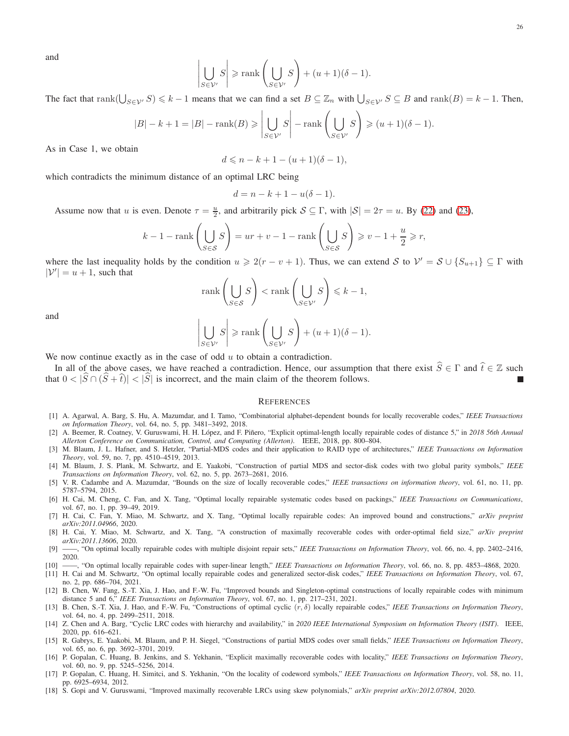and 

$$
\left| \bigcup_{S \in \mathcal{V}'} S \right| \ge \operatorname{rank} \left( \bigcup_{S \in \mathcal{V}'} S \right) + (u+1)(\delta - 1).
$$

The fact that  $\text{rank}(\bigcup_{S \in \mathcal{V'}} S) \leq k - 1$  means that we can find a set  $B \subseteq \mathbb{Z}_n$  with  $\bigcup_{S \in \mathcal{V'}} S \subseteq B$  and  $\text{rank}(B) = k - 1$ . Then,

$$
|B| - k + 1 = |B| - \operatorname{rank}(B) \ge \left| \bigcup_{S \in \mathcal{V}'} S \right| - \operatorname{rank}\left(\bigcup_{S \in \mathcal{V}'} S\right) \ge (u + 1)(\delta - 1).
$$

As in Case 1, we obtain

 $d \leq n - k + 1 - (u + 1)(\delta - 1),$ 

which contradicts the minimum distance of an optimal LRC being

$$
d = n - k + 1 - u(\delta - 1).
$$

Assume now that u is even. Denote  $\tau = \frac{u}{2}$ , and arbitrarily pick  $S \subseteq \Gamma$ , with  $|S| = 2\tau = u$ . By [\(22\)](#page-21-4) and [\(23\)](#page-21-1),

$$
k-1-{\rm rank}\left(\bigcup_{S\in\mathcal{S}}S\right)=ur+v-1-{\rm rank}\left(\bigcup_{S\in\mathcal{S}}S\right)\geqslant v-1+\frac{u}{2}\geqslant r,
$$

where the last inequality holds by the condition  $u \geq 2(r - v + 1)$ . Thus, we can extend S to  $\mathcal{V}' = \mathcal{S} \cup \{S_{u+1}\} \subseteq \Gamma$  with  $|\mathcal{V}'| = u + 1$ , such that

$$
\operatorname{rank}\left(\bigcup_{S\in\mathcal{S}}S\right) < \operatorname{rank}\left(\bigcup_{S\in\mathcal{V}'}S\right) \leq k-1,
$$

and 

$$
\left| \bigcup_{S \in \mathcal{V}'} S \right| \ge \operatorname{rank} \left( \bigcup_{S \in \mathcal{V}'} S \right) + (u+1)(\delta - 1).
$$

We now continue exactly as in the case of odd  $u$  to obtain a contradiction.

In all of the above cases, we have reached a contradiction. Hence, our assumption that there exist  $\hat{S} \in \Gamma$  and  $\hat{t} \in \mathbb{Z}$  such that  $0 < |\widehat{S} \cap (\widehat{S} + \widehat{t})| < |\widehat{S}|$  is incorrect, and the main claim of the theorem follows.

#### **REFERENCES**

- <span id="page-25-5"></span>[1] A. Agarwal, A. Barg, S. Hu, A. Mazumdar, and I. Tamo, "Combinatorial alphabet-dependent bounds for locally recoverable codes," *IEEE Transactions on Information Theory*, vol. 64, no. 5, pp. 3481–3492, 2018.
- <span id="page-25-9"></span>[2] A. Beemer, R. Coatney, V. Guruswami, H. H. López, and F. Piñero, "Explicit optimal-length locally repairable codes of distance 5," in 2018 56th Annual *Allerton Conference on Communication, Control, and Computing (Allerton)*. IEEE, 2018, pp. 800–804.
- <span id="page-25-11"></span>[3] M. Blaum, J. L. Hafner, and S. Hetzler, "Partial-MDS codes and their application to RAID type of architectures," *IEEE Transactions on Information Theory*, vol. 59, no. 7, pp. 4510–4519, 2013.
- <span id="page-25-16"></span>[4] M. Blaum, J. S. Plank, M. Schwartz, and E. Yaakobi, "Construction of partial MDS and sector-disk codes with two global parity symbols," *IEEE Transactions on Information Theory*, vol. 62, no. 5, pp. 2673–2681, 2016.
- <span id="page-25-6"></span>[5] V. R. Cadambe and A. Mazumdar, "Bounds on the size of locally recoverable codes," *IEEE transactions on information theory*, vol. 61, no. 11, pp. 5787–5794, 2015.
- <span id="page-25-1"></span>[6] H. Cai, M. Cheng, C. Fan, and X. Tang, "Optimal locally repairable systematic codes based on packings," *IEEE Transactions on Communications*, vol. 67, no. 1, pp. 39–49, 2019.
- <span id="page-25-4"></span>[7] H. Cai, C. Fan, Y. Miao, M. Schwartz, and X. Tang, "Optimal locally repairable codes: An improved bound and constructions," *arXiv preprint arXiv:2011.04966*, 2020.
- <span id="page-25-12"></span>[8] H. Cai, Y. Miao, M. Schwartz, and X. Tang, "A construction of maximally recoverable codes with order-optimal field size," *arXiv preprint arXiv:2011.13606*, 2020.
- <span id="page-25-2"></span>[9] ——, "On optimal locally repairable codes with multiple disjoint repair sets," *IEEE Transactions on Information Theory*, vol. 66, no. 4, pp. 2402–2416, 2020.
- <span id="page-25-17"></span><span id="page-25-8"></span>[10] ——, "On optimal locally repairable codes with super-linear length," *IEEE Transactions on Information Theory*, vol. 66, no. 8, pp. 4853–4868, 2020.
- [11] H. Cai and M. Schwartz, "On optimal locally repairable codes and generalized sector-disk codes," *IEEE Transactions on Information Theory*, vol. 67, no. 2, pp. 686–704, 2021.
- <span id="page-25-10"></span>[12] B. Chen, W. Fang, S.-T. Xia, J. Hao, and F.-W. Fu, "Improved bounds and Singleton-optimal constructions of locally repairable codes with minimum distance 5 and 6," *IEEE Transactions on Information Theory*, vol. 67, no. 1, pp. 217–231, 2021.
- <span id="page-25-7"></span>[13] B. Chen, S.-T. Xia, J. Hao, and F.-W. Fu, "Constructions of optimal cyclic (r, δ) locally repairable codes," *IEEE Transactions on Information Theory*, vol. 64, no. 4, pp. 2499–2511, 2018.
- <span id="page-25-3"></span>[14] Z. Chen and A. Barg, "Cyclic LRC codes with hierarchy and availability," in *2020 IEEE International Symposium on Information Theory (ISIT)*. IEEE, 2020, pp. 616–621.
- <span id="page-25-13"></span>[15] R. Gabrys, E. Yaakobi, M. Blaum, and P. H. Siegel, "Constructions of partial MDS codes over small fields," *IEEE Transactions on Information Theory*, vol. 65, no. 6, pp. 3692–3701, 2019.
- <span id="page-25-14"></span>[16] P. Gopalan, C. Huang, B. Jenkins, and S. Yekhanin, "Explicit maximally recoverable codes with locality," *IEEE Transactions on Information Theory*, vol. 60, no. 9, pp. 5245–5256, 2014.
- <span id="page-25-0"></span>[17] P. Gopalan, C. Huang, H. Simitci, and S. Yekhanin, "On the locality of codeword symbols," *IEEE Transactions on Information Theory*, vol. 58, no. 11, pp. 6925–6934, 2012.
- <span id="page-25-15"></span>[18] S. Gopi and V. Guruswami, "Improved maximally recoverable LRCs using skew polynomials," *arXiv preprint arXiv:2012.07804*, 2020.